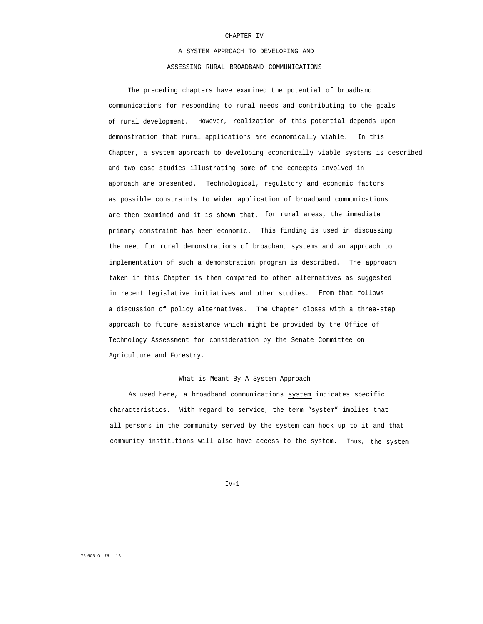#### CHAPTER IV

A SYSTEM APPROACH TO DEVELOPING AND ASSESSING RURAL BROADBAND COMMUNICATIONS

The preceding chapters have examined the potential of broadband communications for responding to rural needs and contributing to the goals of rural development. However, realization of this potential depends upon demonstration that rural applications are economically viable. In this Chapter, a system approach to developing economically viable systems is described and two case studies illustrating some of the concepts involved in approach are presented. Technological, regulatory and economic factors as possible constraints to wider application of broadband communications are then examined and it is shown that, for rural areas, the immediate primary constraint has been economic. This finding is used in discussing the need for rural demonstrations of broadband systems and an approach to implementation of such a demonstration program is described. The approach taken in this Chapter is then compared to other alternatives as suggested in recent legislative initiatives and other studies. From that follows a discussion of policy alternatives. The Chapter closes with a three-step approach to future assistance which might be provided by the Office of Technology Assessment for consideration by the Senate Committee on Agriculture and Forestry.

## What is Meant By A System Approach

As used here, a broadband communications system indicates specific characteristics. With regard to service, the term "system" implies that all persons in the community served by the system can hook up to it and that community institutions will also have access to the system. Thus, the system

 $TV-1$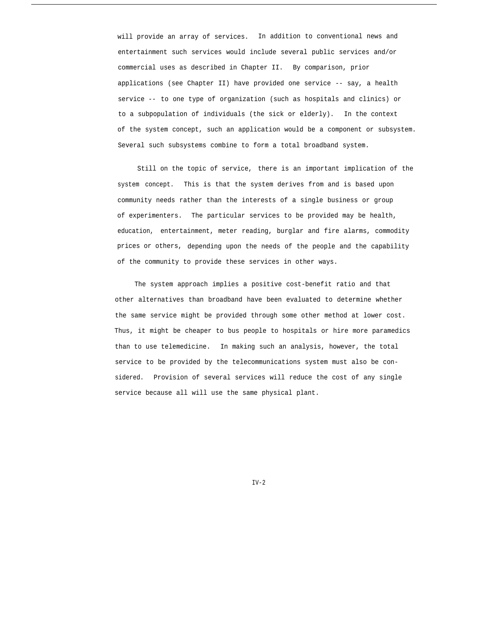will provide an array of services. In addition to conventional news and entertainment such services would include several public services and/or commercial uses as described in Chapter II. By comparison, prior applications (see Chapter II) have provided one service -- say, a health service -- to one type of organization (such as hospitals and clinics) or to a subpopulation of individuals (the sick or elderly). In the context of the system concept, such an application would be a component or subsystem. Several such subsystems combine to form a total broadband system.

Still on the topic of service, there is an important implication of the system concept. This is that the system derives from and is based upon community needs rather than the interests of a single business or group of experimenters. The particular services to be provided may be health, education, entertainment, meter reading, burglar and fire alarms, commodity prices or others, depending upon the needs of the people and the capability of the community to provide these services in other ways.

The system approach implies a positive cost-benefit ratio and that other alternatives than broadband have been evaluated to determine whether the same service might be provided through some other method at lower cost. Thus, it might be cheaper to bus people to hospitals or hire more paramedics than to use telemedicine. In making such an analysis, however, the total service to be provided by the telecommunications system must also be considered. Provision of several services will reduce the cost of any single service because all will use the same physical plant.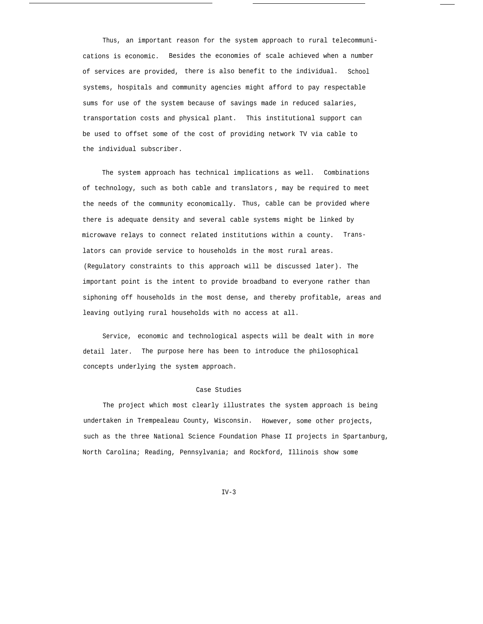Thus, an important reason for the system approach to rural telecommunications is economic. Besides the economies of scale achieved when a number of services are provided, there is also benefit to the individual. School systems, hospitals and community agencies might afford to pay respectable sums for use of the system because of savings made in reduced salaries, transportation costs and physical plant. This institutional support can be used to offset some of the cost of providing network TV via cable to the individual subscriber.

The system approach has technical implications as well. Combinations of technology, such as both cable and translators , may be required to meet the needs of the community economically. Thus, cable can be provided where there is adequate density and several cable systems might be linked by microwave relays to connect related institutions within a county. Translators can provide service to households in the most rural areas. (Regulatory constraints to this approach will be discussed later). The important point is the intent to provide broadband to everyone rather than siphoning off households in the most dense, and thereby profitable, areas and leaving outlying rural households with no access at all.

Service, economic and technological aspects will be dealt with in more detail later. The purpose here has been to introduce the philosophical concepts underlying the system approach.

### Case Studies

The project which most clearly illustrates the system approach is being undertaken in Trempealeau County, Wisconsin. However, some other projects, such as the three National Science Foundation Phase II projects in Spartanburg, North Carolina; Reading, Pennsylvania; and Rockford, Illinois show some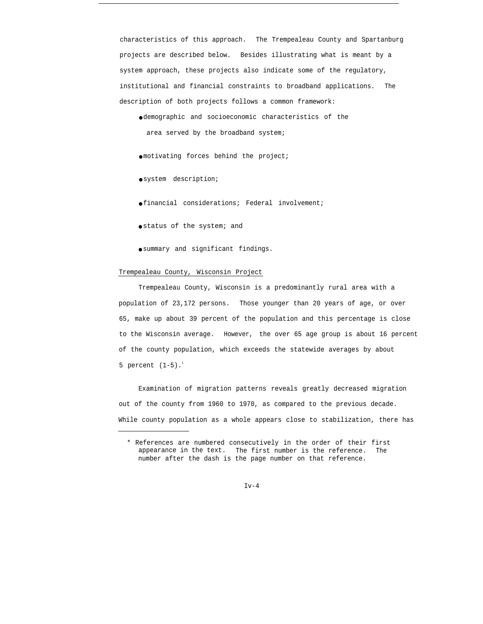characteristics of this approach. The Trempealeau County and Spartanburg projects are described below. Besides illustrating what is meant by a system approach, these projects also indicate some of the regulatory, institutional and financial constraints to broadband applications. The description of both projects follows a common framework:

● demographic and socioeconomic characteristics of the area served by the broadband system;

 $\bullet$  motivating forces behind the project;

● system description;

● financial considerations; Federal involvement;

● status of the system; and

● summary and significant findings.

## Trempealeau County, Wisconsin Project

Trempealeau County, Wisconsin is a predominantly rural area with a population of 23,172 persons. Those younger than 20 years of age, or over 65, make up about 39 percent of the population and this percentage is close to the Wisconsin average. However, the over 65 age group is about 16 percent of the county population, which exceeds the statewide averages by about 5 percent  $(1-5)$ .<sup>1</sup>

Examination of migration patterns reveals greatly decreased migration out of the county from 1960 to 1970, as compared to the previous decade. While county population as a whole appears close to stabilization, there has

 $Iv-4$ 

<sup>\*</sup> References are numbered consecutively in the order of their first appearance in the text. The first number is the reference. The number after the dash is the page number on that reference.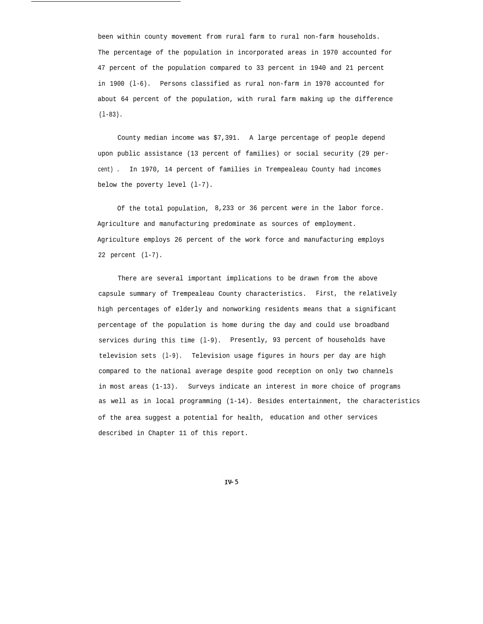been within county movement from rural farm to rural non-farm households. The percentage of the population in incorporated areas in 1970 accounted for 47 percent of the population compared to 33 percent in 1940 and 21 percent in 1900 (l-6). Persons classified as rural non-farm in 1970 accounted for about 64 percent of the population, with rural farm making up the difference (l-83).

County median income was \$7,391. A large percentage of people depend upon public assistance (13 percent of families) or social security (29 percent) . In 1970, 14 percent of families in Trempealeau County had incomes below the poverty level (l-7).

Of the total population, 8,233 or 36 percent were in the labor force. Agriculture and manufacturing predominate as sources of employment. Agriculture employs 26 percent of the work force and manufacturing employs 22 percent (l-7).

There are several important implications to be drawn from the above capsule summary of Trempealeau County characteristics. First, the relatively high percentages of elderly and nonworking residents means that a significant percentage of the population is home during the day and could use broadband services during this time (l-9). Presently, 93 percent of households have television sets (l-9). Television usage figures in hours per day are high compared to the national average despite good reception on only two channels in most areas (1-13). Surveys indicate an interest in more choice of programs as well as in local programming (1-14). Besides entertainment, the characteristics of the area suggest a potential for health, education and other services described in Chapter 11 of this report.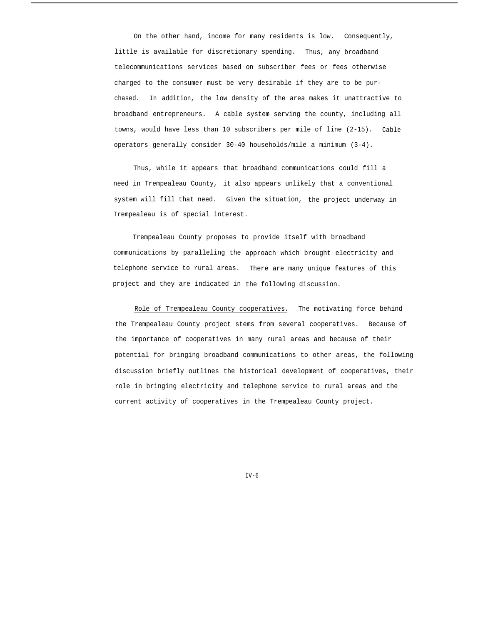On the other hand, income for many residents is low. Consequently, little is available for discretionary spending. Thus, any broadband telecommunications services based on subscriber fees or fees otherwise charged to the consumer must be very desirable if they are to be purchased. In addition, the low density of the area makes it unattractive to broadband entrepreneurs. A cable system serving the county, including all towns, would have less than 10 subscribers per mile of line (2-15). Cable operators generally consider 30-40 households/mile a minimum (3-4).

Thus, while it appears that broadband communications could fill a need in Trempealeau County, it also appears unlikely that a conventional system will fill that need. Given the situation, the project underway in Trempealeau is of special interest.

Trempealeau County proposes to provide itself with broadband communications by paralleling the approach which brought electricity and telephone service to rural areas. There are many unique features of this project and they are indicated in the following discussion.

Role of Trempealeau County cooperatives. The motivating force behind the Trempealeau County project stems from several cooperatives. Because of the importance of cooperatives in many rural areas and because of their potential for bringing broadband communications to other areas, the following discussion briefly outlines the historical development of cooperatives, their role in bringing electricity and telephone service to rural areas and the current activity of cooperatives in the Trempealeau County project.

 $TV-6$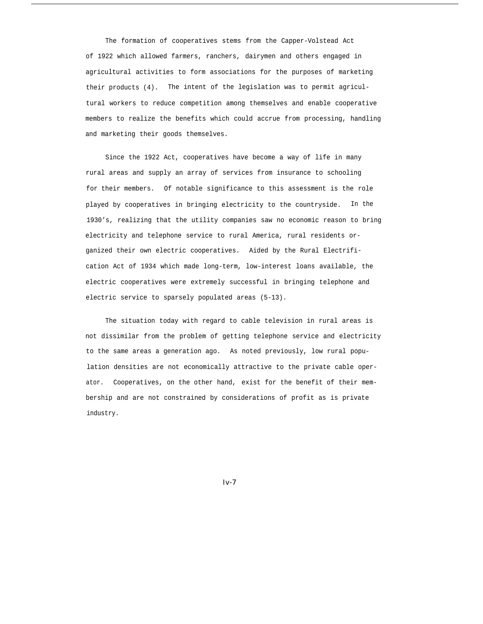The formation of cooperatives stems from the Capper-Volstead Act of 1922 which allowed farmers, ranchers, dairymen and others engaged in agricultural activities to form associations for the purposes of marketing their products (4). The intent of the legislation was to permit agricultural workers to reduce competition among themselves and enable cooperative members to realize the benefits which could accrue from processing, handling and marketing their goods themselves.

Since the 1922 Act, cooperatives have become a way of life in many rural areas and supply an array of services from insurance to schooling for their members. Of notable significance to this assessment is the role played by cooperatives in bringing electricity to the countryside. In the 1930's, realizing that the utility companies saw no economic reason to bring electricity and telephone service to rural America, rural residents organized their own electric cooperatives. Aided by the Rural Electrification Act of 1934 which made long-term, low-interest loans available, the electric cooperatives were extremely successful in bringing telephone and electric service to sparsely populated areas (5-13).

The situation today with regard to cable television in rural areas is not dissimilar from the problem of getting telephone service and electricity to the same areas a generation ago. As noted previously, low rural population densities are not economically attractive to the private cable operator. Cooperatives, on the other hand, exist for the benefit of their membership and are not constrained by considerations of profit as is private industry.

*Iv-7*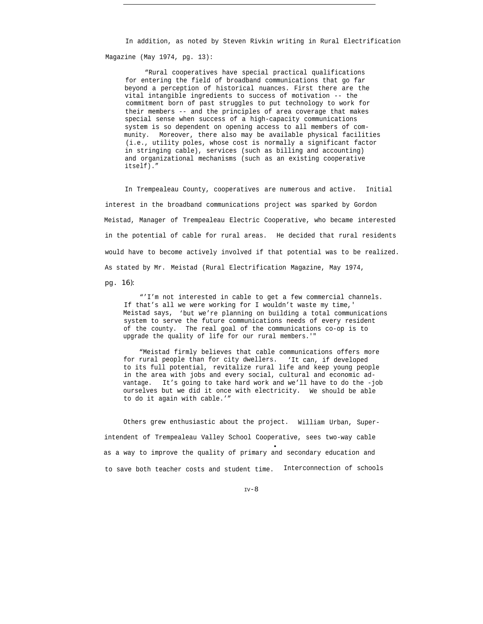In addition, as noted by Steven Rivkin writing in Rural Electrification Magazine (May 1974, pg. 13):

"Rural cooperatives have special practical qualifications for entering the field of broadband communications that go far beyond a perception of historical nuances. First there are the vital intangible ingredients to success of motivation -- the commitment born of past struggles to put technology to work for their members -- and the principles of area coverage that makes special sense when success of a high-capacity communications system is so dependent on opening access to all members of community. Moreover, there also may be available physical facilities (i.e., utility poles, whose cost is normally a significant factor in stringing cable), services (such as billing and accounting) and organizational mechanisms (such as an existing cooperative itself)."

In Trempealeau County, cooperatives are numerous and active. Initial interest in the broadband communications project was sparked by Gordon Meistad, Manager of Trempealeau Electric Cooperative, who became interested in the potential of cable for rural areas. He decided that rural residents would have to become actively involved if that potential was to be realized. As stated by Mr. Meistad (Rural Electrification Magazine, May 1974,

pg. *16):*

"'I'm not interested in cable to get a few commercial channels. If that's all we were working for I wouldn't waste my time,' Meistad says, 'but we're planning on building a total communications system to serve the future communications needs of every resident of the county. The real goal of the communications co-op is to upgrade the quality of life for our rural members.'"

"Meistad firmly believes that cable communications offers more for rural people than for city dwellers. 'It can, if developed to its full potential, revitalize rural life and keep young people in the area with jobs and every social, cultural and economic advantage. It's going to take hard work and we'll have to do the -job ourselves but we did it once with electricity. We should be able to do it again with cable.'"

Others grew enthusiastic about the project. William Urban, Superintendent of Trempealeau Valley School Cooperative, sees two-way cable ● as a way to improve the quality of primary and secondary education and to save both teacher costs and student time. Interconnection of schools

 $TV-8$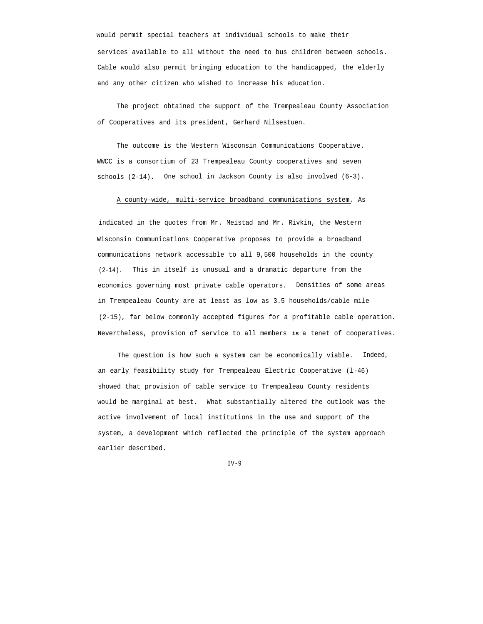would permit special teachers at individual schools to make their services available to all without the need to bus children between schools. Cable would also permit bringing education to the handicapped, the elderly and any other citizen who wished to increase his education.

The project obtained the support of the Trempealeau County Association of Cooperatives and its president, Gerhard Nilsestuen.

The outcome is the Western Wisconsin Communications Cooperative. WWCC is a consortium of 23 Trempealeau County cooperatives and seven schools (2-14). One school in Jackson County is also involved (6-3).

# A county-wide, multi-service broadband communications system. As

indicated in the quotes from Mr. Meistad and Mr. Rivkin, the Western Wisconsin Communications Cooperative proposes to provide a broadband communications network accessible to all 9,500 households in the county (2-14). This in itself is unusual and a dramatic departure from the economics governing most private cable operators. Densities of some areas in Trempealeau County are at least as low as 3.5 households/cable mile (2-15), far below commonly accepted figures for a profitable cable operation. Nevertheless, provision of service to all members **is** a tenet of cooperatives.

The question is how such a system can be economically viable. Indeed, an early feasibility study for Trempealeau Electric Cooperative (l-46) showed that provision of cable service to Trempealeau County residents would be marginal at best. What substantially altered the outlook was the active involvement of local institutions in the use and support of the system, a development which reflected the principle of the system approach earlier described.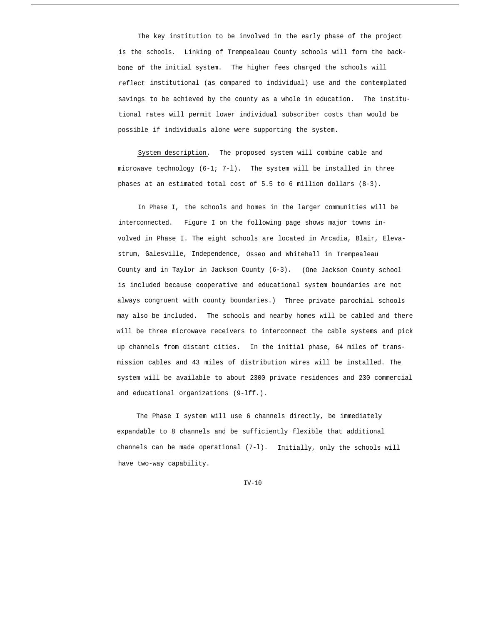The key institution to be involved in the early phase of the project is the schools. Linking of Trempealeau County schools will form the backbone of the initial system. The higher fees charged the schools will reflect institutional (as compared to individual) use and the contemplated savings to be achieved by the county as a whole in education. The institutional rates will permit lower individual subscriber costs than would be possible if individuals alone were supporting the system.

System description. The proposed system will combine cable and microwave technology (6-1; 7-l). The system will be installed in three phases at an estimated total cost of 5.5 to 6 million dollars (8-3).

In Phase I, the schools and homes in the larger communities will be interconnected. Figure I on the following page shows major towns involved in Phase I. The eight schools are located in Arcadia, Blair, Elevastrum, Galesville, Independence, Osseo and Whitehall in Trempealeau County and in Taylor in Jackson County (6-3). (One Jackson County school is included because cooperative and educational system boundaries are not always congruent with county boundaries.) Three private parochial schools may also be included. The schools and nearby homes will be cabled and there will be three microwave receivers to interconnect the cable systems and pick up channels from distant cities. In the initial phase, 64 miles of transmission cables and 43 miles of distribution wires will be installed. The system will be available to about 2300 private residences and 230 commercial and educational organizations (9-lff.).

The Phase I system will use 6 channels directly, be immediately expandable to 8 channels and be sufficiently flexible that additional channels can be made operational (7-l). Initially, only the schools will have two-way capability.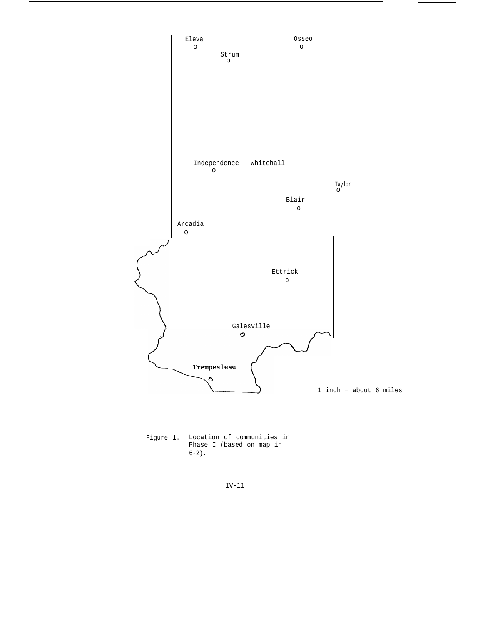

Figure 1. Location of communities in Phase I (based on map in  $6-2)$ .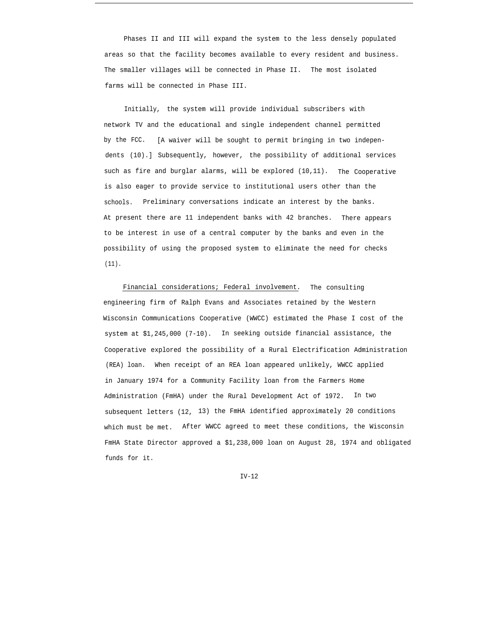Phases II and III will expand the system to the less densely populated areas so that the facility becomes available to every resident and business. The smaller villages will be connected in Phase II. The most isolated farms will be connected in Phase III.

Initially, the system will provide individual subscribers with network TV and the educational and single independent channel permitted by the FCC. [A waiver will be sought to permit bringing in two independents (10).] Subsequently, however, the possibility of additional services such as fire and burglar alarms, will be explored (10,11). The Cooperative is also eager to provide service to institutional users other than the schools. Preliminary conversations indicate an interest by the banks. At present there are 11 independent banks with 42 branches. There appears to be interest in use of a central computer by the banks and even in the possibility of using the proposed system to eliminate the need for checks (11).

Financial considerations; Federal involvement. The consulting engineering firm of Ralph Evans and Associates retained by the Western Wisconsin Communications Cooperative (WWCC) estimated the Phase I cost of the system at \$1,245,000 (7-10). In seeking outside financial assistance, the Cooperative explored the possibility of a Rural Electrification Administration (REA) loan. When receipt of an REA loan appeared unlikely, WWCC applied in January 1974 for a Community Facility loan from the Farmers Home Administration (FmHA) under the Rural Development Act of 1972. In two subsequent letters (12, 13) the FmHA identified approximately 20 conditions which must be met. After WWCC agreed to meet these conditions, the Wisconsin FmHA State Director approved a \$1,238,000 loan on August 28, 1974 and obligated funds for it.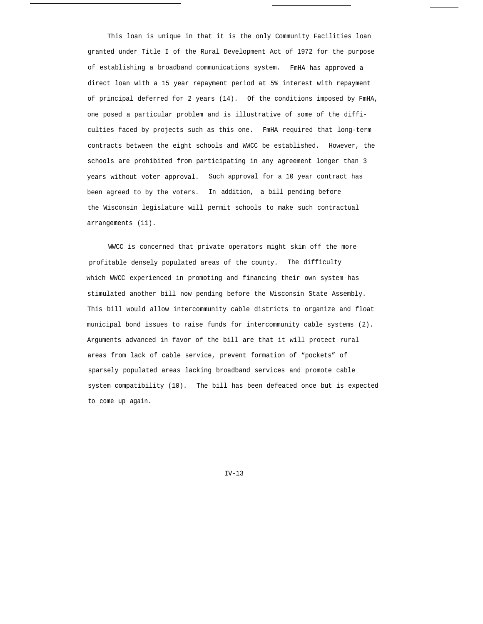This loan is unique in that it is the only Community Facilities loan granted under Title I of the Rural Development Act of 1972 for the purpose of establishing a broadband communications system. FmHA has approved a direct loan with a 15 year repayment period at 5% interest with repayment of principal deferred for 2 years (14). Of the conditions imposed by FmHA, one posed a particular problem and is illustrative of some of the difficulties faced by projects such as this one. FmHA required that long-term contracts between the eight schools and WWCC be established. However, the schools are prohibited from participating in any agreement longer than 3 years without voter approval. Such approval for a 10 year contract has been agreed to by the voters. In addition, a bill pending before the Wisconsin legislature will permit schools to make such contractual arrangements (11).

WWCC is concerned that private operators might skim off the more profitable densely populated areas of the county. The difficulty which WWCC experienced in promoting and financing their own system has stimulated another bill now pending before the Wisconsin State Assembly. This bill would allow intercommunity cable districts to organize and float municipal bond issues to raise funds for intercommunity cable systems (2). Arguments advanced in favor of the bill are that it will protect rural areas from lack of cable service, prevent formation of "pockets" of sparsely populated areas lacking broadband services and promote cable system compatibility (10). The bill has been defeated once but is expected to come up again.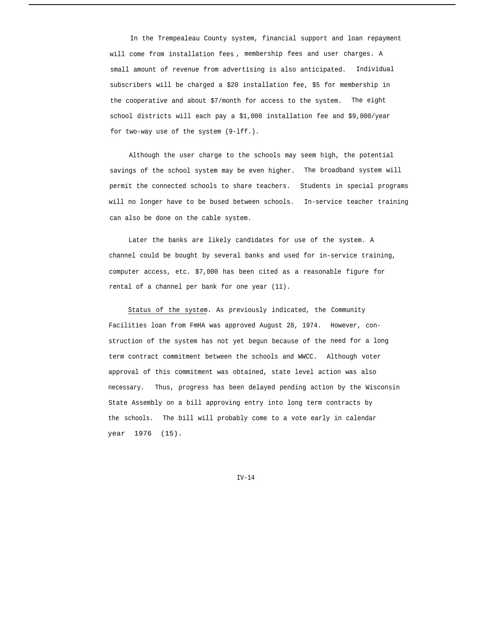In the Trempealeau County system, financial support and loan repayment will come from installation fees , membership fees and user charges. A small amount of revenue from advertising is also anticipated. Individual subscribers will be charged a \$20 installation fee, \$5 for membership in the cooperative and about \$7/month for access to the system. The eight school districts will each pay a \$1,000 installation fee and \$9,000/year for two-way use of the system (9-lff.).

Although the user charge to the schools may seem high, the potential savings of the school system may be even higher. The broadband system will permit the connected schools to share teachers. Students in special programs will no longer have to be bused between schools. In-service teacher training can also be done on the cable system.

Later the banks are likely candidates for use of the system. A channel could be bought by several banks and used for in-service training, computer access, etc. \$7,000 has been cited as a reasonable figure for rental of a channel per bank for one year (11).

Status of the system. As previously indicated, the Community Facilities loan from FmHA was approved August 28, 1974. However, construction of the system has not yet begun because of the need for a long term contract commitment between the schools and WWCC. Although voter approval of this commitment was obtained, state level action was also necessary. Thus, progress has been delayed pending action by the Wisconsin State Assembly on a bill approving entry into long term contracts by the schools. The bill will probably come to a vote early in calendar year 1976 (15).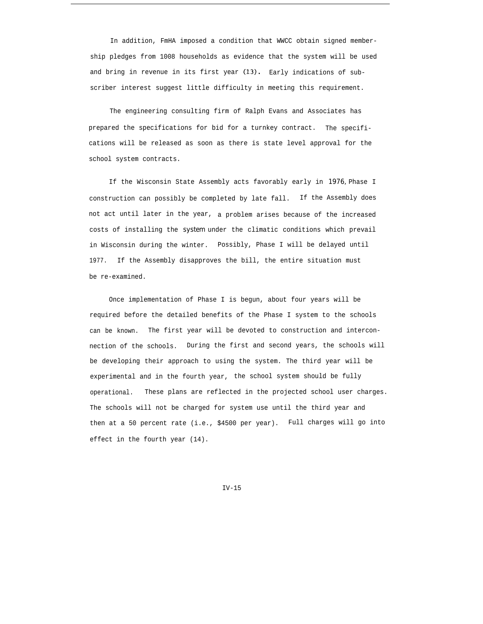In addition, FmHA imposed a condition that WWCC obtain signed membership pledges from 1008 households as evidence that the system will be used and bring in revenue in its first year (13). Early indications of subscriber interest suggest little difficulty in meeting this requirement.

The engineering consulting firm of Ralph Evans and Associates has prepared the specifications for bid for a turnkey contract. The specifications will be released as soon as there is state level approval for the school system contracts.

If the Wisconsin State Assembly acts favorably early in *1976,* Phase I construction can possibly be completed by late fall. If the Assembly does not act until later in the year, a problem arises because of the increased costs of installing the *system* under the climatic conditions which prevail in Wisconsin during the winter. Possibly, Phase I will be delayed until 1977. If the Assembly disapproves the bill, the entire situation must be re-examined.

Once implementation of Phase I is begun, about four years will be required before the detailed benefits of the Phase I system to the schools can be known. The first year will be devoted to construction and interconnection of the schools. During the first and second years, the schools will be developing their approach to using the system. The third year will be experimental and in the fourth year, the school system should be fully operational. These plans are reflected in the projected school user charges. The schools will not be charged for system use until the third year and then at a 50 percent rate (i.e., \$4500 per year). Full charges will go into effect in the fourth year (14).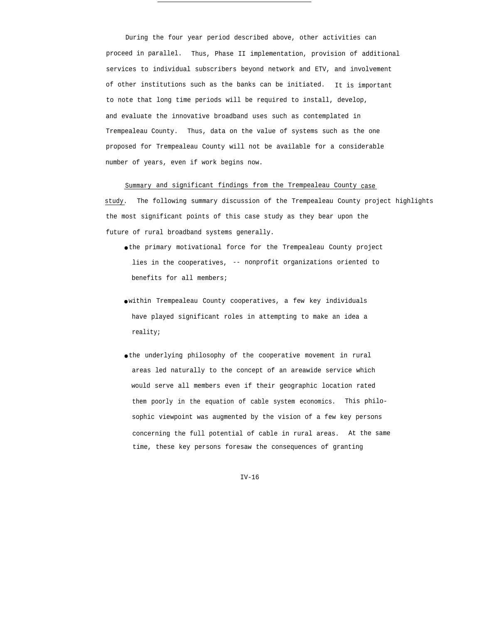During the four year period described above, other activities can proceed in parallel. Thus, Phase II implementation, provision of additional services to individual subscribers beyond network and ETV, and involvement of other institutions such as the banks can be initiated. It is important to note that long time periods will be required to install, develop, and evaluate the innovative broadband uses such as contemplated in Trempealeau County. Thus, data on the value of systems such as the one proposed for Trempealeau County will not be available for a considerable number of years, even if work begins now.

## Summary and significant findings from the Trempealeau County case

study. The following summary discussion of the Trempealeau County project highlights the most significant points of this case study as they bear upon the future of rural broadband systems generally.

- the primary motivational force for the Trempealeau County project lies in the cooperatives, -- nonprofit organizations oriented to benefits for all members;
- within Trempealeau County cooperatives, a few key individuals have played significant roles in attempting to make an idea a reality;
- the underlying philosophy of the cooperative movement in rural areas led naturally to the concept of an areawide service which would serve all members even if their geographic location rated them poorly in the equation of cable system economics. This philosophic viewpoint was augmented by the vision of a few key persons concerning the full potential of cable in rural areas. At the same time, these key persons foresaw the consequences of granting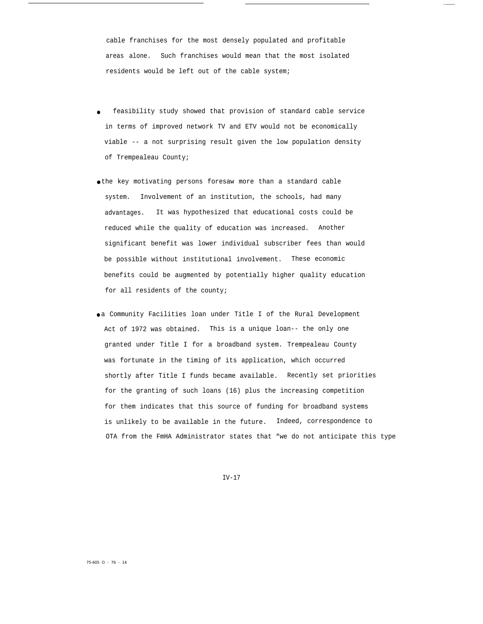cable franchises for the most densely populated and profitable areas alone. Such franchises would mean that the most isolated residents would be left out of the cable system;

- feasibility study showed that provision of standard cable service in terms of improved network TV and ETV would not be economically viable -- a not surprising result given the low population density of Trempealeau County;
- the key motivating persons foresaw more than a standard cable system. Involvement of an institution, the schools, had many advantages. It was hypothesized that educational costs could be reduced while the quality of education was increased. Another significant benefit was lower individual subscriber fees than would be possible without institutional involvement. These economic benefits could be augmented by potentially higher quality education for all residents of the county;
- a Community Facilities loan under Title I of the Rural Development Act of 1972 was obtained. This is a unique loan-- the only one granted under Title I for a broadband system. Trempealeau County was fortunate in the timing of its application, which occurred shortly after Title I funds became available. Recently set priorities for the granting of such loans (16) plus the increasing competition for them indicates that this source of funding for broadband systems is unlikely to be available in the future. Indeed, correspondence to OTA from the FmHA Administrator states that "we do not anticipate this type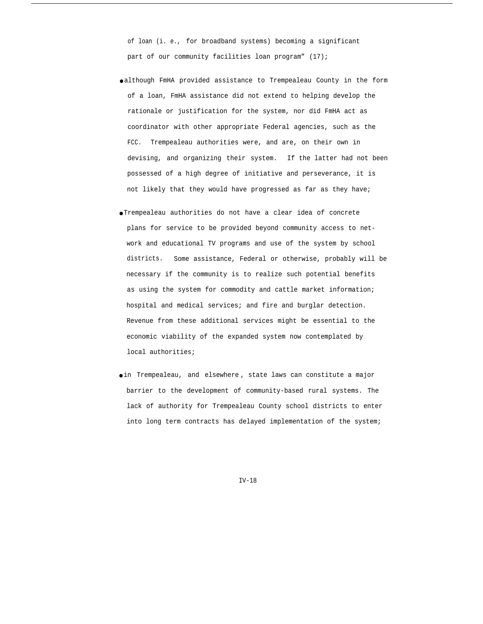of loan (i. e., for broadband systems) becoming a significant part of our community facilities loan program" (17);

- although FmHA provided assistance to Trempealeau County in the form of a loan, FmHA assistance did not extend to helping develop the rationale or justification for the system, nor did FmHA act as coordinator with other appropriate Federal agencies, such as the FCC. Trempealeau authorities were, and are, on their own in devising, and organizing their system. If the latter had not been possessed of a high degree of initiative and perseverance, it is not likely that they would have progressed as far as they have;
- Trempealeau authorities do not have a clear idea of concrete plans for service to be provided beyond community access to network and educational TV programs and use of the system by school districts. Some assistance, Federal or otherwise, probably will be necessary if the community is to realize such potential benefits as using the system for commodity and cattle market information; hospital and medical services; and fire and burglar detection. Revenue from these additional services might be essential to the economic viability of the expanded system now contemplated by local authorities;
- in Trempealeau, and elsewhere , state laws can constitute a major barrier to the development of community-based rural systems. The lack of authority for Trempealeau County school districts to enter into long term contracts has delayed implementation of the system;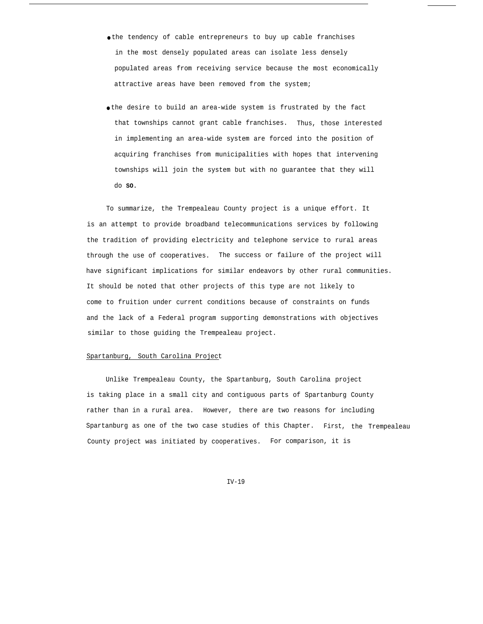- the tendency of cable entrepreneurs to buy up cable franchises in the most densely populated areas can isolate less densely populated areas from receiving service because the most economically attractive areas have been removed from the system;
- the desire to build an area-wide system is frustrated by the fact that townships cannot grant cable franchises. Thus, those interested in implementing an area-wide system are forced into the position of acquiring franchises from municipalities with hopes that intervening townships will join the system but with no guarantee that they will do **SO.**

To summarize, the Trempealeau County project is a unique effort. It is an attempt to provide broadband telecommunications services by following the tradition of providing electricity and telephone service to rural areas through the use of cooperatives. The success or failure of the project will have significant implications for similar endeavors by other rural communities. It should be noted that other projects of this type are not likely to come to fruition under current conditions because of constraints on funds and the lack of a Federal program supporting demonstrations with objectives similar to those guiding the Trempealeau project.

### Spartanburg, South Carolina Project

Unlike Trempealeau County, the Spartanburg, South Carolina project is taking place in a small city and contiguous parts of Spartanburg County rather than in a rural area. However, there are two reasons for including Spartanburg as one of the two case studies of this Chapter. First, the Trempealeau County project was initiated by cooperatives. For comparison, it is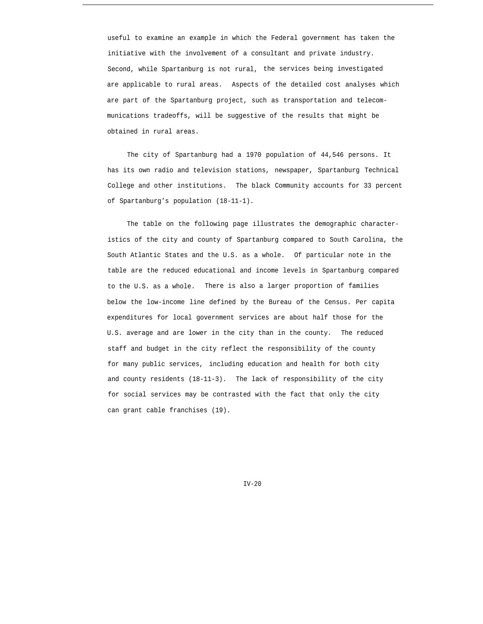useful to examine an example in which the Federal government has taken the initiative with the involvement of a consultant and private industry. Second, while Spartanburg is not rural, the services being investigated are applicable to rural areas. Aspects of the detailed cost analyses which are part of the Spartanburg project, such as transportation and telecommunications tradeoffs, will be suggestive of the results that might be obtained in rural areas.

The city of Spartanburg had a 1970 population of 44,546 persons. It has its own radio and television stations, newspaper, Spartanburg Technical College and other institutions. The black Community accounts for 33 percent of Spartanburg's population (18-11-1).

The table on the following page illustrates the demographic characteristics of the city and county of Spartanburg compared to South Carolina, the South Atlantic States and the U.S. as a whole. Of particular note in the table are the reduced educational and income levels in Spartanburg compared to the U.S. as a whole. There is also a larger proportion of families below the low-income line defined by the Bureau of the Census. Per capita expenditures for local government services are about half those for the U.S. average and are lower in the city than in the county. The reduced staff and budget in the city reflect the responsibility of the county for many public services, including education and health for both city and county residents (18-11-3). The lack of responsibility of the city for social services may be contrasted with the fact that only the city can grant cable franchises (19).

 $TV-20$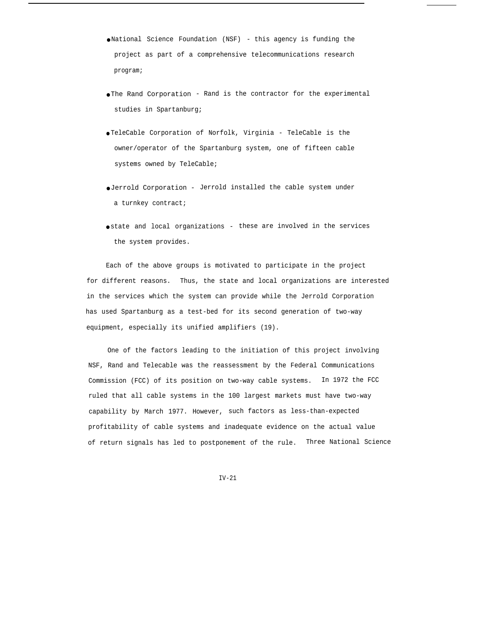- National Science Foundation (NSF) this agency is funding the project as part of a comprehensive telecommunications research program;
- The Rand Corporation Rand is the contractor for the experimental studies in Spartanburg;
- TeleCable Corporation of Norfolk, Virginia TeleCable is the owner/operator of the Spartanburg system, one of fifteen cable systems owned by TeleCable;
- Jerrold Corporation Jerrold installed the cable system under a turnkey contract;
- state and local organizations these are involved in the services the system provides.

Each of the above groups is motivated to participate in the project for different reasons. Thus, the state and local organizations are interested in the services which the system can provide while the Jerrold Corporation has used Spartanburg as a test-bed for its second generation of two-way equipment, especially its unified amplifiers (19).

One of the factors leading to the initiation of this project involving NSF, Rand and Telecable was the reassessment by the Federal Communications Commission (FCC) of its position on two-way cable systems. In 1972 the FCC ruled that all cable systems in the 100 largest markets must have two-way capability by March 1977. However, such factors as less-than-expected profitability of cable systems and inadequate evidence on the actual value of return signals has led to postponement of the rule. Three National Science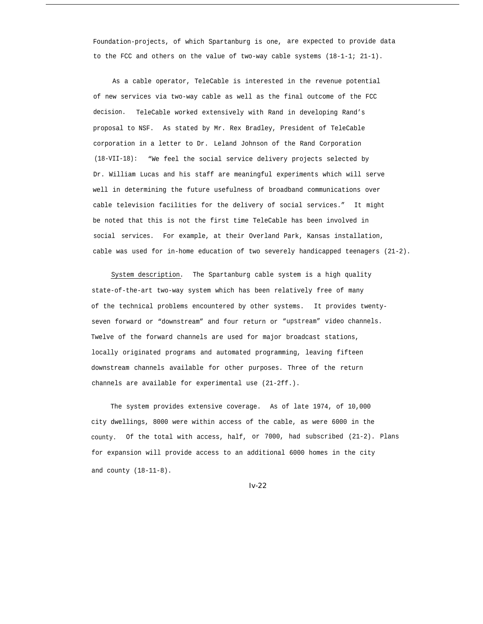Foundation-projects, of which Spartanburg is one, are expected to provide data to the FCC and others on the value of two-way cable systems (18-1-1; 21-1).

As a cable operator, TeleCable is interested in the revenue potential of new services via two-way cable as well as the final outcome of the FCC decision. TeleCable worked extensively with Rand in developing Rand's proposal to NSF. As stated by Mr. Rex Bradley, President of TeleCable corporation in a letter to Dr. Leland Johnson of the Rand Corporation (18-VII-18): "We feel the social service delivery projects selected by Dr. William Lucas and his staff are meaningful experiments which will serve well in determining the future usefulness of broadband communications over cable television facilities for the delivery of social services." It might be noted that this is not the first time TeleCable has been involved in social services. For example, at their Overland Park, Kansas installation, cable was used for in-home education of two severely handicapped teenagers (21-2).

System description. The Spartanburg cable system is a high quality state-of-the-art two-way system which has been relatively free of many of the technical problems encountered by other systems. It provides twentyseven forward or "downstream" and four return or "upstream" video channels. Twelve of the forward channels are used for major broadcast stations, locally originated programs and automated programming, leaving fifteen downstream channels available for other purposes. Three of the return channels are available for experimental use (21-2ff.).

The system provides extensive coverage. As of late 1974, of 10,000 city dwellings, 8000 were within access of the cable, as were 6000 in the county. Of the total with access, half, or 7000, had subscribed (21-2). Plans for expansion will provide access to an additional 6000 homes in the city and county (18-11-8).

*Iv-22*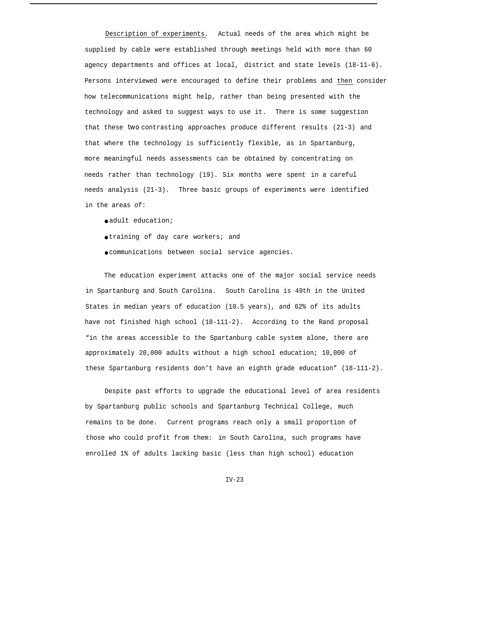Description of experiments. Actual needs of the area which might be supplied by cable were established through meetings held with more than 60 agency departments and offices at local, district and state levels (18-11-6). Persons interviewed were encouraged to define their problems and then consider how telecommunications might help, rather than being presented with the technology and asked to suggest ways to use it. There is some suggestion that these *two* contrasting approaches produce different results (21-3) and that where the technology is sufficiently flexible, as in Spartanburg, more meaningful needs assessments can be obtained by concentrating on needs rather than technology (19). Six months were spent in a careful needs analysis (21-3). Three basic groups of experiments were identified in the areas of:

- adult education;
- training of day care workers; and
- communications between social service agencies.

The education experiment attacks one of the major social service needs in Spartanburg and South Carolina. South Carolina is 49th in the United States in median years of education (10.5 years), and 62% of its adults have not finished high school (18-111-2). According to the Rand proposal "in the areas accessible to the Spartanburg cable system alone, there are approximately 20,000 adults without a high school education; 10,000 of these Spartanburg residents don't have an eighth grade education" (18-111-2).

Despite past efforts to upgrade the educational level of area residents by Spartanburg public schools and Spartanburg Technical College, much remains to be done. Current programs reach only a small proportion of those who could profit from them: in South Carolina, such programs have enrolled 1% of adults lacking basic (less than high school) education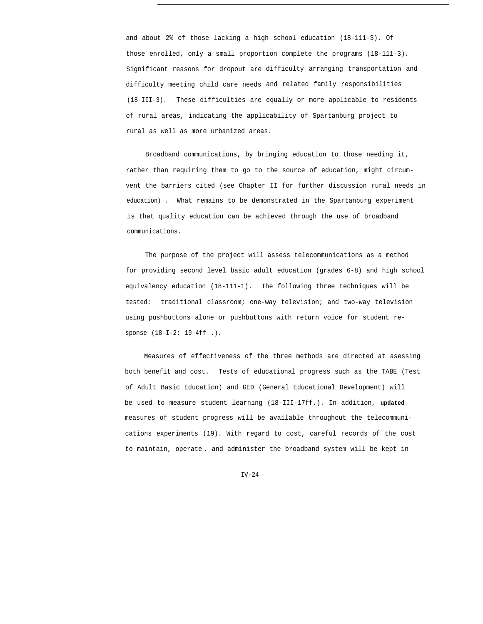and about 2% of those lacking a high school education (18-111-3). Of those enrolled, only a small proportion complete the programs (18-111-3). Significant reasons for dropout are difficulty arranging transportation and difficulty meeting child care needs and related family responsibilities (18-III-3). These difficulties are equally or more applicable to residents of rural areas, indicating the applicability of Spartanburg project to rural as well as more urbanized areas.

Broadband communications, by bringing education to those needing it, rather than requiring them to go to the source of education, might circumvent the barriers cited (see Chapter II for further discussion rural needs in education) . What remains to be demonstrated in the Spartanburg experiment is that quality education can be achieved through the use of broadband communications.

The purpose of the project will assess telecommunications as a method for providing second level basic adult education (grades 6-8) and high school equivalency education (18-111-1). The following three techniques will be tested: traditional classroom; one-way television; and two-way television using pushbuttons alone or pushbuttons with return voice for student response (18-I-2; 19-4ff .).

Measures of effectiveness of the three methods are directed at asessing both benefit and cost. Tests of educational progress such as the TABE (Test of Adult Basic Education) and GED (General Educational Development) will be used to measure student learning (18-III-17ff.). In addition, **updated** measures of student progress will be available throughout the telecommunications experiments (19). With regard to cost, careful records of the cost to maintain, operate , and administer the broadband system will be kept in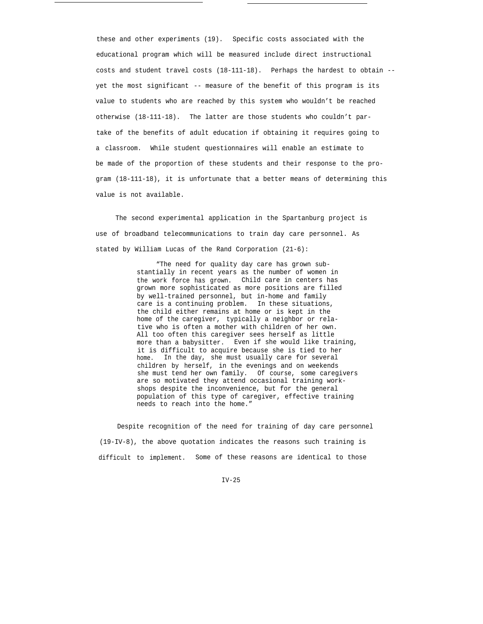these and other experiments (19). Specific costs associated with the educational program which will be measured include direct instructional costs and student travel costs (18-111-18). Perhaps the hardest to obtain - yet the most significant -- measure of the benefit of this program is its value to students who are reached by this system who wouldn't be reached otherwise (18-111-18). The latter are those students who couldn't partake of the benefits of adult education if obtaining it requires going to a classroom. While student questionnaires will enable an estimate to be made of the proportion of these students and their response to the program (18-111-18), it is unfortunate that a better means of determining this value is not available.

The second experimental application in the Spartanburg project is use of broadband telecommunications to train day care personnel. As stated by William Lucas of the Rand Corporation (21-6):

> "The need for quality day care has grown substantially in recent years as the number of women in the work force has grown. Child care in centers has grown more sophisticated as more positions are filled by well-trained personnel, but in-home and family care is a continuing problem. In these situations, the child either remains at home or is kept in the home of the caregiver, typically a neighbor or relative who is often a mother with children of her own. All too often this caregiver sees herself as little more than a babysitter. Even if she would like training, it is difficult to acquire because she is tied to her home. In the day, she must usually care for several children by herself, in the evenings and on weekends she must tend her own family. Of course, some caregivers are so motivated they attend occasional training workshops despite the inconvenience, but for the general population of this type of caregiver, effective training needs to reach into the home."

Despite recognition of the need for training of day care personnel (19-IV-8), the above quotation indicates the reasons such training is difficult to implement. Some of these reasons are identical to those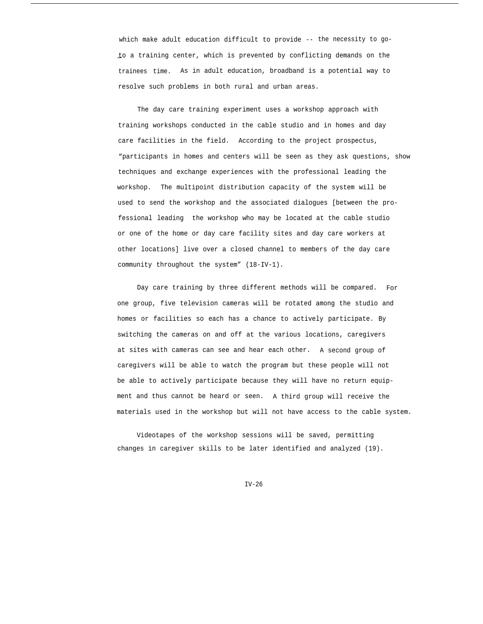which make adult education difficult to provide -- the necessity to go- —to a training center, which is prevented by conflicting demands on the trainees time. As in adult education, broadband is a potential way to resolve such problems in both rural and urban areas.

The day care training experiment uses a workshop approach with training workshops conducted in the cable studio and in homes and day care facilities in the field. According to the project prospectus, "participants in homes and centers will be seen as they ask questions, show techniques and exchange experiences with the professional leading the workshop. The multipoint distribution capacity of the system will be used to send the workshop and the associated dialogues [between the professional leading the workshop who may be located at the cable studio or one of the home or day care facility sites and day care workers at other locations] live over a closed channel to members of the day care community throughout the system" (18-IV-1).

Day care training by three different methods will be compared. For one group, five television cameras will be rotated among the studio and homes or facilities so each has a chance to actively participate. By switching the cameras on and off at the various locations, caregivers at sites with cameras can see and hear each other. A second group of caregivers will be able to watch the program but these people will not be able to actively participate because they will have no return equipment and thus cannot be heard or seen. A third group will receive the materials used in the workshop but will not have access to the cable system.

Videotapes of the workshop sessions will be saved, permitting changes in caregiver skills to be later identified and analyzed (19).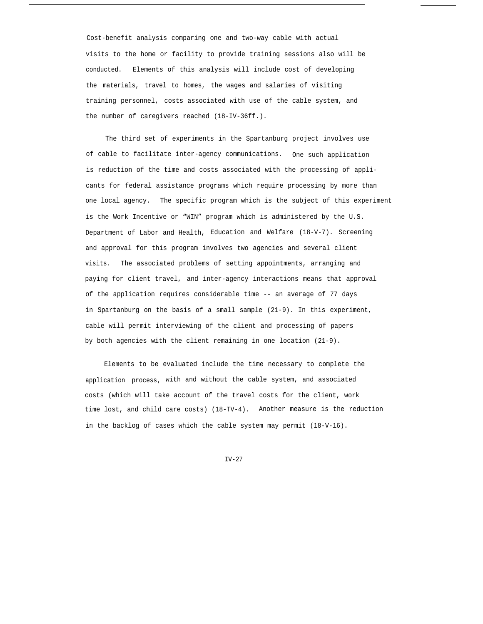Cost-benefit analysis comparing one and two-way cable with actual visits to the home or facility to provide training sessions also will be conducted. Elements of this analysis will include cost of developing the materials, travel to homes, the wages and salaries of visiting training personnel, costs associated with use of the cable system, and the number of caregivers reached (18-IV-36ff.).

The third set of experiments in the Spartanburg project involves use of cable to facilitate inter-agency communications. One such application is reduction of the time and costs associated with the processing of applicants for federal assistance programs which require processing by more than one local agency. The specific program which is the subject of this experiment is the Work Incentive or "WIN" program which is administered by the U.S. Department of Labor and Health, Education and Welfare (18-V-7). Screening and approval for this program involves two agencies and several client visits. The associated problems of setting appointments, arranging and paying for client travel, and inter-agency interactions means that approval of the application requires considerable time -- an average of 77 days in Spartanburg on the basis of a small sample (21-9). In this experiment, cable will permit interviewing of the client and processing of papers by both agencies with the client remaining in one location (21-9).

Elements to be evaluated include the time necessary to complete the application process, with and without the cable system, and associated costs (which will take account of the travel costs for the client, work time lost, and child care costs) (18-TV-4). Another measure is the reduction in the backlog of cases which the cable system may permit (18-V-16).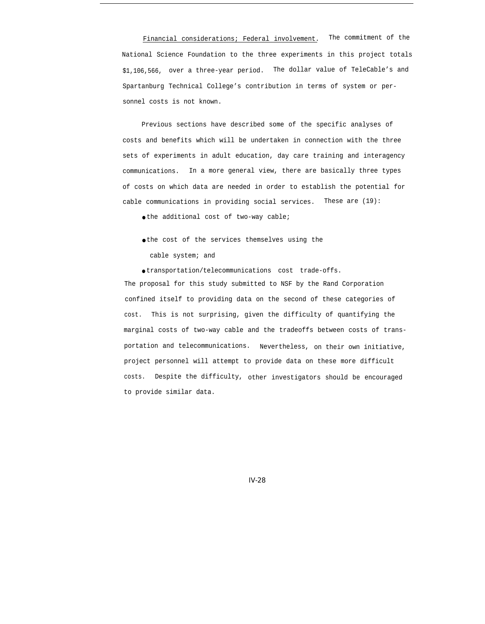Financial considerations; Federal involvement. The commitment of the National Science Foundation to the three experiments in this project totals \$1,106,566, over a three-year period. The dollar value of TeleCable's and Spartanburg Technical College's contribution in terms of system or personnel costs is not known.

Previous sections have described some of the specific analyses of costs and benefits which will be undertaken in connection with the three sets of experiments in adult education, day care training and interagency communications. In a more general view, there are basically three types of costs on which data are needed in order to establish the potential for cable communications in providing social services. These are (19):

 $\bullet$  the additional cost of two-way cable;

● the cost of the services themselves using the cable system; and

● transportation/telecommunications cost trade-offs.

The proposal for this study submitted to NSF by the Rand Corporation confined itself to providing data on the second of these categories of cost. This is not surprising, given the difficulty of quantifying the marginal costs of two-way cable and the tradeoffs between costs of transportation and telecommunications. Nevertheless, on their own initiative, project personnel will attempt to provide data on these more difficult costs. Despite the difficulty, other investigators should be encouraged to provide similar data.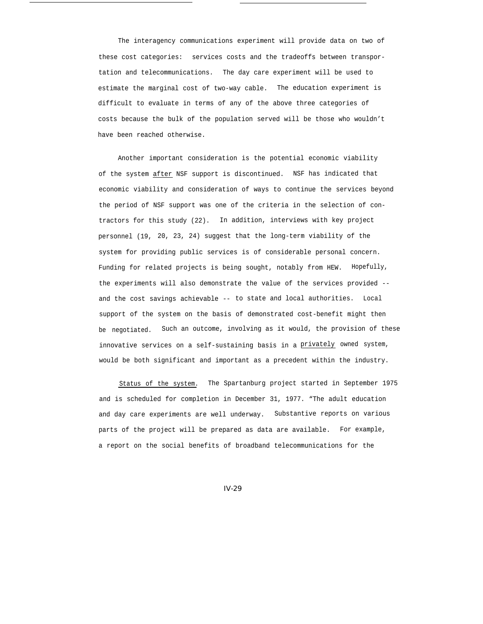The interagency communications experiment will provide data on two of these cost categories: services costs and the tradeoffs between transportation and telecommunications. The day care experiment will be used to estimate the marginal cost of two-way cable. The education experiment is difficult to evaluate in terms of any of the above three categories of costs because the bulk of the population served will be those who wouldn't have been reached otherwise.

Another important consideration is the potential economic viability of the system after NSF support is discontinued. NSF has indicated that economic viability and consideration of ways to continue the services beyond the period of NSF support was one of the criteria in the selection of contractors for this study (22). In addition, interviews with key project personnel (19, 20, 23, 24) suggest that the long-term viability of the system for providing public services is of considerable personal concern. Funding for related projects is being sought, notably from HEW. Hopefully, the experiments will also demonstrate the value of the services provided - and the cost savings achievable -- to state and local authorities. Local support of the system on the basis of demonstrated cost-benefit might then be negotiated. Such an outcome, involving as it would, the provision of these innovative services on a self-sustaining basis in a privately owned system, would be both significant and important as a precedent within the industry.

Status of the system. The Spartanburg project started in September 1975 and is scheduled for completion in December 31, 1977. "The adult education and day care experiments are well underway. Substantive reports on various parts of the project will be prepared as data are available. For example, a report on the social benefits of broadband telecommunications for the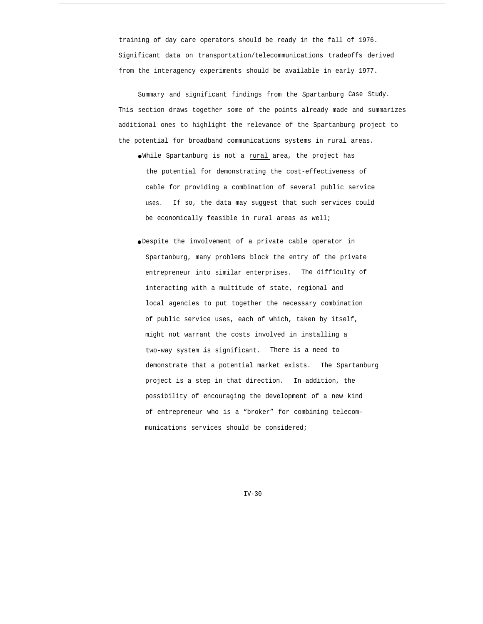training of day care operators should be ready in the fall of 1976. Significant data on transportation/telecommunications tradeoffs derived from the interagency experiments should be available in early 1977.

Summary and significant findings from the Spartanburg Case Study. This section draws together some of the points already made and summarizes additional ones to highlight the relevance of the Spartanburg project to the potential for broadband communications systems in rural areas.

- While Spartanburg is not a rural area, the project has the potential for demonstrating the cost-effectiveness of cable for providing a combination of several public service uses. If so, the data may suggest that such services could be economically feasible in rural areas as well;
- Despite the involvement of a private cable operator in Spartanburg, many problems block the entry of the private entrepreneur into similar enterprises. The difficulty of interacting with a multitude of state, regional and local agencies to put together the necessary combination of public service uses, each of which, taken by itself, might not warrant the costs involved in installing a two-way system is significant. There is a need to demonstrate that a potential market exists. The Spartanburg project is a step in that direction. In addition, the possibility of encouraging the development of a new kind of entrepreneur who is a "broker" for combining telecommunications services should be considered;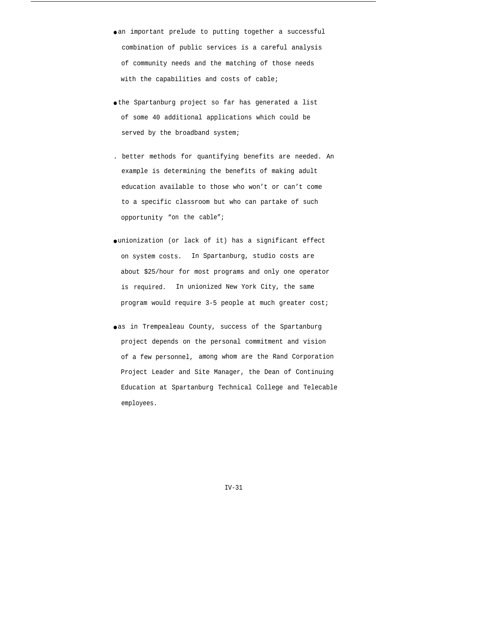- an important prelude to putting together a successful combination of public services is a careful analysis of community needs and the matching of those needs with the capabilities and costs of cable;
- the Spartanburg project so far has generated a list of some 40 additional applications which could be served by the broadband system;
- . better methods for quantifying benefits are needed. An example is determining the benefits of making adult education available to those who won't or can't come to a specific classroom but who can partake of such opportunity "on the cable";
- unionization (or lack of it) has a significant effect on system costs. In Spartanburg, studio costs are about \$25/hour for most programs and only one operator is required. In unionized New York City, the same program would require 3-5 people at much greater cost;
- oas in Trempealeau County, success of the Spartanburg project depends on the personal commitment and vision of a few personnel, among whom are the Rand Corporation Project Leader and Site Manager, the Dean of Continuing Education at Spartanburg Technical College and Telecable employees.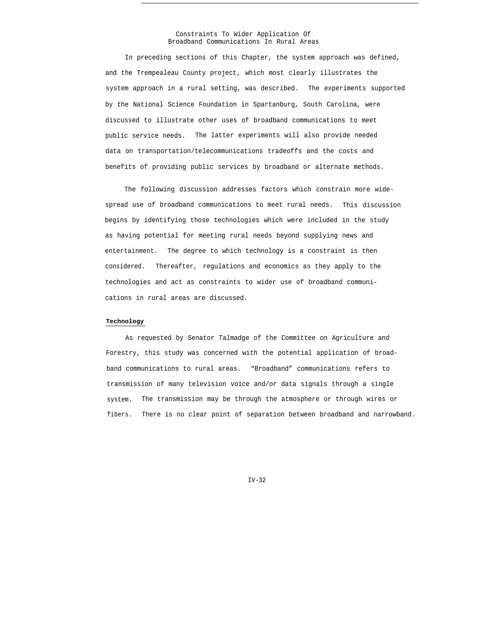### Constraints To Wider Application Of Broadband Communications In Rural Areas

In preceding sections of this Chapter, the system approach was defined, and the Trempealeau County project, which most clearly illustrates the system approach in a rural setting, was described. The experiments supported by the National Science Foundation in Spartanburg, South Carolina, were discussed to illustrate other uses of broadband communications to meet public service needs. The latter experiments will also provide needed data on transportation/telecommunications tradeoffs and the costs and benefits of providing public services by broadband or alternate methods.

The following discussion addresses factors which constrain more widespread use of broadband communications to meet rural needs. This discussion begins by identifying those technologies which were included in the study as having potential for meeting rural needs beyond supplying news and entertainment. The degree to which technology is a constraint is then considered. Thereafter, regulations and economics as they apply to the technologies and act as constraints to wider use of broadband communications in rural areas are discussed.

## **Technology**

As requested by Senator Talmadge of the Committee on Agriculture and Forestry, this study was concerned with the potential application of broadband communications to rural areas. "Broadband" communications refers to transmission of many television voice and/or data signals through a single system. The transmission may be through the atmosphere or through wires or fibers. There is no clear point of separation between broadband and narrowband.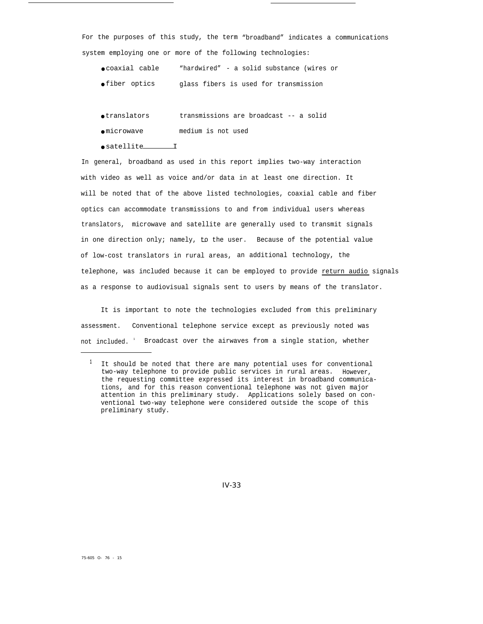For the purposes of this study, the term "broadband" indicates a communications system employing one or more of the following technologies:

- coaxial cable "hardwired" a solid substance (wires or
- fiber optics glass fibers is used for transmission
- translators transmissions are broadcast -- a solid
- microwave medium is not used
- satellite I

In general, broadband as used in this report implies two-way interaction with video as well as voice and/or data in at least one direction. It will be noted that of the above listed technologies, coaxial cable and fiber optics can accommodate transmissions to and from individual users whereas translators, microwave and satellite are generally used to transmit signals in one direction only; namely, to the user. Because of the potential value of low-cost translators in rural areas, an additional technology, the telephone, was included because it can be employed to provide return audio signals as a response to audiovisual signals sent to users by means of the translator.

It is important to note the technologies excluded from this preliminary assessment. Conventional telephone service except as previously noted was not included. <sup>1</sup> Broadcast over the airwaves from a single station, whether

**<sup>1</sup>** It should be noted that there are many potential uses for conventional two-way telephone to provide public services in rural areas. However, the requesting committee expressed its interest in broadband communications, and for this reason conventional telephone was not given major attention in this preliminary study. Applications solely based on conventional two-way telephone were considered outside the scope of this preliminary study.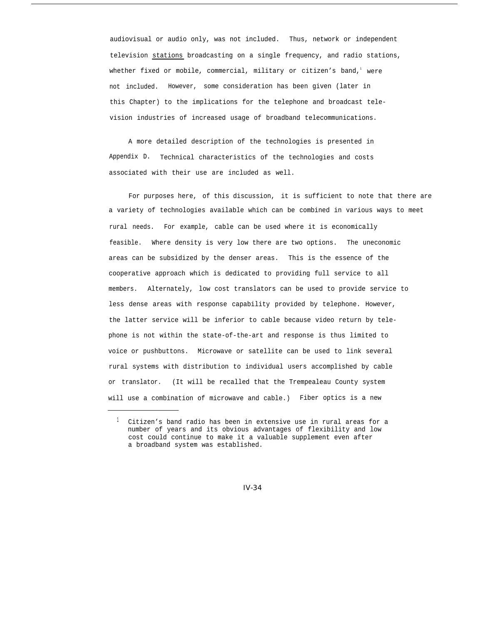audiovisual or audio only, was not included. Thus, network or independent television stations broadcasting on a single frequency, and radio stations, whether fixed or mobile, commercial, military or citizen's band, were not included. However, some consideration has been given (later in this Chapter) to the implications for the telephone and broadcast television industries of increased usage of broadband telecommunications.

A more detailed description of the technologies is presented in Appendix D. Technical characteristics of the technologies and costs associated with their use are included as well.

For purposes here, of this discussion, it is sufficient to note that there are a variety of technologies available which can be combined in various ways to meet rural needs. For example, cable can be used where it is economically feasible. Where density is very low there are two options. The uneconomic areas can be subsidized by the denser areas. This is the essence of the cooperative approach which is dedicated to providing full service to all members. Alternately, low cost translators can be used to provide service to less dense areas with response capability provided by telephone. However, the latter service will be inferior to cable because video return by telephone is not within the state-of-the-art and response is thus limited to voice or pushbuttons. Microwave or satellite can be used to link several rural systems with distribution to individual users accomplished by cable or translator. (It will be recalled that the Trempealeau County system will use a combination of microwave and cable.) Fiber optics is a new

 $1$  Citizen's band radio has been in extensive use in rural areas for a number of years and its obvious advantages of flexibility and low cost could continue to make it a valuable supplement even after a broadband system was established.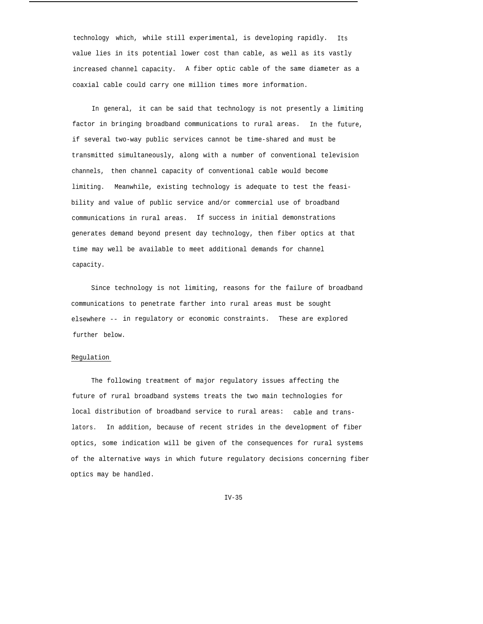technology which, while still experimental, is developing rapidly. Its value lies in its potential lower cost than cable, as well as its vastly increased channel capacity. A fiber optic cable of the same diameter as a coaxial cable could carry one million times more information.

In general, it can be said that technology is not presently a limiting factor in bringing broadband communications to rural areas. In the future, if several two-way public services cannot be time-shared and must be transmitted simultaneously, along with a number of conventional television channels, then channel capacity of conventional cable would become limiting. Meanwhile, existing technology is adequate to test the feasibility and value of public service and/or commercial use of broadband communications in rural areas. If success in initial demonstrations generates demand beyond present day technology, then fiber optics at that time may well be available to meet additional demands for channel capacity.

Since technology is not limiting, reasons for the failure of broadband communications to penetrate farther into rural areas must be sought elsewhere -- in regulatory or economic constraints. These are explored further below.

# Regulation

The following treatment of major regulatory issues affecting the future of rural broadband systems treats the two main technologies for local distribution of broadband service to rural areas: cable and translators. In addition, because of recent strides in the development of fiber optics, some indication will be given of the consequences for rural systems of the alternative ways in which future regulatory decisions concerning fiber optics may be handled.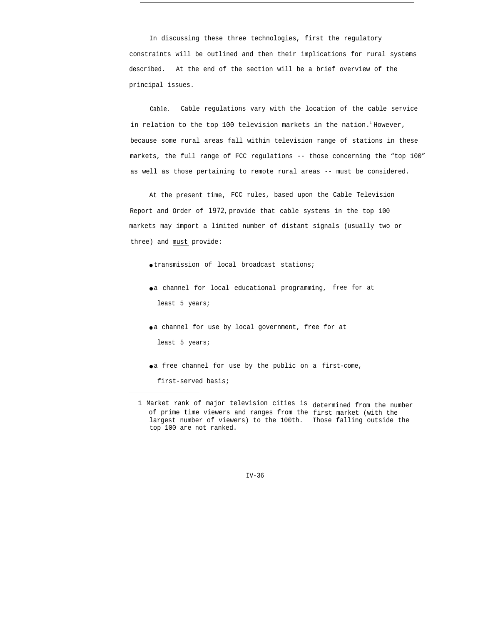In discussing these three technologies, first the regulatory constraints will be outlined and then their implications for rural systems described. At the end of the section will be a brief overview of the principal issues.

Cable. Cable regulations vary with the location of the cable service in relation to the top 100 television markets in the nation.<sup>1</sup> However, because some rural areas fall within television range of stations in these markets, the full range of FCC regulations -- those concerning the "top 100" as well as those pertaining to remote rural areas -- must be considered.

At the present time, FCC rules, based upon the Cable Television Report and Order of *1972,* provide that cable systems in the top 100 markets may import a limited number of distant signals (usually two or three) and must provide:

- transmission of local broadcast stations;
- a channel for local educational programming, free for at least 5 years;
- a channel for use by local government, free for at least 5 years;
- a free channel for use by the public on a first-come,
	- first-served basis;

<sup>1</sup> Market rank of major television cities is determined from the number of prime time viewers and ranges from the first market (with the largest number of viewers) to the 100th. Those falling outside the top 100 are not ranked.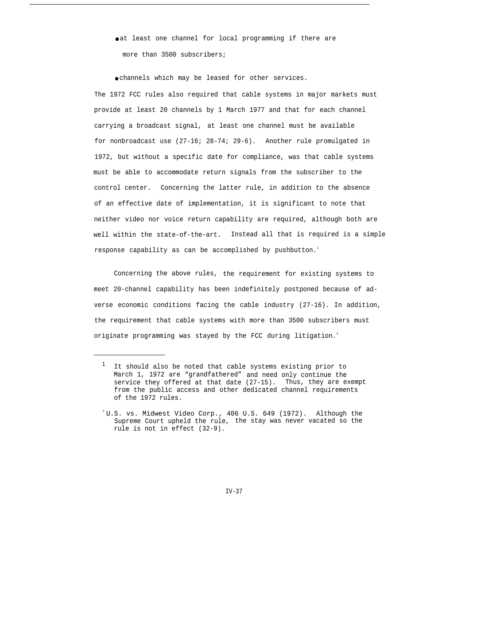oat least one channel for local programming if there are more than 3500 subscribers;

● channels which may be leased for other services.

The 1972 FCC rules also required that cable systems in major markets must provide at least 20 channels by 1 March 1977 and that for each channel carrying a broadcast signal, at least one channel must be available for nonbroadcast use (27-16; 28-74; 29-6). Another rule promulgated in 1972, but without a specific date for compliance, was that cable systems must be able to accommodate return signals from the subscriber to the control center. Concerning the latter rule, in addition to the absence of an effective date of implementation, it is significant to note that neither video nor voice return capability are required, although both are well within the state-of-the-art. Instead all that is required is a simple response capability as can be accomplished by pushbutton.<sup>1</sup>

Concerning the above rules, the requirement for existing systems to meet 20-channel capability has been indefinitely postponed because of adverse economic conditions facing the cable industry (27-16). In addition, the requirement that cable systems with more than 3500 subscribers must originate programming was stayed by the FCC during litigation.<sup>2</sup>

**<sup>1</sup>** It should also be noted that cable systems existing prior to March 1, 1972 are "grandfathered" and need only continue the service they offered at that date (27-15). Thus, they are exempt from the public access and other dedicated channel requirements of the 1972 rules.

 $2^2$ U.S. vs. Midwest Video Corp., 406 U.S. 649 (1972). Although the Supreme Court upheld the rule, the stay was never vacated so the rule is not in effect (32-9).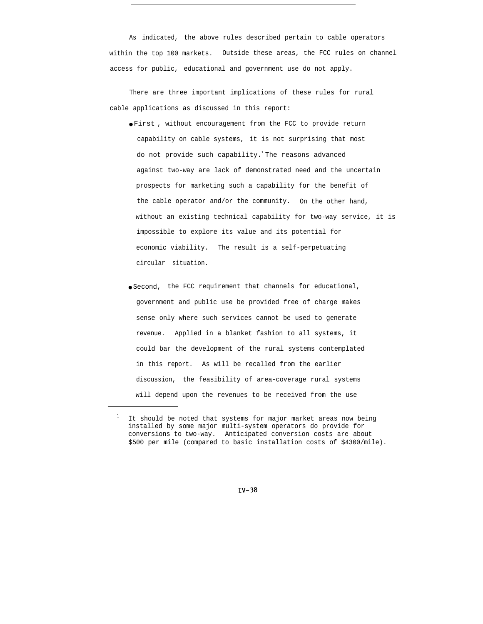As indicated, the above rules described pertain to cable operators within the top 100 markets. Outside these areas, the FCC rules on channel access for public, educational and government use do not apply.

There are three important implications of these rules for rural cable applications as discussed in this report:

- First , without encouragement from the FCC to provide return capability on cable systems, it is not surprising that most do not provide such capability.<sup>1</sup>The reasons advanced against two-way are lack of demonstrated need and the uncertain prospects for marketing such a capability for the benefit of the cable operator and/or the community. On the other hand, without an existing technical capability for two-way service, it is impossible to explore its value and its potential for economic viability. The result is a self-perpetuating circular situation.
- Second, the FCC requirement that channels for educational, government and public use be provided free of charge makes sense only where such services cannot be used to generate revenue. Applied in a blanket fashion to all systems, it could bar the development of the rural systems contemplated in this report. As will be recalled from the earlier discussion, the feasibility of area-coverage rural systems will depend upon the revenues to be received from the use

 $1$  It should be noted that systems for major market areas now being installed by some major multi-system operators do provide for conversions to two-way. Anticipated conversion costs are about \$500 per mile (compared to basic installation costs of \$4300/mile).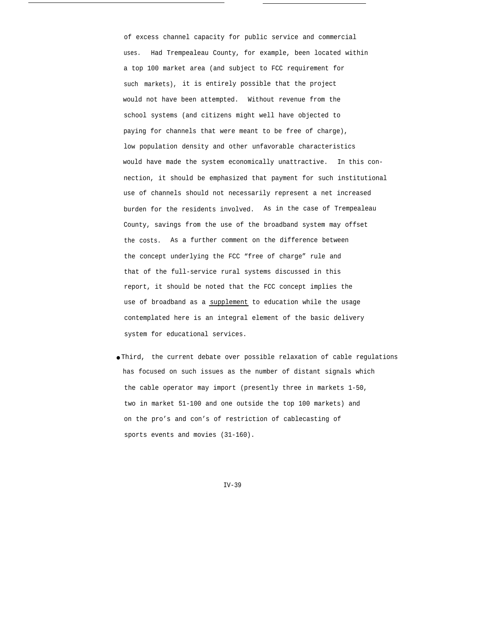of excess channel capacity for public service and commercial uses. Had Trempealeau County, for example, been located within a top 100 market area (and subject to FCC requirement for such markets), it is entirely possible that the project would not have been attempted. Without revenue from the school systems (and citizens might well have objected to paying for channels that were meant to be free of charge), low population density and other unfavorable characteristics would have made the system economically unattractive. In this connection, it should be emphasized that payment for such institutional use of channels should not necessarily represent a net increased burden for the residents involved. As in the case of Trempealeau County, savings from the use of the broadband system may offset the costs. As a further comment on the difference between the concept underlying the FCC "free of charge" rule and that of the full-service rural systems discussed in this report, it should be noted that the FCC concept implies the use of broadband as a supplement to education while the usage contemplated here is an integral element of the basic delivery system for educational services.

● Third, the current debate over possible relaxation of cable regulations has focused on such issues as the number of distant signals which the cable operator may import (presently three in markets 1-50, two in market 51-100 and one outside the top 100 markets) and on the pro's and con's of restriction of cablecasting of sports events and movies (31-160).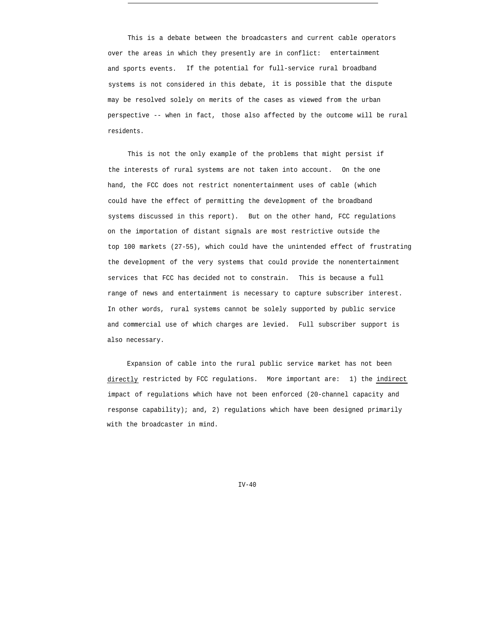over the areas in which they presently are in conflict: entertainment This is a debate between the broadcasters and current cable operators and sports events. If the potential for full-service rural broadband systems is not considered in this debate, it is possible that the dispute may be resolved solely on merits of the cases as viewed from the urban perspective -- when in fact, those also affected by the outcome will be rural residents.

This is not the only example of the problems that might persist if the interests of rural systems are not taken into account. On the one hand, the FCC does not restrict nonentertainment uses of cable (which could have the effect of permitting the development of the broadband systems discussed in this report). But on the other hand, FCC regulations on the importation of distant signals are most restrictive outside the top 100 markets (27-55), which could have the unintended effect of frustrating the development of the very systems that could provide the nonentertainment services that FCC has decided not to constrain. This is because a full range of news and entertainment is necessary to capture subscriber interest. In other words, rural systems cannot be solely supported by public service and commercial use of which charges are levied. Full subscriber support is also necessary.

Expansion of cable into the rural public service market has not been directly restricted by FCC regulations. More important are: 1) the indirect impact of regulations which have not been enforced (20-channel capacity and response capability); and, 2) regulations which have been designed primarily with the broadcaster in mind.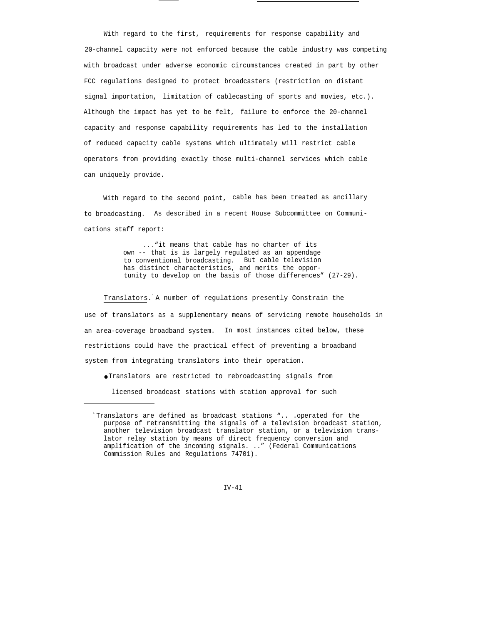With regard to the first, requirements for response capability and 20-channel capacity were not enforced because the cable industry was competing with broadcast under adverse economic circumstances created in part by other FCC regulations designed to protect broadcasters (restriction on distant signal importation, limitation of cablecasting of sports and movies, etc.). Although the impact has yet to be felt, failure to enforce the 20-channel capacity and response capability requirements has led to the installation of reduced capacity cable systems which ultimately will restrict cable operators from providing exactly those multi-channel services which cable can uniquely provide.

With regard to the second point, cable has been treated as ancillary to broadcasting. As described in a recent House Subcommittee on Communications staff report:

> . . . "it means that cable has no charter of its own -- that is is largely regulated as an appendage to conventional broadcasting. But cable television has distinct characteristics, and merits the opportunity to develop on the basis of those differences" (27-29).

Translators.<sup>1</sup>A number of regulations presently Constrain the use of translators as a supplementary means of servicing remote households in an area-coverage broadband system. In most instances cited below, these restrictions could have the practical effect of preventing a broadband system from integrating translators into their operation.

● Translators are restricted to rebroadcasting signals from

licensed broadcast stations with station approval for such

 $TV-41$ 

<sup>1</sup>Translators are defined as broadcast stations ".. .operated for the purpose of retransmitting the signals of a television broadcast station, another television broadcast translator station, or a television translator relay station by means of direct frequency conversion and amplification of the incoming signals. .." (Federal Communications Commission Rules and Regulations 74701).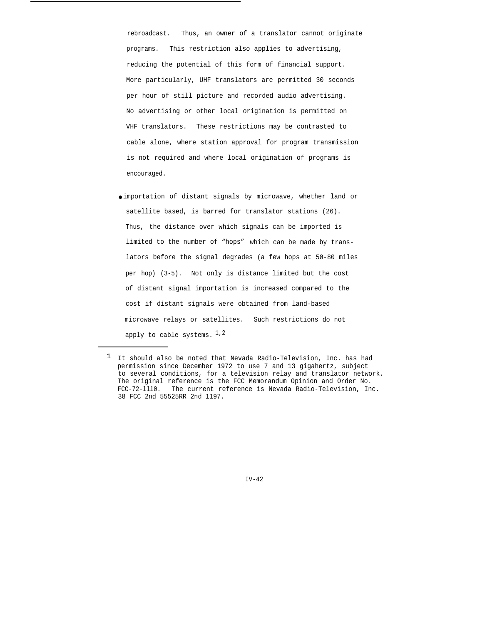rebroadcast. Thus, an owner of a translator cannot originate programs. This restriction also applies to advertising, reducing the potential of this form of financial support. More particularly, UHF translators are permitted 30 seconds per hour of still picture and recorded audio advertising. No advertising or other local origination is permitted on VHF translators. These restrictions may be contrasted to cable alone, where station approval for program transmission is not required and where local origination of programs is encouraged.

● importation of distant signals by microwave, whether land or satellite based, is barred for translator stations (26). Thus, the distance over which signals can be imported is limited to the number of "hops" which can be made by translators before the signal degrades (a few hops at 50-80 miles per hop) (3-5). Not only is distance limited but the cost of distant signal importation is increased compared to the cost if distant signals were obtained from land-based microwave relays or satellites. Such restrictions do not apply to cable systems.  $1,2$ 

<sup>1</sup> It should also be noted that Nevada Radio-Television, Inc. has had permission since December 1972 to use 7 and 13 gigahertz, subject to several conditions, for a television relay and translator network. The original reference is the FCC Memorandum Opinion and Order No. FCC-72-lll0. The current reference is Nevada Radio-Television, Inc. 38 FCC 2nd 55525RR 2nd 1197.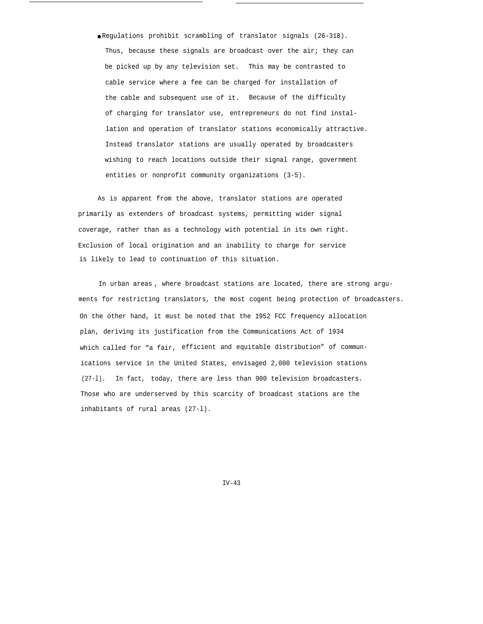● Regulations prohibit scrambling of translator signals (26-318). Thus, because these signals are broadcast over the air; they can be picked up by any television set. This may be contrasted to cable service where a fee can be charged for installation of the cable and subsequent use of it. Because of the difficulty of charging for translator use, entrepreneurs do not find installation and operation of translator stations economically attractive. Instead translator stations are usually operated by broadcasters wishing to reach locations outside their signal range, government entities or nonprofit community organizations (3-5).

As is apparent from the above, translator stations are operated primarily as extenders of broadcast systems, permitting wider signal coverage, rather than as a technology with potential in its own right. Exclusion of local origination and an inability to charge for service is likely to lead to continuation of this situation.

In urban areas , where broadcast stations are located, there are strong arguments for restricting translators, the most cogent being protection of broadcasters. On the other hand, it must be noted that the 1952 FCC frequency allocation plan, deriving its justification from the Communications Act of 1934 which called for "a fair, efficient and equitable distribution" of communications service in the United States, envisaged 2,000 television stations (27-l). In fact, today, there are less than 900 television broadcasters. Those who are underserved by this scarcity of broadcast stations are the inhabitants of rural areas (27-l).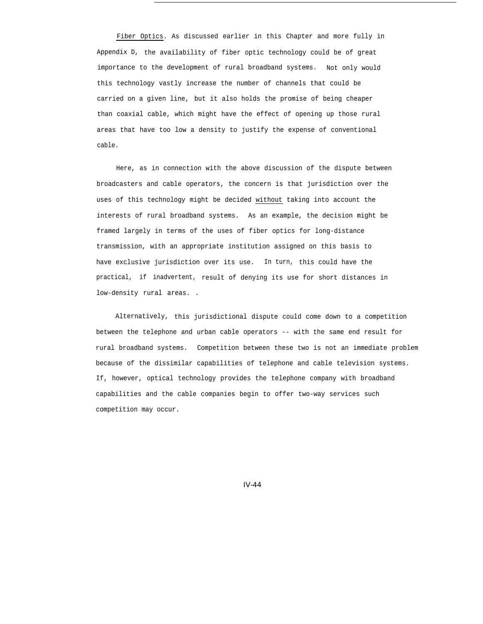Fiber Optics. As discussed earlier in this Chapter and more fully in Appendix D, the availability of fiber optic technology could be of great importance to the development of rural broadband systems. Not only would this technology vastly increase the number of channels that could be carried on a given line, but it also holds the promise of being cheaper than coaxial cable, which might have the effect of opening up those rural areas that have too low a density to justify the expense of conventional cable.

Here, as in connection with the above discussion of the dispute between broadcasters and cable operators, the concern is that jurisdiction over the uses of this technology might be decided without taking into account the interests of rural broadband systems. As an example, the decision might be framed largely in terms of the uses of fiber optics for long-distance transmission, with an appropriate institution assigned on this basis to have exclusive jurisdiction over its use. In turn, this could have the practical, if inadvertent, result of denying its use for short distances in low-density rural areas. .

Alternatively, this jurisdictional dispute could come down to a competition between the telephone and urban cable operators -- with the same end result for rural broadband systems. Competition between these two is not an immediate problem because of the dissimilar capabilities of telephone and cable television systems. If, however, optical technology provides the telephone company with broadband capabilities and the cable companies begin to offer two-way services such competition may occur.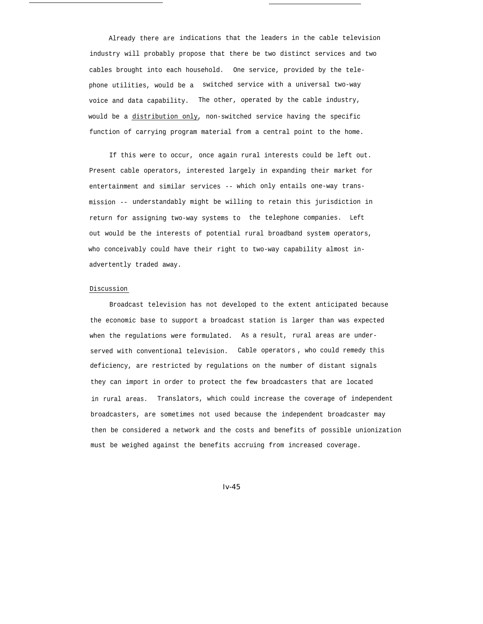Already there are indications that the leaders in the cable television industry will probably propose that there be two distinct services and two cables brought into each household. One service, provided by the telephone utilities, would be a switched service with a universal two-way voice and data capability. The other, operated by the cable industry, would be a distribution only, non-switched service having the specific function of carrying program material from a central point to the home.

If this were to occur, once again rural interests could be left out. Present cable operators, interested largely in expanding their market for entertainment and similar services -- which only entails one-way transmission -- understandably might be willing to retain this jurisdiction in return for assigning two-way systems to the telephone companies. Left out would be the interests of potential rural broadband system operators, who conceivably could have their right to two-way capability almost inadvertently traded away.

#### Discussion

Broadcast television has not developed to the extent anticipated because the economic base to support a broadcast station is larger than was expected when the regulations were formulated. As a result, rural areas are underserved with conventional television. Cable operators , who could remedy this deficiency, are restricted by regulations on the number of distant signals they can import in order to protect the few broadcasters that are located in rural areas. Translators, which could increase the coverage of independent broadcasters, are sometimes not used because the independent broadcaster may then be considered a network and the costs and benefits of possible unionization must be weighed against the benefits accruing from increased coverage.

*Iv-45*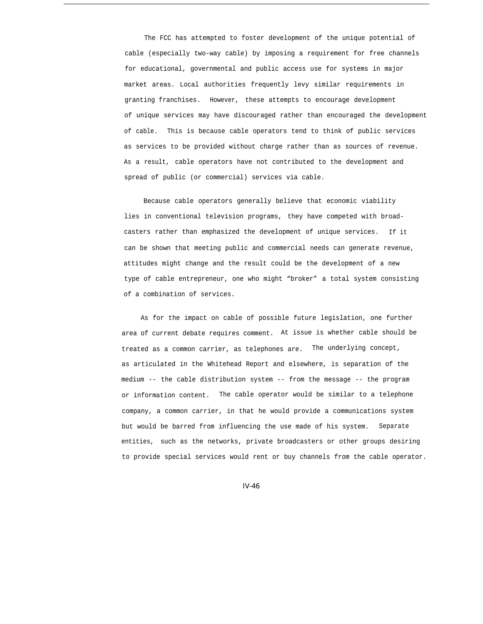The FCC has attempted to foster development of the unique potential of cable (especially two-way cable) by imposing a requirement for free channels for educational, governmental and public access use for systems in major market areas. Local authorities frequently levy similar requirements in granting franchises. However, these attempts to encourage development of unique services may have discouraged rather than encouraged the development of cable. This is because cable operators tend to think of public services as services to be provided without charge rather than as sources of revenue. As a result, cable operators have not contributed to the development and spread of public (or commercial) services via cable.

Because cable operators generally believe that economic viability lies in conventional television programs, they have competed with broadcasters rather than emphasized the development of unique services. If it can be shown that meeting public and commercial needs can generate revenue, attitudes might change and the result could be the development of a new type of cable entrepreneur, one who might "broker" a total system consisting of a combination of services.

As for the impact on cable of possible future legislation, one further area of current debate requires comment. At issue is whether cable should be treated as a common carrier, as telephones are. The underlying concept, as articulated in the Whitehead Report and elsewhere, is separation of the medium -- the cable distribution system -- from the message -- the program or information content. The cable operator would be similar to a telephone company, a common carrier, in that he would provide a communications system but would be barred from influencing the use made of his system. Separate entities, such as the networks, private broadcasters or other groups desiring to provide special services would rent or buy channels from the cable operator.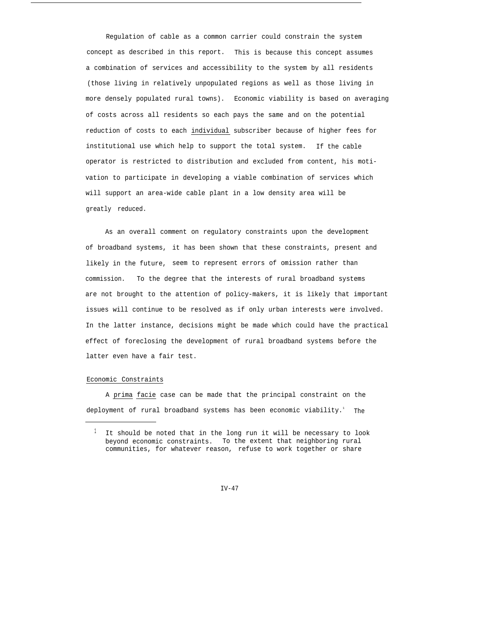Regulation of cable as a common carrier could constrain the system concept as described in this report. This is because this concept assumes a combination of services and accessibility to the system by all residents (those living in relatively unpopulated regions as well as those living in more densely populated rural towns). Economic viability is based on averaging of costs across all residents so each pays the same and on the potential reduction of costs to each individual subscriber because of higher fees for institutional use which help to support the total system. If the cable operator is restricted to distribution and excluded from content, his motivation to participate in developing a viable combination of services which will support an area-wide cable plant in a low density area will be greatly reduced.

As an overall comment on regulatory constraints upon the development of broadband systems, it has been shown that these constraints, present and likely in the future, seem to represent errors of omission rather than commission. To the degree that the interests of rural broadband systems are not brought to the attention of policy-makers, it is likely that important issues will continue to be resolved as if only urban interests were involved. In the latter instance, decisions might be made which could have the practical effect of foreclosing the development of rural broadband systems before the latter even have a fair test.

## Economic Constraints

A prima facie case can be made that the principal constraint on the deployment of rural broadband systems has been economic viability.' The

 $1$  It should be noted that in the long run it will be necessary to look beyond economic constraints. To the extent that neighboring rural communities, for whatever reason, refuse to work together or share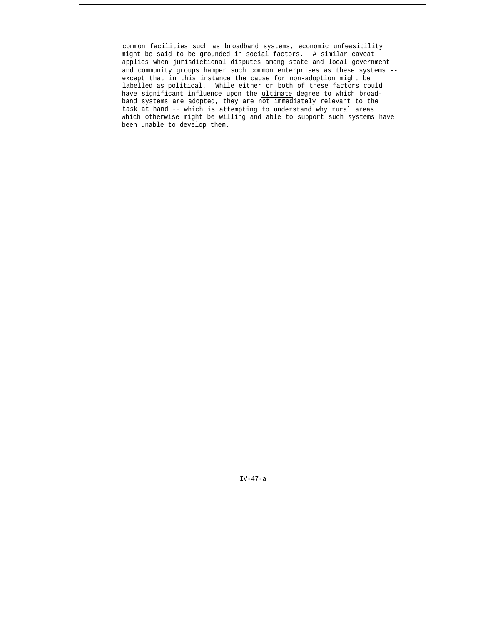common facilities such as broadband systems, economic unfeasibility might be said to be grounded in social factors. A similar caveat applies when jurisdictional disputes among state and local government and community groups hamper such common enterprises as these systems - except that in this instance the cause for non-adoption might be labelled as political. While either or both of these factors could have significant influence upon the ultimate degree to which broadband systems are adopted, they are not immediately relevant to the task at hand -- which is attempting to understand why rural areas which otherwise might be willing and able to support such systems have been unable to develop them.

IV-47-a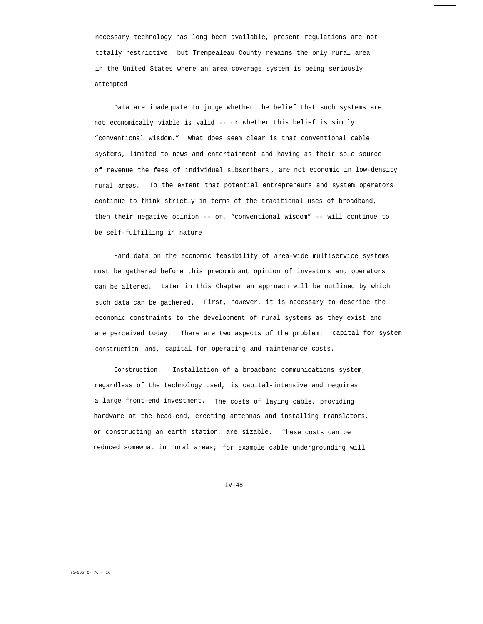necessary technology has long been available, present regulations are not totally restrictive, but Trempealeau County remains the only rural area in the United States where an area-coverage system is being seriously attempted.

Data are inadequate to judge whether the belief that such systems are not economically viable is valid -- or whether this belief is simply "conventional wisdom." What does seem clear is that conventional cable systems, limited to news and entertainment and having as their sole source of revenue the fees of individual subscribers , are not economic in low-density rural areas. To the extent that potential entrepreneurs and system operators continue to think strictly in terms of the traditional uses of broadband, then their negative opinion -- or, "conventional wisdom" -- will continue to be self-fulfilling in nature.

Hard data on the economic feasibility of area-wide multiservice systems must be gathered before this predominant opinion of investors and operators can be altered. Later in this Chapter an approach will be outlined by which such data can be gathered. First, however, it is necessary to describe the economic constraints to the development of rural systems as they exist and are perceived today. There are two aspects of the problem: capital for system construction and, capital for operating and maintenance costs.

Construction. Installation of a broadband communications system, regardless of the technology used, is capital-intensive and requires a large front-end investment. The costs of laying cable, providing hardware at the head-end, erecting antennas and installing translators, or constructing an earth station, are sizable. These costs can be reduced somewhat in rural areas; for example cable undergrounding will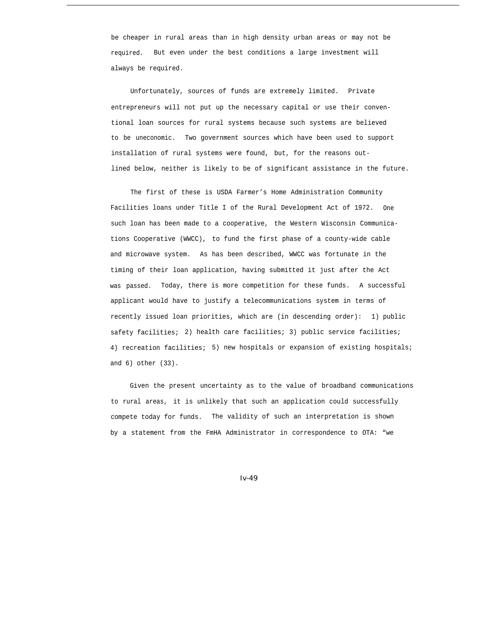be cheaper in rural areas than in high density urban areas or may not be required. But even under the best conditions a large investment will always be required.

Unfortunately, sources of funds are extremely limited. Private entrepreneurs will not put up the necessary capital or use their conventional loan sources for rural systems because such systems are believed to be uneconomic. Two government sources which have been used to support installation of rural systems were found, but, for the reasons outlined below, neither is likely to be of significant assistance in the future.

The first of these is USDA Farmer's Home Administration Community Facilities loans under Title I of the Rural Development Act of 1972. One such loan has been made to a cooperative, the Western Wisconsin Communications Cooperative (WWCC), to fund the first phase of a county-wide cable and microwave system. As has been described, WWCC was fortunate in the timing of their loan application, having submitted it just after the Act was passed. Today, there is more competition for these funds. A successful applicant would have to justify a telecommunications system in terms of recently issued loan priorities, which are (in descending order): 1) public safety facilities; 2) health care facilities; 3) public service facilities; 4) recreation facilities; 5) new hospitals or expansion of existing hospitals; and 6) other (33).

Given the present uncertainty as to the value of broadband communications to rural areas, it is unlikely that such an application could successfully compete today for funds. The validity of such an interpretation is shown by a statement from the FmHA Administrator in correspondence to OTA: "we

*Iv-49*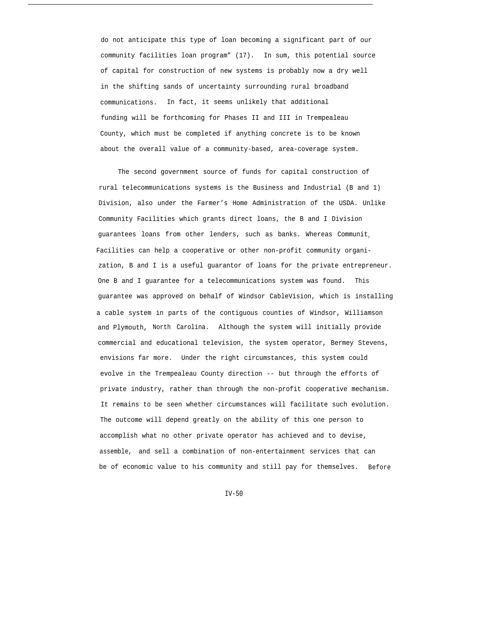do not anticipate this type of loan becoming a significant part of our community facilities loan program" (17). In sum, this potential source of capital for construction of new systems is probably now a dry well in the shifting sands of uncertainty surrounding rural broadband communications. In fact, it seems unlikely that additional funding will be forthcoming for Phases II and III in Trempealeau County, which must be completed if anything concrete is to be known about the overall value of a community-based, area-coverage system.

The second government source of funds for capital construction of rural telecommunications systems is the Business and Industrial (B and 1) Division, also under the Farmer's Home Administration of the USDA. Unlike Community Facilities which grants direct loans, the B and I Division guarantees loans from other lenders, such as banks. Whereas Communit, Facilities can help a cooperative or other non-profit community organization, B and I is a useful guarantor of loans for the private entrepreneur. One B and I guarantee for a telecommunications system was found. This guarantee was approved on behalf of Windsor CableVision, which is installing a cable system in parts of the contiguous counties of Windsor, Williamson and Plymouth, North Carolina. Although the system will initially provide commercial and educational television, the system operator, Bermey Stevens, envisions far more. Under the right circumstances, this system could evolve in the Trempealeau County direction -- but through the efforts of private industry, rather than through the non-profit cooperative mechanism. It remains to be seen whether circumstances will facilitate such evolution. The outcome will depend greatly on the ability of this one person to accomplish what no other private operator has achieved and to devise, assemble, and sell a combination of non-entertainment services that can be of economic value to his community and still pay for themselves. Before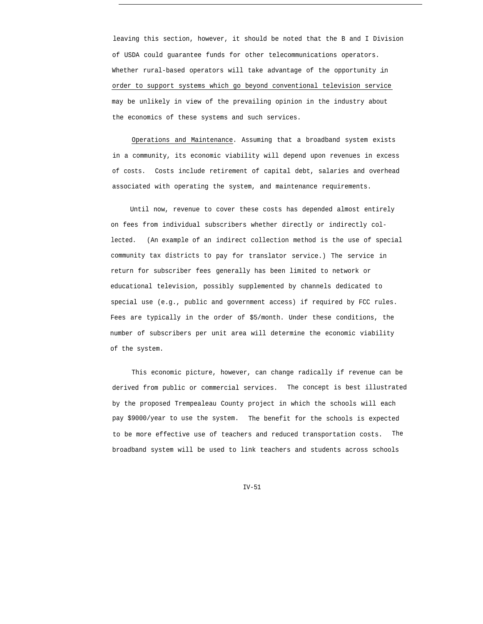leaving this section, however, it should be noted that the B and I Division of USDA could guarantee funds for other telecommunications operators. Whether rural-based operators will take advantage of the opportunity in order to support systems which go beyond conventional television service may be unlikely in view of the prevailing opinion in the industry about the economics of these systems and such services.

Operations and Maintenance. Assuming that a broadband system exists in a community, its economic viability will depend upon revenues in excess of costs. Costs include retirement of capital debt, salaries and overhead associated with operating the system, and maintenance requirements.

Until now, revenue to cover these costs has depended almost entirely on fees from individual subscribers whether directly or indirectly collected. (An example of an indirect collection method is the use of special community tax districts to pay for translator service.) The service in return for subscriber fees generally has been limited to network or educational television, possibly supplemented by channels dedicated to special use (e.g., public and government access) if required by FCC rules. Fees are typically in the order of \$5/month. Under these conditions, the number of subscribers per unit area will determine the economic viability of the system.

This economic picture, however, can change radically if revenue can be derived from public or commercial services. The concept is best illustrated by the proposed Trempealeau County project in which the schools will each pay \$9000/year to use the system. The benefit for the schools is expected to be more effective use of teachers and reduced transportation costs. The broadband system will be used to link teachers and students across schools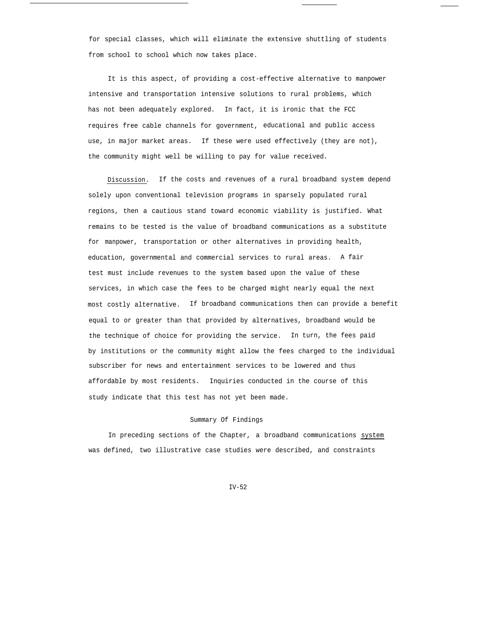for special classes, which will eliminate the extensive shuttling of students from school to school which now takes place.

It is this aspect, of providing a cost-effective alternative to manpower intensive and transportation intensive solutions to rural problems, which has not been adequately explored. In fact, it is ironic that the FCC requires free cable channels for government, educational and public access use, in major market areas. If these were used effectively (they are not), the community might well be willing to pay for value received.

Discussion. If the costs and revenues of a rural broadband system depend solely upon conventional television programs in sparsely populated rural regions, then a cautious stand toward economic viability is justified. What remains to be tested is the value of broadband communications as a substitute for manpower, transportation or other alternatives in providing health, education, governmental and commercial services to rural areas. A fair test must include revenues to the system based upon the value of these services, in which case the fees to be charged might nearly equal the next most costly alternative. If broadband communications then can provide a benefit equal to or greater than that provided by alternatives, broadband would be the technique of choice for providing the service. In turn, the fees paid by institutions or the community might allow the fees charged to the individual subscriber for news and entertainment services to be lowered and thus affordable by most residents. Inquiries conducted in the course of this study indicate that this test has not yet been made.

### Summary Of Findings

In preceding sections of the Chapter, a broadband communications system was defined, two illustrative case studies were described, and constraints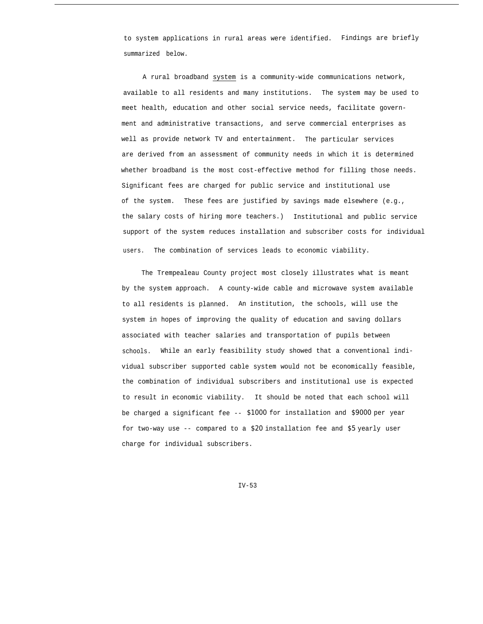to system applications in rural areas were identified. Findings are briefly summarized below.

A rural broadband system is a community-wide communications network, available to all residents and many institutions. The system may be used to meet health, education and other social service needs, facilitate government and administrative transactions, and serve commercial enterprises as well as provide network TV and entertainment. The particular services are derived from an assessment of community needs in which it is determined whether broadband is the most cost-effective method for filling those needs. Significant fees are charged for public service and institutional use of the system. These fees are justified by savings made elsewhere (e.g., the salary costs of hiring more teachers.) Institutional and public service support of the system reduces installation and subscriber costs for individual users. The combination of services leads to economic viability.

The Trempealeau County project most closely illustrates what is meant by the system approach. A county-wide cable and microwave system available to all residents is planned. An institution, the schools, will use the system in hopes of improving the quality of education and saving dollars associated with teacher salaries and transportation of pupils between schools. While an early feasibility study showed that a conventional individual subscriber supported cable system would not be economically feasible, the combination of individual subscribers and institutional use is expected to result in economic viability. It should be noted that each school will be charged a significant fee -- *\$1000* for installation and *\$9000* per year for two-way use -- compared to a *\$20* installation fee and *\$5* yearly user charge for individual subscribers.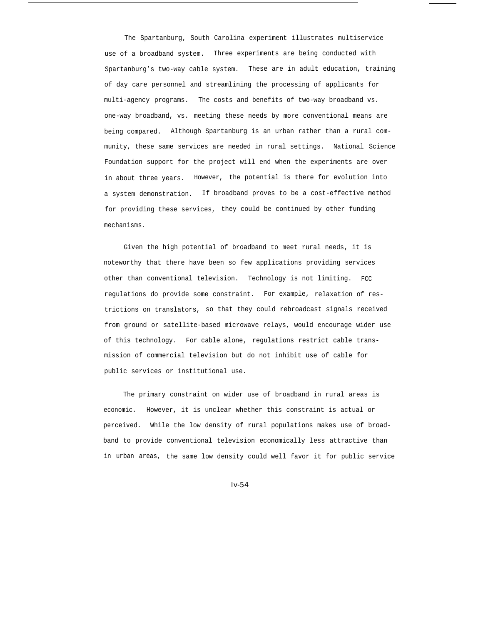The Spartanburg, South Carolina experiment illustrates multiservice use of a broadband system. Three experiments are being conducted with Spartanburg's two-way cable system. These are in adult education, training of day care personnel and streamlining the processing of applicants for multi-agency programs. The costs and benefits of two-way broadband vs. one-way broadband, vs. meeting these needs by more conventional means are being compared. Although Spartanburg is an urban rather than a rural community, these same services are needed in rural settings. National Science Foundation support for the project will end when the experiments are over in about three years. However, the potential is there for evolution into a system demonstration. If broadband proves to be a cost-effective method for providing these services, they could be continued by other funding mechanisms.

Given the high potential of broadband to meet rural needs, it is noteworthy that there have been so few applications providing services other than conventional television. Technology is not limiting. FCC regulations do provide some constraint. For example, relaxation of restrictions on translators, so that they could rebroadcast signals received from ground or satellite-based microwave relays, would encourage wider use of this technology. For cable alone, regulations restrict cable transmission of commercial television but do not inhibit use of cable for public services or institutional use.

The primary constraint on wider use of broadband in rural areas is economic. However, it is unclear whether this constraint is actual or perceived. While the low density of rural populations makes use of broadband to provide conventional television economically less attractive than in urban areas, the same low density could well favor it for public service

*Iv-54*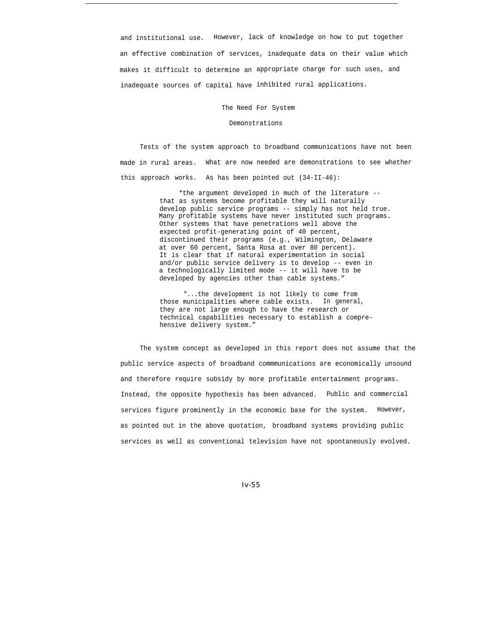and institutional use. However, lack of knowledge on how to put together an effective combination of services, inadequate data on their value which makes it difficult to determine an appropriate charge for such uses, and inadequate sources of capital have inhibited rural applications.

The Need For System

## Demonstrations

Tests of the system approach to broadband communications have not been made in rural areas. What are now needed are demonstrations to see whether this approach works. As has been pointed out (34-II-46):

> "the argument developed in much of the literature - that as systems become profitable they will naturally develop public service programs -- simply has not held true. Many profitable systems have never instituted such programs. Other systems that have penetrations well above the expected profit-generating point of 40 percent, discontinued their programs (e.g., Wilmington, Delaware at over 60 percent, Santa Rosa at over 80 percent). It is clear that if natural experimentation in social and/or public service delivery is to develop -- even in a technologically limited mode -- it will have to be developed by agencies other than cable systems."

"...the development is not likely to come from those municipalities where cable exists. In general, they are not large enough to have the research or technical capabilities necessary to establish a comprehensive delivery system."

The system concept as developed in this report does not assume that the public service aspects of broadband commmunications are economically unsound and therefore require subsidy by more profitable entertainment programs. Instead, the opposite hypothesis has been advanced. Public and commercial services figure prominently in the economic base for the system. However, as pointed out in the above quotation, broadband systems providing public services as well as conventional television have not spontaneously evolved.

*Iv-55*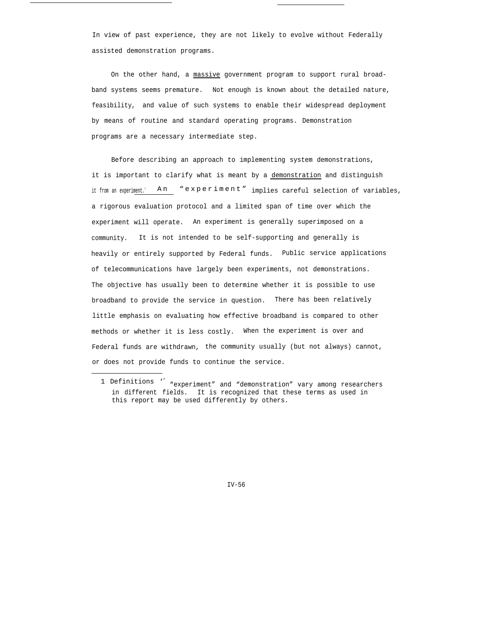In view of past experience, they are not likely to evolve without Federally assisted demonstration programs.

On the other hand, a massive government program to support rural broadband systems seems premature. Not enough is known about the detailed nature, feasibility, and value of such systems to enable their widespread deployment by means of routine and standard operating programs. Demonstration programs are a necessary intermediate step.

Before describing an approach to implementing system demonstrations, it is important to clarify what is meant by a demonstration and distinguish it from an experiment.<sup>1</sup> An "experiment" implies careful selection of variables, a rigorous evaluation protocol and a limited span of time over which the experiment will operate. An experiment is generally superimposed on a community. It is not intended to be self-supporting and generally is heavily or entirely supported by Federal funds. Public service applications of telecommunications have largely been experiments, not demonstrations. The objective has usually been to determine whether it is possible to use broadband to provide the service in question. There has been relatively little emphasis on evaluating how effective broadband is compared to other methods or whether it is less costly. When the experiment is over and Federal funds are withdrawn, the community usually (but not always) cannot, or does not provide funds to continue the service.

<sup>1</sup> Definitions '<sup>f</sup> "experiment" and "demonstration" vary among researchers in different fields. It is recognized that these terms as used in this report may be used differently by others.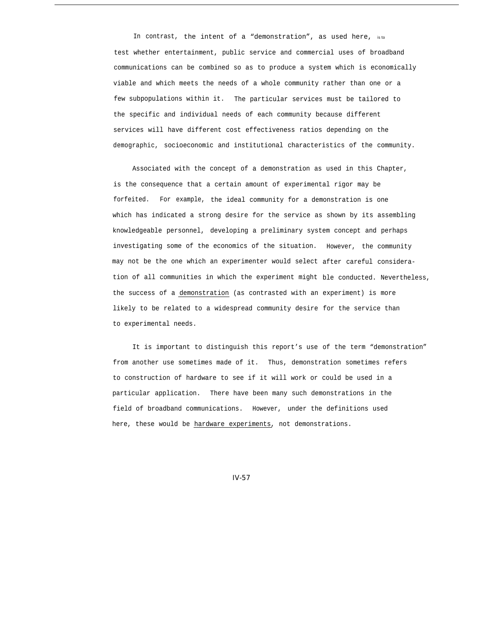In contrast, the intent of a "demonstration", as used here,  $is to$ test whether entertainment, public service and commercial uses of broadband communications can be combined so as to produce a system which is economically viable and which meets the needs of a whole community rather than one or a few subpopulations within it. The particular services must be tailored to the specific and individual needs of each community because different services will have different cost effectiveness ratios depending on the demographic, socioeconomic and institutional characteristics of the community.

Associated with the concept of a demonstration as used in this Chapter, is the consequence that a certain amount of experimental rigor may be forfeited. For example, the ideal community for a demonstration is one which has indicated a strong desire for the service as shown by its assembling knowledgeable personnel, developing a preliminary system concept and perhaps investigating some of the economics of the situation. However, the community may not be the one which an experimenter would select after careful consideration of all communities in which the experiment might ble conducted. Nevertheless, the success of a demonstration (as contrasted with an experiment) is more likely to be related to a widespread community desire for the service than to experimental needs.

It is important to distinguish this report's use of the term "demonstration" from another use sometimes made of it. Thus, demonstration sometimes refers to construction of hardware to see if it will work or could be used in a particular application. There have been many such demonstrations in the field of broadband communications. However, under the definitions used here, these would be hardware experiments, not demonstrations.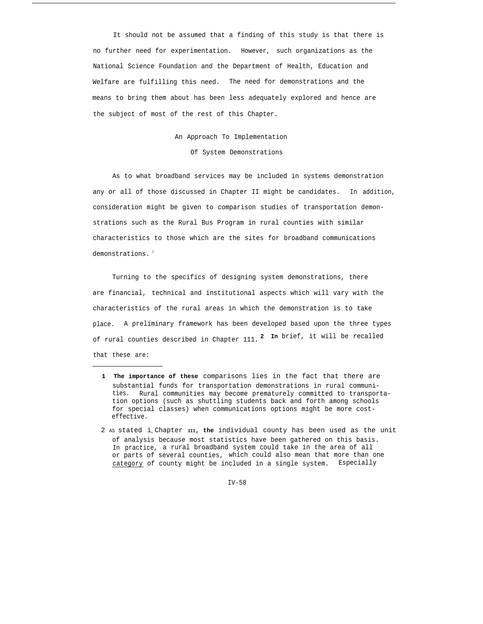It should not be assumed that a finding of this study is that there is no further need for experimentation. However, such organizations as the National Science Foundation and the Department of Health, Education and Welfare are fulfilling this need. The need for demonstrations and the means to bring them about has been less adequately explored and hence are the subject of most of the rest of this Chapter.

# An Approach To Implementation

Of System Demonstrations

As to what broadband services may be included in systems demonstration any or all of those discussed in Chapter II might be candidates. In addition, consideration might be given to comparison studies of transportation demonstrations such as the Rural Bus Program in rural counties with similar characteristics to those which are the sites for broadband communications demonstrations.<sup>1</sup>

Turning to the specifics of designing system demonstrations, there are financial, technical and institutional aspects which will vary with the characteristics of the rural areas in which the demonstration is to take place. A preliminary framework has been developed based upon the three types of rural counties described in Chapter 111.<sup>2</sup> In brief, it will be recalled that these are:

- **1 The importance of these** comparisons lies in the fact that there are substantial funds for transportation demonstrations in rural communities. Rural communities may become prematurely committed to transportation options (such as shuttling students back and forth among schools for special classes) when communications options might be more costeffective.
- 2 AS stated in Chapter **III, the** individual county has been used as the unit of analysis because most statistics have been gathered on this basis. In practice, a rural broadband system could take in the area of all or parts of several counties, which could also mean that more than one category of county might be included in a single system. Especially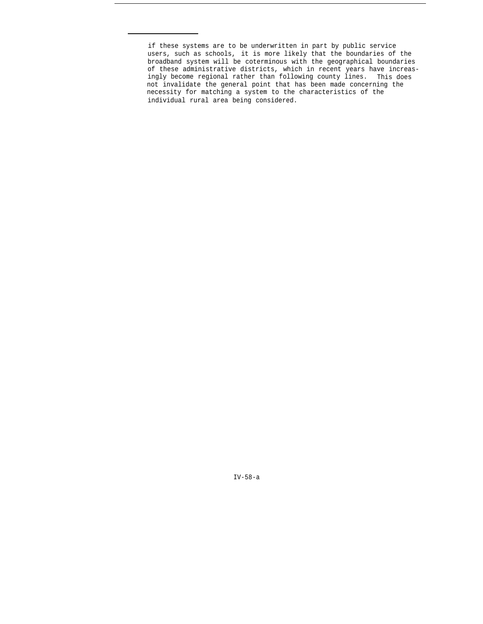if these systems are to be underwritten in part by public service users, such as schools, it is more likely that the boundaries of the broadband system will be coterminous with the geographical boundaries of these administrative districts, which in recent years have increasingly become regional rather than following county lines. This does not invalidate the general point that has been made concerning the necessity for matching a system to the characteristics of the individual rural area being considered.

IV-58-a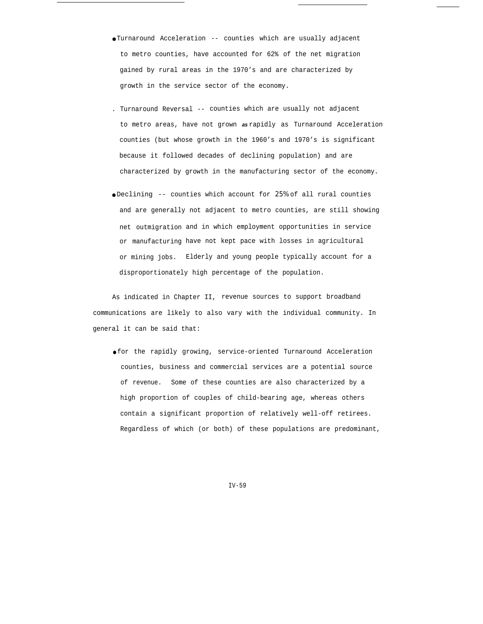- Turnaround Acceleration -- counties which are usually adjacent to metro counties, have accounted for 62% of the net migration gained by rural areas in the 1970's and are characterized by growth in the service sector of the economy.
- . Turnaround Reversal -- counties which are usually not adjacent to metro areas, have not grown **as** rapidly as Turnaround Acceleration counties (but whose growth in the 1960's and 1970's is significant because it followed decades of declining population) and are characterized by growth in the manufacturing sector of the economy.
- Declining -- counties which account for *25%* of all rural counties and are generally not adjacent to metro counties, are still showing net outmigration and in which employment opportunities in service or manufacturing have not kept pace with losses in agricultural or mining jobs. Elderly and young people typically account for a disproportionately high percentage of the population.

As indicated in Chapter II, revenue sources to support broadband communications are likely to also vary with the individual community. In general it can be said that:

● for the rapidly growing, service-oriented Turnaround Acceleration counties, business and commercial services are a potential source of revenue. Some of these counties are also characterized by a high proportion of couples of child-bearing age, whereas others contain a significant proportion of relatively well-off retirees. Regardless of which (or both) of these populations are predominant,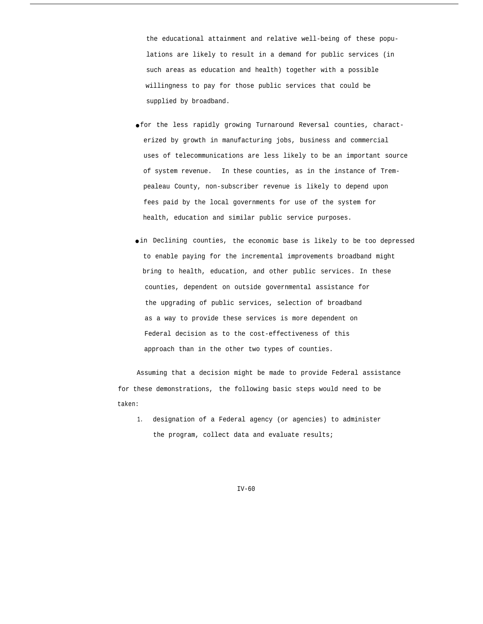the educational attainment and relative well-being of these populations are likely to result in a demand for public services (in such areas as education and health) together with a possible willingness to pay for those public services that could be supplied by broadband.

- for the less rapidly growing Turnaround Reversal counties, characterized by growth in manufacturing jobs, business and commercial uses of telecommunications are less likely to be an important source of system revenue. In these counties, as in the instance of Trempealeau County, non-subscriber revenue is likely to depend upon fees paid by the local governments for use of the system for health, education and similar public service purposes.
- in Declining counties, the economic base is likely to be too depressed to enable paying for the incremental improvements broadband might bring to health, education, and other public services. In these counties, dependent on outside governmental assistance for the upgrading of public services, selection of broadband as a way to provide these services is more dependent on Federal decision as to the cost-effectiveness of this approach than in the other two types of counties.

Assuming that a decision might be made to provide Federal assistance for these demonstrations, the following basic steps would need to be taken:

1. designation of a Federal agency (or agencies) to administer the program, collect data and evaluate results;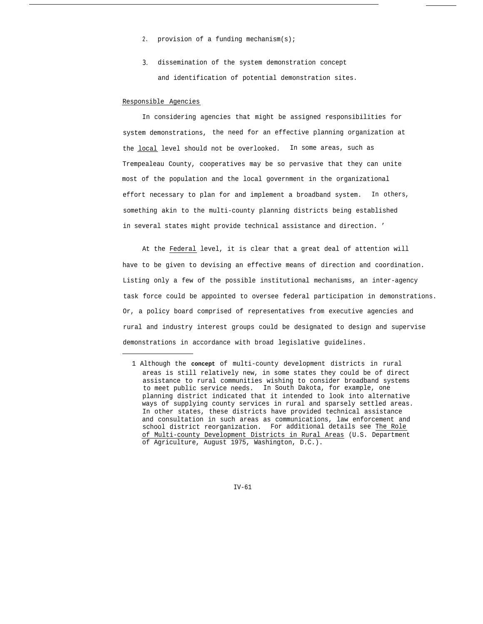- 2. provision of a funding mechanism(s);
- *3.* dissemination of the system demonstration concept and identification of potential demonstration sites.

## Responsible Agencies

In considering agencies that might be assigned responsibilities for system demonstrations, the need for an effective planning organization at the local level should not be overlooked. In some areas, such as Trempealeau County, cooperatives may be so pervasive that they can unite most of the population and the local government in the organizational effort necessary to plan for and implement a broadband system. In others, something akin to the multi-county planning districts being established in several states might provide technical assistance and direction. '

At the Federal level, it is clear that a great deal of attention will have to be given to devising an effective means of direction and coordination. Listing only a few of the possible institutional mechanisms, an inter-agency task force could be appointed to oversee federal participation in demonstrations. Or, a policy board comprised of representatives from executive agencies and rural and industry interest groups could be designated to design and supervise demonstrations in accordance with broad legislative guidelines.

<sup>1</sup> Although the **concept** of multi-county development districts in rural areas is still relatively new, in some states they could be of direct assistance to rural communities wishing to consider broadband systems to meet public service needs. In South Dakota, for example, one planning district indicated that it intended to look into alternative ways of supplying county services in rural and sparsely settled areas. In other states, these districts have provided technical assistance and consultation in such areas as communications, law enforcement and school district reorganization. For additional details see The Role of Multi-county Development Districts in Rural Areas (U.S. Department of Agriculture, August 1975, Washington, D.C.).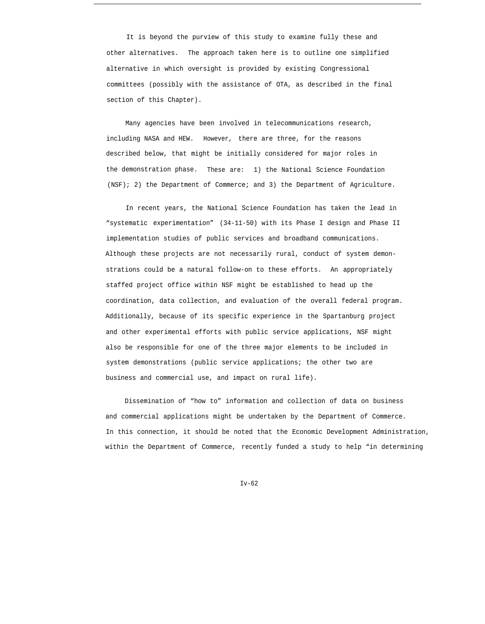It is beyond the purview of this study to examine fully these and other alternatives. The approach taken here is to outline one simplified alternative in which oversight is provided by existing Congressional committees (possibly with the assistance of OTA, as described in the final section of this Chapter).

Many agencies have been involved in telecommunications research, including NASA and HEW. However, there are three, for the reasons described below, that might be initially considered for major roles in the demonstration phase. These are: 1) the National Science Foundation (NSF); 2) the Department of Commerce; and 3) the Department of Agriculture.

In recent years, the National Science Foundation has taken the lead in "systematic experimentation" (34-11-50) with its Phase I design and Phase II implementation studies of public services and broadband communications. Although these projects are not necessarily rural, conduct of system demonstrations could be a natural follow-on to these efforts. An appropriately staffed project office within NSF might be established to head up the coordination, data collection, and evaluation of the overall federal program. Additionally, because of its specific experience in the Spartanburg project and other experimental efforts with public service applications, NSF might also be responsible for one of the three major elements to be included in system demonstrations (public service applications; the other two are business and commercial use, and impact on rural life).

Dissemination of "how to" information and collection of data on business and commercial applications might be undertaken by the Department of Commerce. In this connection, it should be noted that the Economic Development Administration, within the Department of Commerce, recently funded a study to help "in determining

 $Tv-62$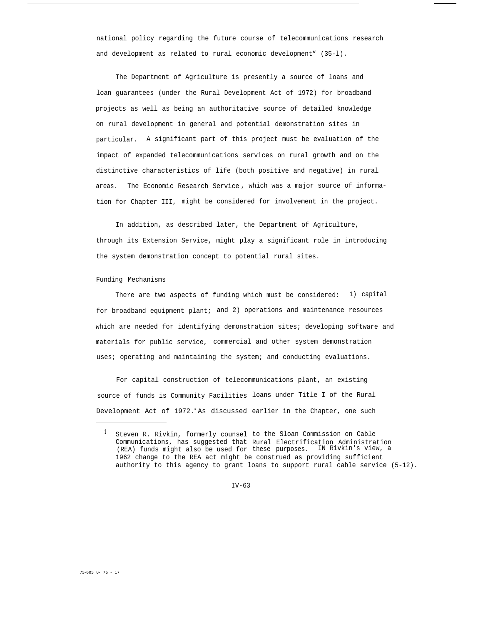national policy regarding the future course of telecommunications research and development as related to rural economic development" (35-l).

The Department of Agriculture is presently a source of loans and loan guarantees (under the Rural Development Act of 1972) for broadband projects as well as being an authoritative source of detailed knowledge on rural development in general and potential demonstration sites in particular. A significant part of this project must be evaluation of the impact of expanded telecommunications services on rural growth and on the distinctive characteristics of life (both positive and negative) in rural areas. The Economic Research Service , which was a major source of information for Chapter III, might be considered for involvement in the project.

In addition, as described later, the Department of Agriculture, through its Extension Service, might play a significant role in introducing the system demonstration concept to potential rural sites.

#### Funding Mechanisms

There are two aspects of funding which must be considered: 1) capital for broadband equipment plant; and 2) operations and maintenance resources which are needed for identifying demonstration sites; developing software and materials for public service, commercial and other system demonstration uses; operating and maintaining the system; and conducting evaluations.

For capital construction of telecommunications plant, an existing source of funds is Community Facilities loans under Title I of the Rural Development Act of 1972. As discussed earlier in the Chapter, one such

 $^{\perp}$  Steven R. Rivkin, formerly counsel to the Sloan Commission on Cable Communications, has suggested that Rural Electrification Administration (REA) funds might also be used for these purposes. IN Rivkin's view, a 1962 change to the REA act might be construed as providing sufficient authority to this agency to grant loans to support rural cable service (5-12).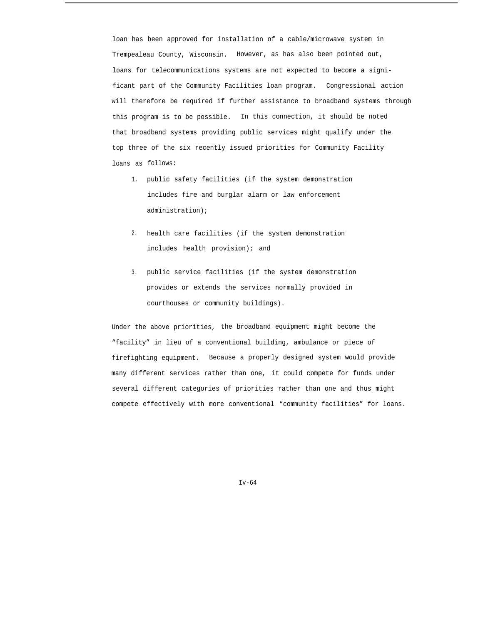loan has been approved for installation of a cable/microwave system in Trempealeau County, Wisconsin. However, as has also been pointed out, loans for telecommunications systems are not expected to become a significant part of the Community Facilities loan program. Congressional action will therefore be required if further assistance to broadband systems through this program is to be possible. In this connection, it should be noted that broadband systems providing public services might qualify under the top three of the six recently issued priorities for Community Facility loans as follows:

- 1. public safety facilities (if the system demonstration includes fire and burglar alarm or law enforcement administration);
- 2. health care facilities (if the system demonstration includes health provision); and
- 3. public service facilities (if the system demonstration provides or extends the services normally provided in courthouses or community buildings).

Under the above priorities, the broadband equipment might become the "facility" in lieu of a conventional building, ambulance or piece of firefighting equipment. Because a properly designed system would provide many different services rather than one, it could compete for funds under several different categories of priorities rather than one and thus might compete effectively with more conventional "community facilities" for loans.

Iv-64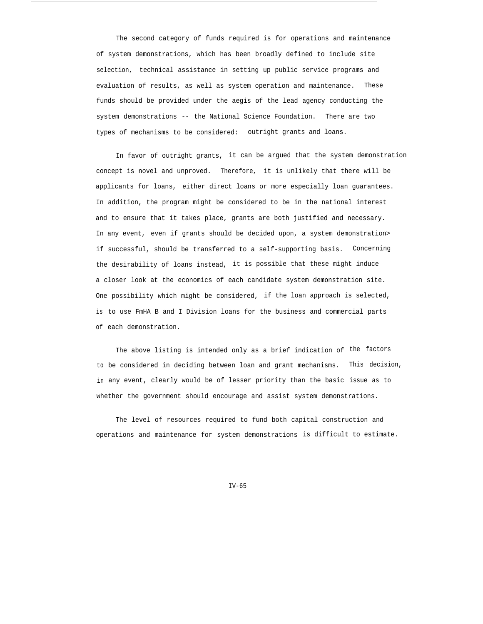The second category of funds required is for operations and maintenance of system demonstrations, which has been broadly defined to include site selection, technical assistance in setting up public service programs and evaluation of results, as well as system operation and maintenance. These funds should be provided under the aegis of the lead agency conducting the system demonstrations -- the National Science Foundation. There are two types of mechanisms to be considered: outright grants and loans.

In favor of outright grants, it can be argued that the system demonstration concept is novel and unproved. Therefore, it is unlikely that there will be applicants for loans, either direct loans or more especially loan guarantees. In addition, the program might be considered to be in the national interest and to ensure that it takes place, grants are both justified and necessary. In any event, even if grants should be decided upon, a system demonstration> if successful, should be transferred to a self-supporting basis. Concerning the desirability of loans instead, it is possible that these might induce a closer look at the economics of each candidate system demonstration site. One possibility which might be considered, if the loan approach is selected, is to use FmHA B and I Division loans for the business and commercial parts of each demonstration.

to be considered in deciding between loan and grant mechanisms. This decision, in any event, clearly would be of lesser priority than the basic issue as to The above listing is intended only as a brief indication of the factors whether the government should encourage and assist system demonstrations.

The level of resources required to fund both capital construction and operations and maintenance for system demonstrations is difficult to estimate.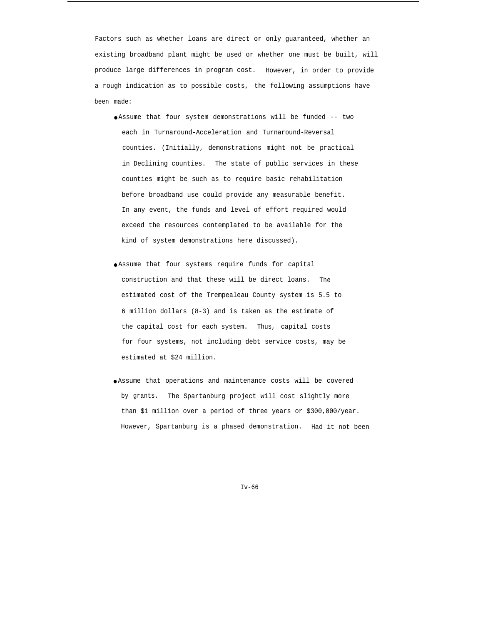Factors such as whether loans are direct or only guaranteed, whether an existing broadband plant might be used or whether one must be built, will produce large differences in program cost. However, in order to provide a rough indication as to possible costs, the following assumptions have been made:

- Assume that four system demonstrations will be funded -- two each in Turnaround-Acceleration and Turnaround-Reversal counties. (Initially, demonstrations might not be practical in Declining counties. The state of public services in these counties might be such as to require basic rehabilitation before broadband use could provide any measurable benefit. In any event, the funds and level of effort required would exceed the resources contemplated to be available for the kind of system demonstrations here discussed).
- Assume that four systems require funds for capital construction and that these will be direct loans. The estimated cost of the Trempealeau County system is 5.5 to 6 million dollars (8-3) and is taken as the estimate of the capital cost for each system. Thus, capital costs for four systems, not including debt service costs, may be estimated at \$24 million.
- Assume that operations and maintenance costs will be covered by grants. The Spartanburg project will cost slightly more than \$1 million over a period of three years or \$300,000/year. However, Spartanburg is a phased demonstration. Had it not been

Iv-66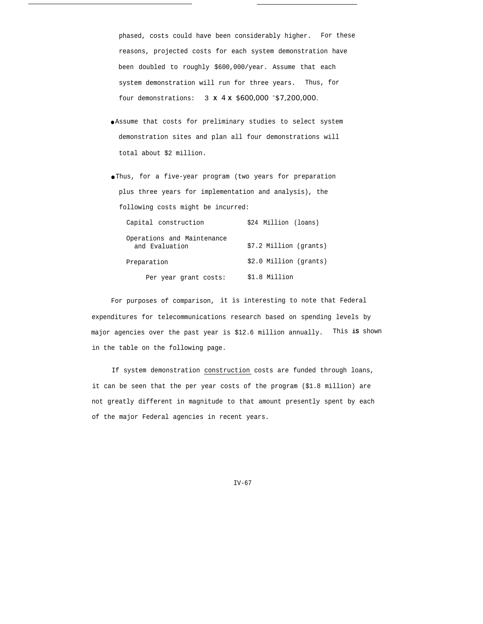phased, costs could have been considerably higher. For these reasons, projected costs for each system demonstration have been doubled to roughly \$600,000/year. Assume that each system demonstration will run for three years. Thus, for four demonstrations: 3 **X** *4* **X** *\$600,000 <sup>=</sup>\$7,200,000.*

- Assume that costs for preliminary studies to select system demonstration sites and plan all four demonstrations will total about \$2 million.
- Thus, for a five-year program (two years for preparation plus three years for implementation and analysis), the following costs might be incurred:

| Capital construction                         | \$24 Million (loans)   |
|----------------------------------------------|------------------------|
| Operations and Maintenance<br>and Evaluation | \$7.2 Million (grants) |
| Preparation                                  | \$2.0 Million (grants) |
| Per year grant costs:                        | \$1.8 Million          |

For purposes of comparison, it is interesting to note that Federal expenditures for telecommunications research based on spending levels by major agencies over the past year is \$12.6 million annually. This **iS** shown in the table on the following page.

If system demonstration construction costs are funded through loans, it can be seen that the per year costs of the program (\$1.8 million) are not greatly different in magnitude to that amount presently spent by each of the major Federal agencies in recent years.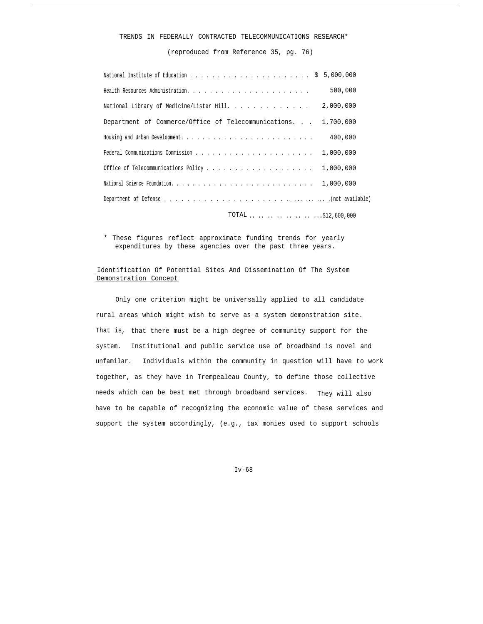## TRENDS IN FEDERALLY CONTRACTED TELECOMMUNICATIONS RESEARCH\*

(reproduced from Reference 35, pg. 76)

|                                                     | 500,000                 |
|-----------------------------------------------------|-------------------------|
| National Library of Medicine/Lister Hill.           | 2,000,000               |
| Department of Commerce/Office of Telecommunications | 1,700,000               |
|                                                     | 400,000                 |
|                                                     | 1,000,000               |
|                                                     | 1,000,000               |
|                                                     | 1,000,000               |
|                                                     |                         |
|                                                     | TOTAL      \$12,600,000 |

\* These figures reflect approximate funding trends for yearly expenditures by these agencies over the past three years.

# Identification Of Potential Sites And Dissemination Of The System Demonstration Concept

Only one criterion might be universally applied to all candidate rural areas which might wish to serve as a system demonstration site. That is, that there must be a high degree of community support for the system. Institutional and public service use of broadband is novel and unfamilar. Individuals within the community in question will have to work together, as they have in Trempealeau County, to define those collective needs which can be best met through broadband services. They will also have to be capable of recognizing the economic value of these services and support the system accordingly, (e.g., tax monies used to support schools

Iv-68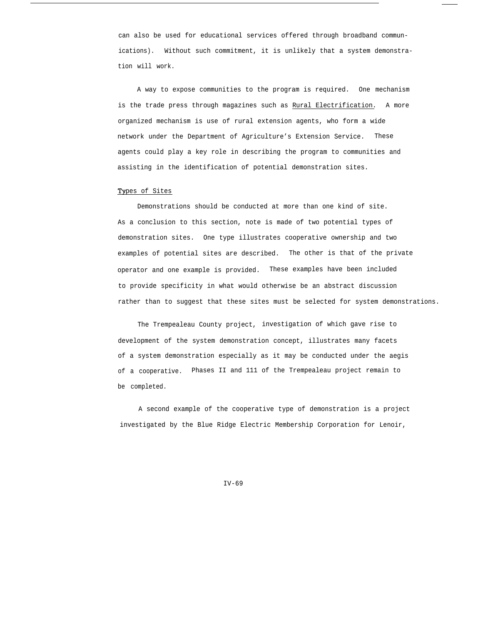can also be used for educational services offered through broadband communications). Without such commitment, it is unlikely that a system demonstration will work.

A way to expose communities to the program is required. One mechanism is the trade press through magazines such as Rural Electrification. A more organized mechanism is use of rural extension agents, who form a wide network under the Department of Agriculture's Extension Service. These agents could play a key role in describing the program to communities and assisting in the identification of potential demonstration sites.

## Types of Sites

Demonstrations should be conducted at more than one kind of site. As a conclusion to this section, note is made of two potential types of demonstration sites. One type illustrates cooperative ownership and two examples of potential sites are described. The other is that of the private operator and one example is provided. These examples have been included to provide specificity in what would otherwise be an abstract discussion rather than to suggest that these sites must be selected for system demonstrations.

The Trempealeau County project, investigation of which gave rise to development of the system demonstration concept, illustrates many facets of a system demonstration especially as it may be conducted under the aegis of a cooperative. Phases II and 111 of the Trempealeau project remain to be completed.

A second example of the cooperative type of demonstration is a project investigated by the Blue Ridge Electric Membership Corporation for Lenoir,

 $TV-69$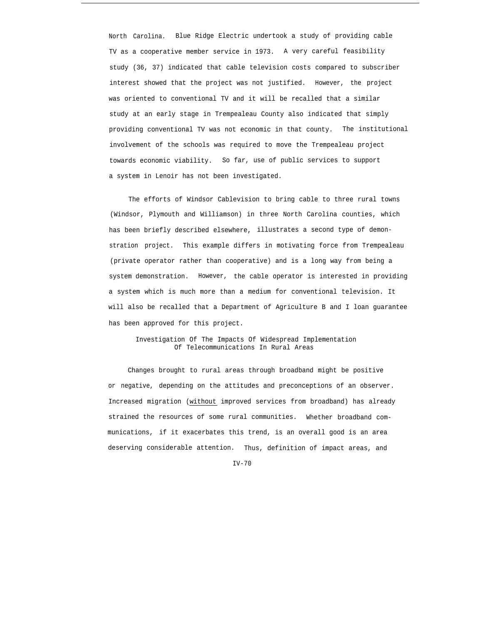North Carolina. Blue Ridge Electric undertook a study of providing cable TV as a cooperative member service in 1973. A very careful feasibility study (36, 37) indicated that cable television costs compared to subscriber interest showed that the project was not justified. However, the project was oriented to conventional TV and it will be recalled that a similar study at an early stage in Trempealeau County also indicated that simply providing conventional TV was not economic in that county. The institutional involvement of the schools was required to move the Trempealeau project towards economic viability. So far, use of public services to support a system in Lenoir has not been investigated.

The efforts of Windsor Cablevision to bring cable to three rural towns (Windsor, Plymouth and Williamson) in three North Carolina counties, which has been briefly described elsewhere, illustrates a second type of demonstration project. This example differs in motivating force from Trempealeau (private operator rather than cooperative) and is a long way from being a system demonstration. However, the cable operator is interested in providing a system which is much more than a medium for conventional television. It will also be recalled that a Department of Agriculture B and I loan guarantee has been approved for this project.

Investigation Of The Impacts Of Widespread Implementation Of Telecommunications In Rural Areas

Changes brought to rural areas through broadband might be positive or negative, depending on the attitudes and preconceptions of an observer. Increased migration (without improved services from broadband) has already strained the resources of some rural communities. Whether broadband communications, if it exacerbates this trend, is an overall good is an area deserving considerable attention. Thus, definition of impact areas, and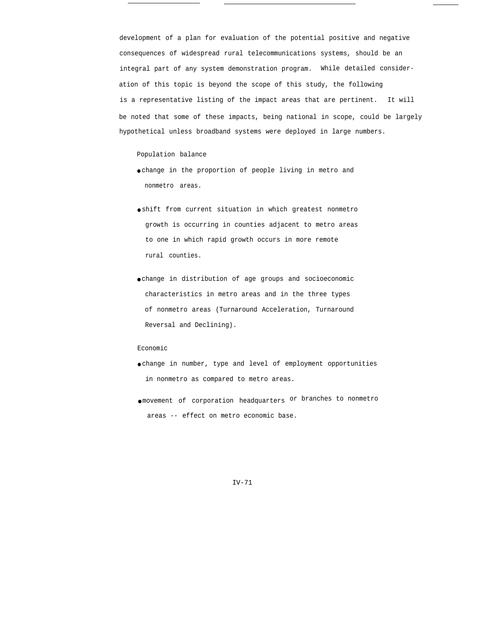development of a plan for evaluation of the potential positive and negative consequences of widespread rural telecommunications systems, should be an integral part of any system demonstration program. While detailed consideration of this topic is beyond the scope of this study, the following is a representative listing of the impact areas that are pertinent. It will be noted that some of these impacts, being national in scope, could be largely hypothetical unless broadband systems were deployed in large numbers.

Population balance

- change in the proportion of people living in metro and nonmetro areas.
- shift from current situation in which greatest nonmetro growth is occurring in counties adjacent to metro areas to one in which rapid growth occurs in more remote rural counties.
- change in distribution of age groups and socioeconomic characteristics in metro areas and in the three types of nonmetro areas (Turnaround Acceleration, Turnaround Reversal and Declining).

### Economic

- change in number, type and level of employment opportunities in nonmetro as compared to metro areas.
- movement of corporation headquarters or branches to nonmetro areas -- effect on metro economic base.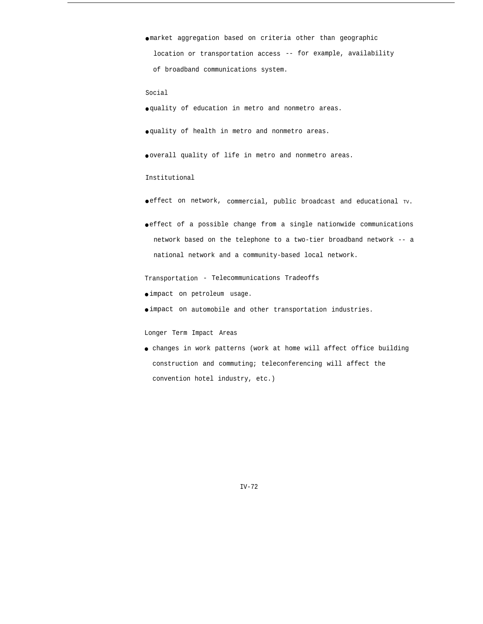● market aggregation based on criteria other than geographic location or transportation access -- for example, availability of broadband communications system.

Social

● quality of education in metro and nonmetro areas.

● quality of health in metro and nonmetro areas.

● overall quality of life in metro and nonmetro areas.

Institutional

- effect on network, commercial, public broadcast and educational TV.
- effect of a possible change from a single nationwide communications network based on the telephone to a two-tier broadband network -- a national network and a community-based local network.

Transportation - Telecommunications Tradeoffs

- impact on petroleum usage.
- impact on automobile and other transportation industries.

Longer Term Impact Areas

● changes in work patterns (work at home will affect office building construction and commuting; teleconferencing will affect the convention hotel industry, etc.)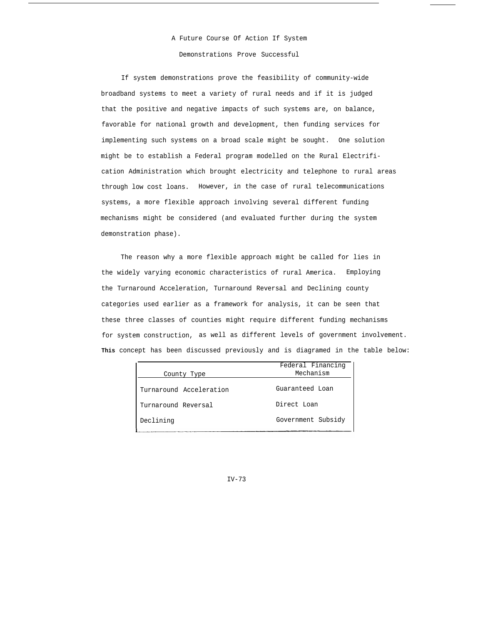# A Future Course Of Action If System Demonstrations Prove Successful

If system demonstrations prove the feasibility of community-wide broadband systems to meet a variety of rural needs and if it is judged that the positive and negative impacts of such systems are, on balance, favorable for national growth and development, then funding services for implementing such systems on a broad scale might be sought. One solution might be to establish a Federal program modelled on the Rural Electrification Administration which brought electricity and telephone to rural areas through low cost loans. However, in the case of rural telecommunications systems, a more flexible approach involving several different funding mechanisms might be considered (and evaluated further during the system demonstration phase).

The reason why a more flexible approach might be called for lies in the widely varying economic characteristics of rural America. Employing the Turnaround Acceleration, Turnaround Reversal and Declining county categories used earlier as a framework for analysis, it can be seen that these three classes of counties might require different funding mechanisms for system construction, as well as different levels of government involvement. **This** concept has been discussed previously and is diagramed in the table below:

|                         | Federal Financing  |  |
|-------------------------|--------------------|--|
| County Type             | Mechanism          |  |
| Turnaround Acceleration | Guaranteed Loan    |  |
| Turnaround Reversal     | Direct Loan        |  |
| Declining               | Government Subsidy |  |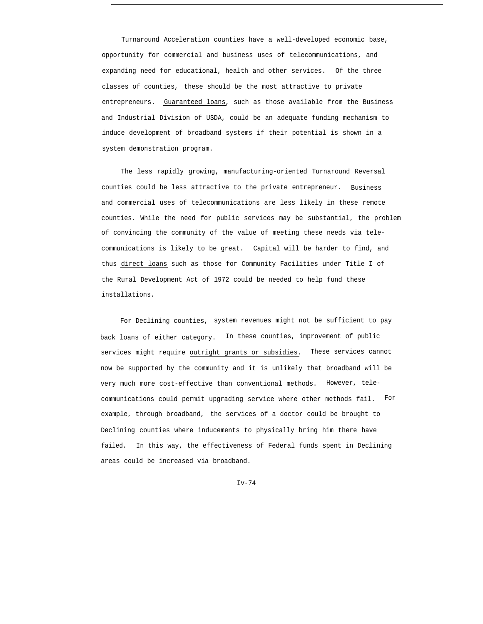Turnaround Acceleration counties have a well-developed economic base, opportunity for commercial and business uses of telecommunications, and expanding need for educational, health and other services. Of the three classes of counties, these should be the most attractive to private entrepreneurs. Guaranteed loans, such as those available from the Business and Industrial Division of USDA, could be an adequate funding mechanism to induce development of broadband systems if their potential is shown in a system demonstration program.

The less rapidly growing, manufacturing-oriented Turnaround Reversal counties could be less attractive to the private entrepreneur. Business and commercial uses of telecommunications are less likely in these remote counties. While the need for public services may be substantial, the problem of convincing the community of the value of meeting these needs via telecommunications is likely to be great. Capital will be harder to find, and thus direct loans such as those for Community Facilities under Title I of the Rural Development Act of 1972 could be needed to help fund these installations.

For Declining counties, system revenues might not be sufficient to pay back loans of either category. In these counties, improvement of public services might require outright grants or subsidies. These services cannot now be supported by the community and it is unlikely that broadband will be very much more cost-effective than conventional methods. However, telecommunications could permit upgrading service where other methods fail. For example, through broadband, the services of a doctor could be brought to Declining counties where inducements to physically bring him there have failed. In this way, the effectiveness of Federal funds spent in Declining areas could be increased via broadband.

 $Iv-74$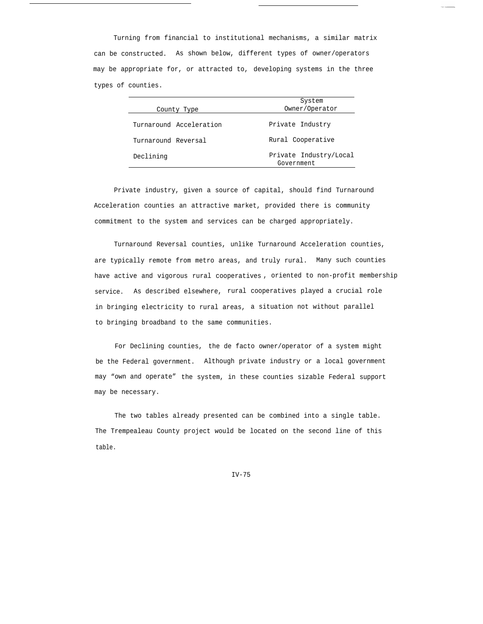Turning from financial to institutional mechanisms, a similar matrix can be constructed. As shown below, different types of owner/operators may be appropriate for, or attracted to, developing systems in the three types of counties.

|                         | System                               |  |
|-------------------------|--------------------------------------|--|
| County Type             | Owner/Operator                       |  |
| Turnaround Acceleration | Private Industry                     |  |
| Turnaround Reversal     | Rural Cooperative                    |  |
| Declining               | Private Industry/Local<br>Government |  |

Private industry, given a source of capital, should find Turnaround Acceleration counties an attractive market, provided there is community commitment to the system and services can be charged appropriately.

Turnaround Reversal counties, unlike Turnaround Acceleration counties, are typically remote from metro areas, and truly rural. Many such counties have active and vigorous rural cooperatives , oriented to non-profit membership service. As described elsewhere, rural cooperatives played a crucial role in bringing electricity to rural areas, a situation not without parallel to bringing broadband to the same communities.

For Declining counties, the de facto owner/operator of a system might be the Federal government. Although private industry or a local government may "own and operate" the system, in these counties sizable Federal support may be necessary.

The two tables already presented can be combined into a single table. The Trempealeau County project would be located on the second line of this table.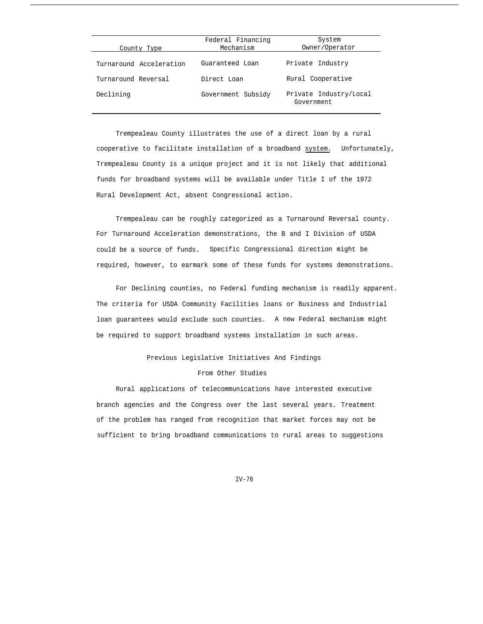| County Type             | Federal Financing<br>Mechanism | System<br>Owner/Operator             |
|-------------------------|--------------------------------|--------------------------------------|
| Turnaround Acceleration | Guaranteed Loan                | Private Industry                     |
| Turnaround Reversal     | Direct Loan                    | Rural Cooperative                    |
| Declining               | Government Subsidy             | Private Industry/Local<br>Government |

Trempealeau County illustrates the use of a direct loan by a rural cooperative to facilitate installation of a broadband system. Unfortunately, Trempealeau County is a unique project and it is not likely that additional funds for broadband systems will be available under Title I of the 1972 Rural Development Act, absent Congressional action.

Trempealeau can be roughly categorized as a Turnaround Reversal county. For Turnaround Acceleration demonstrations, the B and I Division of USDA could be a source of funds. Specific Congressional direction might be required, however, to earmark some of these funds for systems demonstrations.

For Declining counties, no Federal funding mechanism is readily apparent. The criteria for USDA Community Facilities loans or Business and Industrial loan guarantees would exclude such counties. A new Federal mechanism might be required to support broadband systems installation in such areas.

# Previous Legislative Initiatives And Findings

# From Other Studies

Rural applications of telecommunications have interested executive branch agencies and the Congress over the last several years. Treatment of the problem has ranged from recognition that market forces may not be sufficient to bring broadband communications to rural areas to suggestions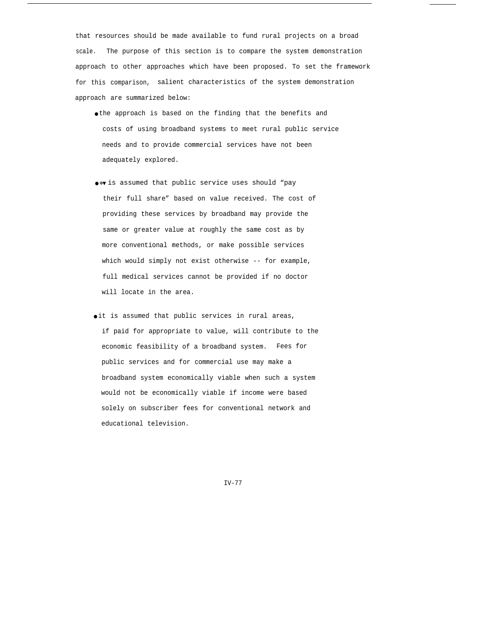that resources should be made available to fund rural projects on a broad scale. The purpose of this section is to compare the system demonstration approach to other approaches which have been proposed. To set the framework for this comparison, salient characteristics of the system demonstration approach are summarized below:

- the approach is based on the finding that the benefits and costs of using broadband systems to meet rural public service needs and to provide commercial services have not been adequately explored.
- $●∗$  is assumed that public service uses should "pay their full share" based on value received. The cost of providing these services by broadband may provide the same or greater value at roughly the same cost as by more conventional methods, or make possible services which would simply not exist otherwise -- for example, full medical services cannot be provided if no doctor will locate in the area.
- oit is assumed that public services in rural areas, if paid for appropriate to value, will contribute to the economic feasibility of a broadband system. Fees for public services and for commercial use may make a broadband system economically viable when such a system would not be economically viable if income were based solely on subscriber fees for conventional network and educational television.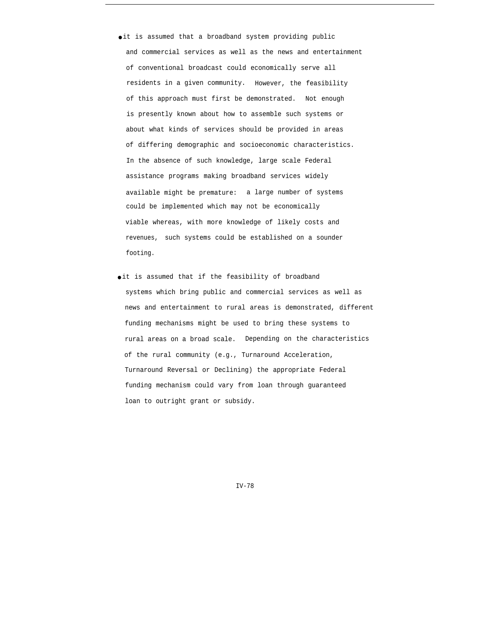- it is assumed that a broadband system providing public and commercial services as well as the news and entertainment of conventional broadcast could economically serve all residents in a given community. However, the feasibility of this approach must first be demonstrated. Not enough is presently known about how to assemble such systems or about what kinds of services should be provided in areas of differing demographic and socioeconomic characteristics. In the absence of such knowledge, large scale Federal assistance programs making broadband services widely available might be premature: a large number of systems could be implemented which may not be economically viable whereas, with more knowledge of likely costs and revenues, such systems could be established on a sounder footing.
- oit is assumed that if the feasibility of broadband systems which bring public and commercial services as well as news and entertainment to rural areas is demonstrated, different funding mechanisms might be used to bring these systems to rural areas on a broad scale. Depending on the characteristics of the rural community (e.g., Turnaround Acceleration, Turnaround Reversal or Declining) the appropriate Federal funding mechanism could vary from loan through guaranteed loan to outright grant or subsidy.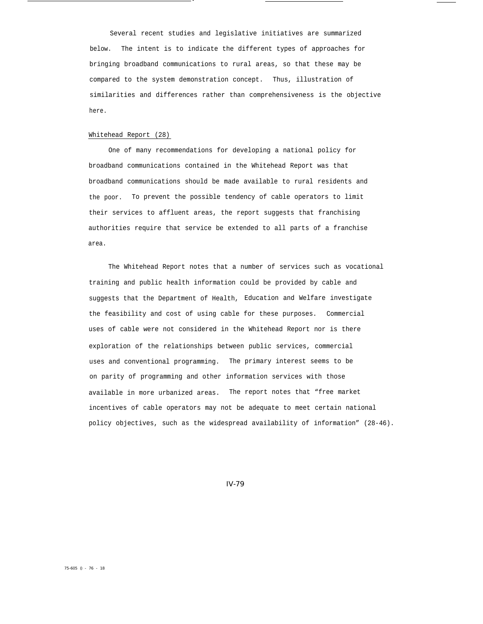Several recent studies and legislative initiatives are summarized below. The intent is to indicate the different types of approaches for bringing broadband communications to rural areas, so that these may be compared to the system demonstration concept. Thus, illustration of similarities and differences rather than comprehensiveness is the objective here.

.

### Whitehead Report (28)

One of many recommendations for developing a national policy for broadband communications contained in the Whitehead Report was that broadband communications should be made available to rural residents and the poor. To prevent the possible tendency of cable operators to limit their services to affluent areas, the report suggests that franchising authorities require that service be extended to all parts of a franchise area.

The Whitehead Report notes that a number of services such as vocational training and public health information could be provided by cable and suggests that the Department of Health, Education and Welfare investigate the feasibility and cost of using cable for these purposes. Commercial uses of cable were not considered in the Whitehead Report nor is there exploration of the relationships between public services, commercial uses and conventional programming. The primary interest seems to be on parity of programming and other information services with those available in more urbanized areas. The report notes that "free market incentives of cable operators may not be adequate to meet certain national policy objectives, such as the widespread availability of information" (28-46).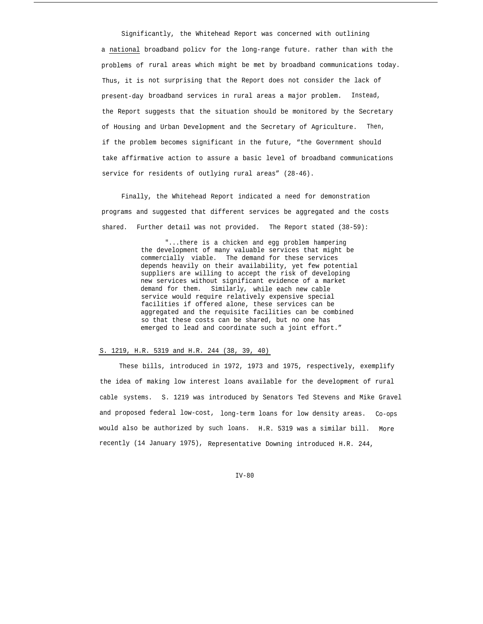Significantly, the Whitehead Report was concerned with outlining a national broadband policv for the long-range future. rather than with the problems of rural areas which might be met by broadband communications today. Thus, it is not surprising that the Report does not consider the lack of present-day broadband services in rural areas a major problem. Instead, the Report suggests that the situation should be monitored by the Secretary of Housing and Urban Development and the Secretary of Agriculture. Then, if the problem becomes significant in the future, "the Government should take affirmative action to assure a basic level of broadband communications service for residents of outlying rural areas" (28-46).

Finally, the Whitehead Report indicated a need for demonstration programs and suggested that different services be aggregated and the costs shared. Further detail was not provided. The Report stated (38-59):

> "...there is a chicken and egg problem hampering the development of many valuable services that might be commercially viable. The demand for these services depends heavily on their availability, yet few potential suppliers are willing to accept the risk of developing new services without significant evidence of a market demand for them. Similarly, while each new cable service would require relatively expensive special facilities if offered alone, these services can be aggregated and the requisite facilities can be combined so that these costs can be shared, but no one has emerged to lead and coordinate such a joint effort."

# S. 1219, H.R. 5319 and H.R. 244 (38, 39, 40)

These bills, introduced in 1972, 1973 and 1975, respectively, exemplify the idea of making low interest loans available for the development of rural cable systems. S. 1219 was introduced by Senators Ted Stevens and Mike Gravel and proposed federal low-cost, long-term loans for low density areas. Co-ops would also be authorized by such loans. H.R. 5319 was a similar bill. More recently (14 January 1975), Representative Downing introduced H.R. 244,

 $TV-80$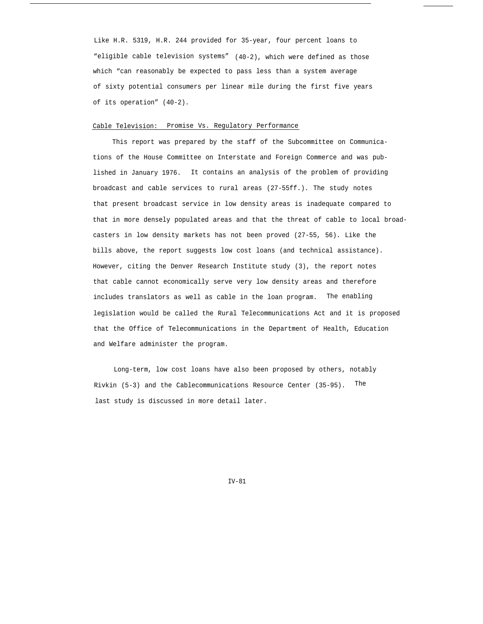Like H.R. 5319, H.R. 244 provided for 35-year, four percent loans to "eligible cable television systems" (40-2), which were defined as those which "can reasonably be expected to pass less than a system average of sixty potential consumers per linear mile during the first five years of its operation" (40-2).

## Cable Television: Promise Vs. Regulatory Performance

This report was prepared by the staff of the Subcommittee on Communications of the House Committee on Interstate and Foreign Commerce and was published in January 1976. It contains an analysis of the problem of providing broadcast and cable services to rural areas (27-55ff.). The study notes that present broadcast service in low density areas is inadequate compared to that in more densely populated areas and that the threat of cable to local broadcasters in low density markets has not been proved (27-55, 56). Like the bills above, the report suggests low cost loans (and technical assistance). However, citing the Denver Research Institute study (3), the report notes that cable cannot economically serve very low density areas and therefore includes translators as well as cable in the loan program. The enabling legislation would be called the Rural Telecommunications Act and it is proposed that the Office of Telecommunications in the Department of Health, Education and Welfare administer the program.

Long-term, low cost loans have also been proposed by others, notably Rivkin (5-3) and the Cablecommunications Resource Center (35-95). The last study is discussed in more detail later.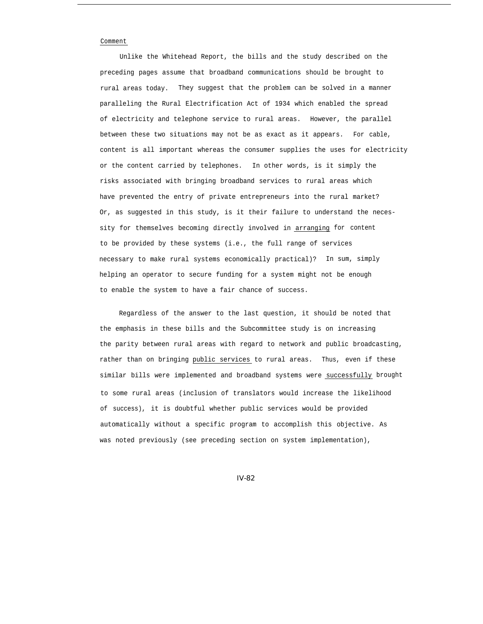### Comment

Unlike the Whitehead Report, the bills and the study described on the preceding pages assume that broadband communications should be brought to rural areas today. They suggest that the problem can be solved in a manner paralleling the Rural Electrification Act of 1934 which enabled the spread of electricity and telephone service to rural areas. However, the parallel between these two situations may not be as exact as it appears. For cable, content is all important whereas the consumer supplies the uses for electricity or the content carried by telephones. In other words, is it simply the risks associated with bringing broadband services to rural areas which have prevented the entry of private entrepreneurs into the rural market? Or, as suggested in this study, is it their failure to understand the necessity for themselves becoming directly involved in arranging for content to be provided by these systems (i.e., the full range of services necessary to make rural systems economically practical)? In sum, simply helping an operator to secure funding for a system might not be enough to enable the system to have a fair chance of success.

Regardless of the answer to the last question, it should be noted that the emphasis in these bills and the Subcommittee study is on increasing the parity between rural areas with regard to network and public broadcasting, rather than on bringing public services to rural areas. Thus, even if these similar bills were implemented and broadband systems were successfully brought to some rural areas (inclusion of translators would increase the likelihood of success), it is doubtful whether public services would be provided automatically without a specific program to accomplish this objective. As was noted previously (see preceding section on system implementation),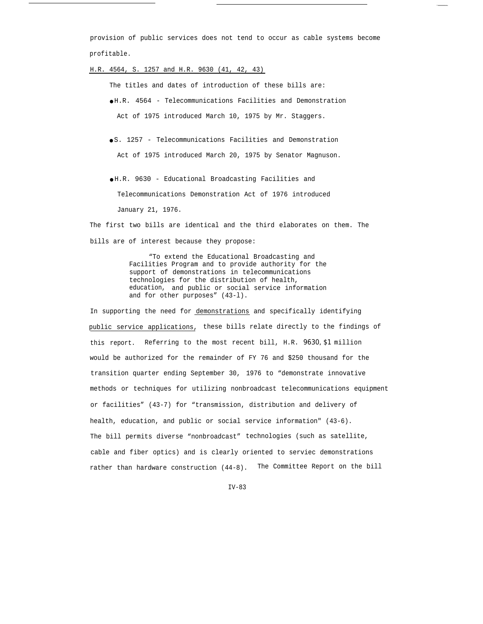provision of public services does not tend to occur as cable systems become profitable.

H.R. 4564, S. 1257 and H.R. 9630 (41, 42, 43)

The titles and dates of introduction of these bills are:

● H.R. 4564 - Telecommunications Facilities and Demonstration Act of 1975 introduced March 10, 1975 by Mr. Staggers.

● S. 1257 - Telecommunications Facilities and Demonstration Act of 1975 introduced March 20, 1975 by Senator Magnuson.

● H.R. 9630 - Educational Broadcasting Facilities and Telecommunications Demonstration Act of 1976 introduced January 21, 1976.

The first two bills are identical and the third elaborates on them. The bills are of interest because they propose:

> "To extend the Educational Broadcasting and Facilities Program and to provide authority for the support of demonstrations in telecommunications technologies for the distribution of health, education, and public or social service information and for other purposes" (43-l).

In supporting the need for demonstrations and specifically identifying public service applications, these bills relate directly to the findings of this report. Referring to the most recent bill, H.R. *9630, \$1* million would be authorized for the remainder of FY 76 and \$250 thousand for the transition quarter ending September 30, 1976 to "demonstrate innovative methods or techniques for utilizing nonbroadcast telecommunications equipment or facilities" (43-7) for "transmission, distribution and delivery of health, education, and public or social service information" (43-6). The bill permits diverse "nonbroadcast" technologies (such as satellite, cable and fiber optics) and is clearly oriented to serviec demonstrations rather than hardware construction (44-8). The Committee Report on the bill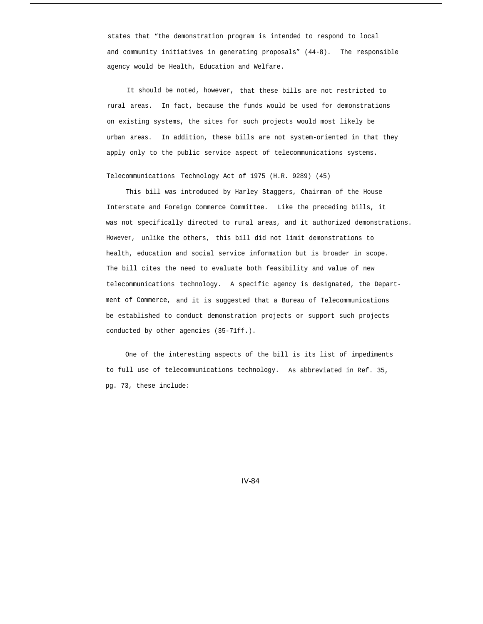states that "the demonstration program is intended to respond to local and community initiatives in generating proposals" (44-8). The responsible agency would be Health, Education and Welfare.

It should be noted, however, that these bills are not restricted to rural areas. In fact, because the funds would be used for demonstrations on existing systems, the sites for such projects would most likely be urban areas. In addition, these bills are not system-oriented in that they apply only to the public service aspect of telecommunications systems.

# Telecommunications Technology Act of 1975 (H.R. 9289) (45)

This bill was introduced by Harley Staggers, Chairman of the House Interstate and Foreign Commerce Committee. Like the preceding bills, it was not specifically directed to rural areas, and it authorized demonstrations. However, unlike the others, this bill did not limit demonstrations to health, education and social service information but is broader in scope. The bill cites the need to evaluate both feasibility and value of new telecommunications technology. A specific agency is designated, the Department of Commerce, and it is suggested that a Bureau of Telecommunications be established to conduct demonstration projects or support such projects conducted by other agencies (35-71ff.).

One of the interesting aspects of the bill is its list of impediments to full use of telecommunications technology. As abbreviated in Ref. 35, pg. 73, these include: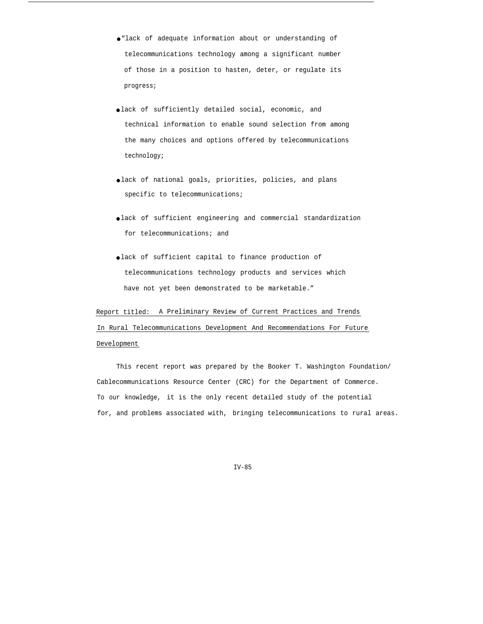- "lack of adequate information about or understanding of telecommunications technology among a significant number of those in a position to hasten, deter, or regulate its progress;
- lack of sufficiently detailed social, economic, and technical information to enable sound selection from among the many choices and options offered by telecommunications technology;
- lack of national goals, priorities, policies, and plans specific to telecommunications;
- lack of sufficient engineering and commercial standardization for telecommunications; and
- lack of sufficient capital to finance production of telecommunications technology products and services which have not yet been demonstrated to be marketable."

# Report titled: A Preliminary Review of Current Practices and Trends In Rural Telecommunications Development And Recommendations For Future Development

This recent report was prepared by the Booker T. Washington Foundation/ Cablecommunications Resource Center (CRC) for the Department of Commerce. To our knowledge, it is the only recent detailed study of the potential for, and problems associated with, bringing telecommunications to rural areas.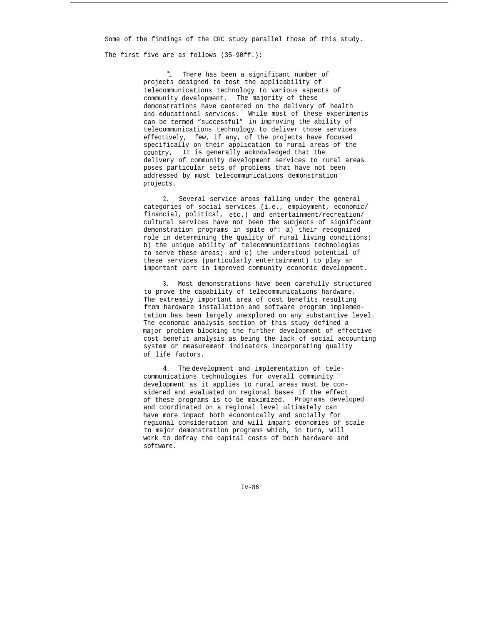Some of the findings of the CRC study parallel those of this study.

The first five are as follows (35-90ff.):

"1. There has been a significant number of projects designed to test the applicability of telecommunications technology to various aspects of community development. The majority of these demonstrations have centered on the delivery of health and educational services. While most of these experiments can be termed "successful" in improving the ability of telecommunications technology to deliver those services effectively, few, if any, of the projects have focused specifically on their application to rural areas of the country. It is generally acknowledged that the delivery of community development services to rural areas poses particular sets of problems that have not been addressed by most telecommunications demonstration projects.

2. Several service areas falling under the general categories of social services (i.e., employment, economic/ financial, political, etc.) and entertainment/recreation/ cultural services have not been the subjects of significant demonstration programs in spite of: a) their recognized role in determining the quality of rural living conditions; b) the unique ability of telecommunications technologies to serve these areas; and c) the understood potential of these services (particularly entertainment) to play an important part in improved community economic development.

3. Most demonstrations have been carefully structured to prove the capability of telecommunications hardware. The extremely important area of cost benefits resulting from hardware installation and software program implementation has been largely unexplored on any substantive level. The economic analysis section of this study defined a major problem blocking the further development of effective cost benefit analysis as being the lack of social accounting system or measurement indicators incorporating quality of life factors.

*4. The* development and implementation of telecommunications technologies for overall community development as it applies to rural areas must be considered and evaluated on regional bases if the effect of these programs is to be maximized. Programs developed and coordinated on a regional level ultimately can have more impact both economically and socially for regional consideration and will impart economies of scale to major demonstration programs which, in turn, will work to defray the capital costs of both hardware and software.

Iv-86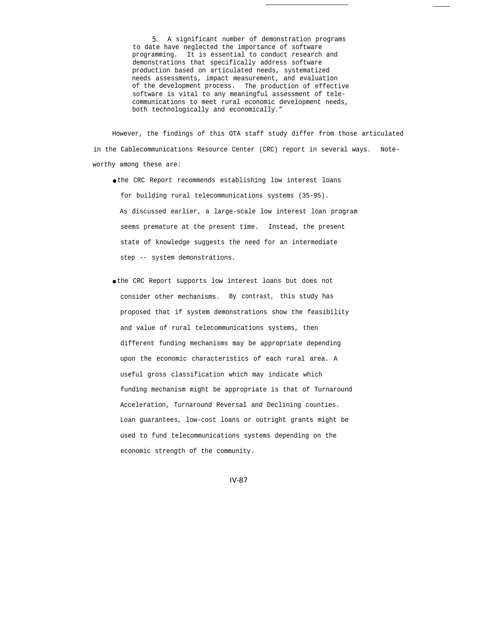*5.* A significant number of demonstration programs to date have neglected the importance of software programming. It is essential to conduct research and demonstrations that specifically address software production based on articulated needs, systematized needs assessments, impact measurement, and evaluation of the development process. The production of effective software is vital to any meaningful assessment of telecommunications to meet rural economic development needs, both technologically and economically."

However, the findings of this OTA staff study differ from those articulated in the Cablecommunications Resource Center (CRC) report in several ways. Noteworthy among these are:

- the CRC Report recommends establishing low interest loans for building rural telecommunications systems (35-95). As discussed earlier, a large-scale low interest loan program seems premature at the present time. Instead, the present state of knowledge suggests the need for an intermediate step -- system demonstrations.
- the CRC Report supports low interest loans but does not consider other mechanisms. By contrast, this study has proposed that if system demonstrations show the feasibility and value of rural telecommunications systems, then different funding mechanisms may be appropriate depending upon the economic characteristics of each rural area. A useful gross classification which may indicate which funding mechanism might be appropriate is that of Turnaround Acceleration, Turnaround Reversal and Declining counties. Loan guarantees, low-cost loans or outright grants might be used to fund telecommunications systems depending on the economic strength of the community.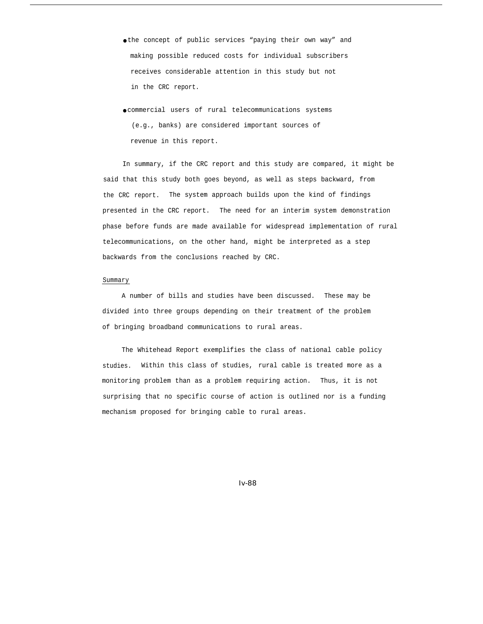- the concept of public services "paying their own way" and making possible reduced costs for individual subscribers receives considerable attention in this study but not in the CRC report.
- commercial users of rural telecommunications systems (e.g., banks) are considered important sources of revenue in this report.

In summary, if the CRC report and this study are compared, it might be said that this study both goes beyond, as well as steps backward, from the CRC report. The system approach builds upon the kind of findings presented in the CRC report. The need for an interim system demonstration phase before funds are made available for widespread implementation of rural telecommunications, on the other hand, might be interpreted as a step backwards from the conclusions reached by CRC.

### Summary

A number of bills and studies have been discussed. These may be divided into three groups depending on their treatment of the problem of bringing broadband communications to rural areas.

The Whitehead Report exemplifies the class of national cable policy studies. Within this class of studies, rural cable is treated more as a monitoring problem than as a problem requiring action. Thus, it is not surprising that no specific course of action is outlined nor is a funding mechanism proposed for bringing cable to rural areas.

*Iv-88*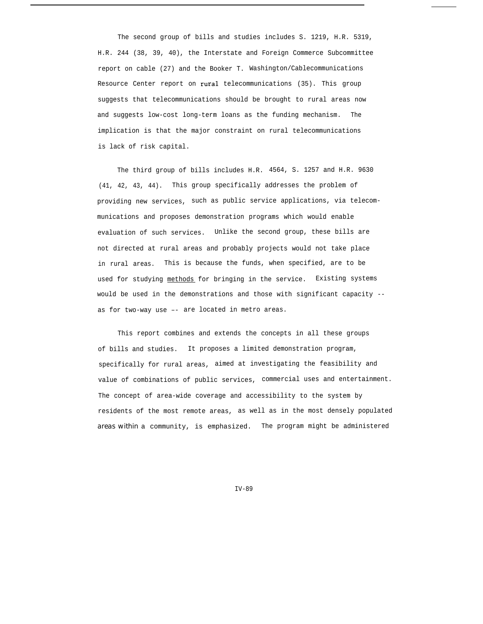The second group of bills and studies includes S. 1219, H.R. 5319, H.R. 244 (38, 39, 40), the Interstate and Foreign Commerce Subcommittee report on cable (27) and the Booker T. Washington/Cablecommunications Resource Center report on rural telecommunications (35). This group suggests that telecommunications should be brought to rural areas now and suggests low-cost long-term loans as the funding mechanism. The implication is that the major constraint on rural telecommunications is lack of risk capital.

The third group of bills includes H.R. 4564, S. 1257 and H.R. 9630 (41, 42, 43, 44). This group specifically addresses the problem of providing new services, such as public service applications, via telecommunications and proposes demonstration programs which would enable evaluation of such services. Unlike the second group, these bills are not directed at rural areas and probably projects would not take place in rural areas. This is because the funds, when specified, are to be used for studying methods for bringing in the service. Existing systems would be used in the demonstrations and those with significant capacity - as for two-way use –- are located in metro areas.

This report combines and extends the concepts in all these groups of bills and studies. It proposes a limited demonstration program, specifically for rural areas, aimed at investigating the feasibility and value of combinations of public services, commercial uses and entertainment. The concept of area-wide coverage and accessibility to the system by residents of the most remote areas, as well as in the most densely populated *areas within* a community, is emphasized. The program might be administered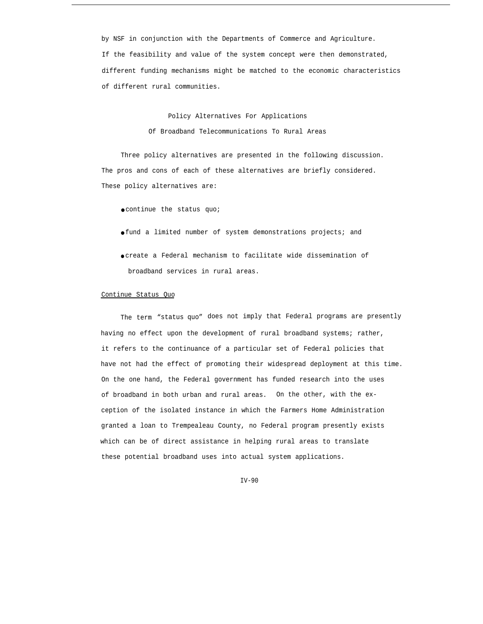by NSF in conjunction with the Departments of Commerce and Agriculture. If the feasibility and value of the system concept were then demonstrated, different funding mechanisms might be matched to the economic characteristics of different rural communities.

# Policy Alternatives For Applications Of Broadband Telecommunications To Rural Areas

Three policy alternatives are presented in the following discussion. The pros and cons of each of these alternatives are briefly considered. These policy alternatives are:

- continue the status quo;
- fund a limited number of system demonstrations projects; and
- create a Federal mechanism to facilitate wide dissemination of broadband services in rural areas.

## Continue Status Quo

The term "status quo" does not imply that Federal programs are presently having no effect upon the development of rural broadband systems; rather, it refers to the continuance of a particular set of Federal policies that have not had the effect of promoting their widespread deployment at this time. On the one hand, the Federal government has funded research into the uses of broadband in both urban and rural areas. On the other, with the exception of the isolated instance in which the Farmers Home Administration granted a loan to Trempealeau County, no Federal program presently exists which can be of direct assistance in helping rural areas to translate these potential broadband uses into actual system applications.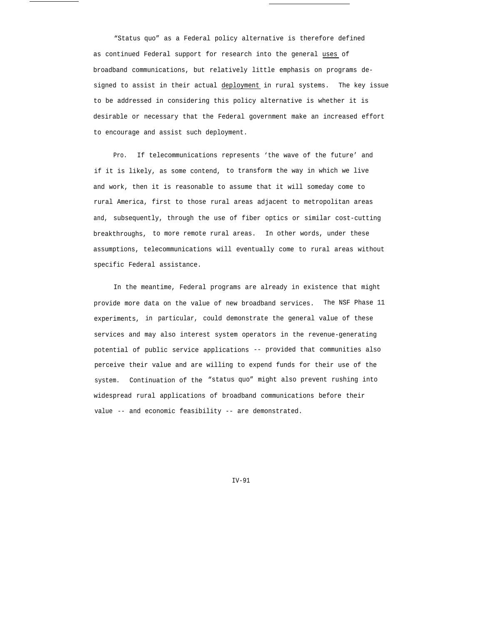"Status quo" as a Federal policy alternative is therefore defined as continued Federal support for research into the general uses of broadband communications, but relatively little emphasis on programs designed to assist in their actual deployment in rural systems. The key issue to be addressed in considering this policy alternative is whether it is desirable or necessary that the Federal government make an increased effort to encourage and assist such deployment.

Pro. If telecommunications represents 'the wave of the future' and if it is likely, as some contend, to transform the way in which we live and work, then it is reasonable to assume that it will someday come to rural America, first to those rural areas adjacent to metropolitan areas and, subsequently, through the use of fiber optics or similar cost-cutting breakthroughs, to more remote rural areas. In other words, under these assumptions, telecommunications will eventually come to rural areas without specific Federal assistance.

In the meantime, Federal programs are already in existence that might provide more data on the value of new broadband services. The NSF Phase 11 experiments, in particular, could demonstrate the general value of these services and may also interest system operators in the revenue-generating potential of public service applications -- provided that communities also perceive their value and are willing to expend funds for their use of the system. Continuation of the "status quo" might also prevent rushing into widespread rural applications of broadband communications before their value -- and economic feasibility -- are demonstrated.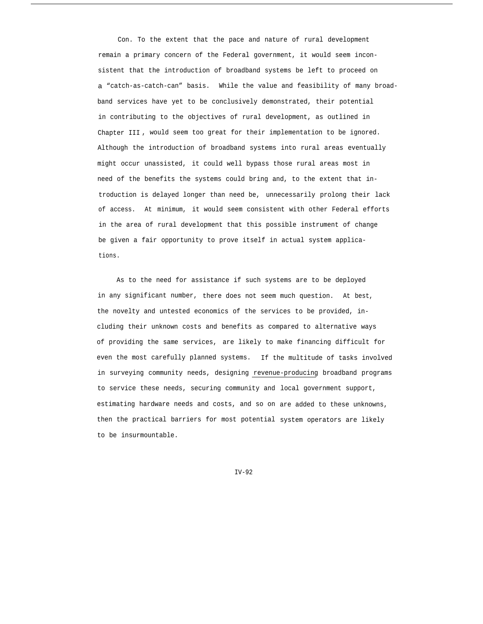Con. To the extent that the pace and nature of rural development remain a primary concern of the Federal government, it would seem inconsistent that the introduction of broadband systems be left to proceed on a "catch-as-catch-can" basis. While the value and feasibility of many broadband services have yet to be conclusively demonstrated, their potential in contributing to the objectives of rural development, as outlined in Chapter III , would seem too great for their implementation to be ignored. Although the introduction of broadband systems into rural areas eventually might occur unassisted, it could well bypass those rural areas most in need of the benefits the systems could bring and, to the extent that introduction is delayed longer than need be, unnecessarily prolong their lack of access. At minimum, it would seem consistent with other Federal efforts in the area of rural development that this possible instrument of change be given a fair opportunity to prove itself in actual system applications.

As to the need for assistance if such systems are to be deployed in any significant number, there does not seem much question. At best, the novelty and untested economics of the services to be provided, including their unknown costs and benefits as compared to alternative ways of providing the same services, are likely to make financing difficult for even the most carefully planned systems. If the multitude of tasks involved in surveying community needs, designing revenue-producing broadband programs to service these needs, securing community and local government support, estimating hardware needs and costs, and so on are added to these unknowns, then the practical barriers for most potential system operators are likely to be insurmountable.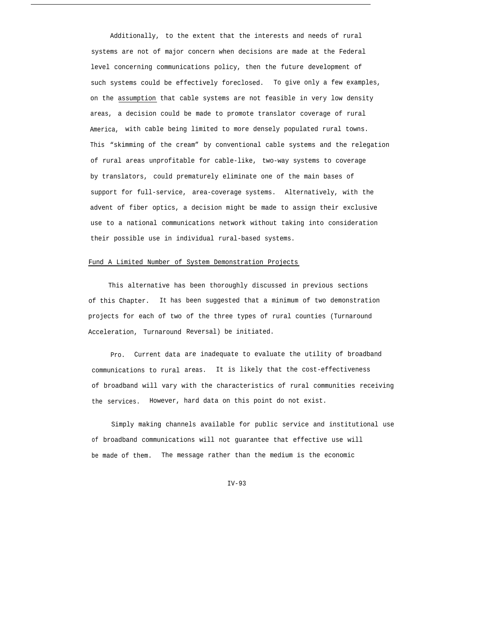Additionally, to the extent that the interests and needs of rural systems are not of major concern when decisions are made at the Federal level concerning communications policy, then the future development of such systems could be effectively foreclosed. To give only a few examples, on the assumption that cable systems are not feasible in very low density areas, a decision could be made to promote translator coverage of rural America, with cable being limited to more densely populated rural towns. This "skimming of the cream" by conventional cable systems and the relegation of rural areas unprofitable for cable-like, two-way systems to coverage by translators, could prematurely eliminate one of the main bases of support for full-service, area-coverage systems. Alternatively, with the advent of fiber optics, a decision might be made to assign their exclusive use to a national communications network without taking into consideration their possible use in individual rural-based systems.

### Fund A Limited Number of System Demonstration Projects

This alternative has been thoroughly discussed in previous sections of this Chapter. It has been suggested that a minimum of two demonstration projects for each of two of the three types of rural counties (Turnaround Acceleration, Turnaround Reversal) be initiated.

Pro. Current data are inadequate to evaluate the utility of broadband communications to rural areas. It is likely that the cost-effectiveness of broadband will vary with the characteristics of rural communities receiving the services. However, hard data on this point do not exist.

of broadband communications will not guarantee that effective use will be made of them. The message rather than the medium is the economic Simply making channels available for public service and institutional use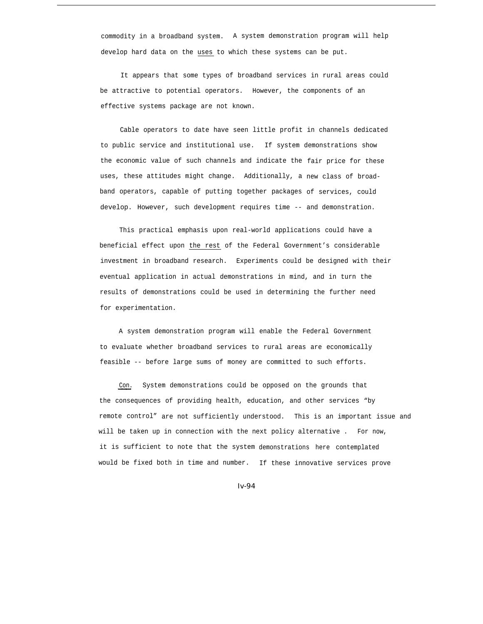commodity in a broadband system. A system demonstration program will help develop hard data on the uses to which these systems can be put.

It appears that some types of broadband services in rural areas could be attractive to potential operators. However, the components of an effective systems package are not known.

Cable operators to date have seen little profit in channels dedicated to public service and institutional use. If system demonstrations show the economic value of such channels and indicate the fair price for these uses, these attitudes might change. Additionally, a new class of broadband operators, capable of putting together packages of services, could develop. However, such development requires time -- and demonstration.

This practical emphasis upon real-world applications could have a beneficial effect upon the rest of the Federal Government's considerable investment in broadband research. Experiments could be designed with their eventual application in actual demonstrations in mind, and in turn the results of demonstrations could be used in determining the further need for experimentation.

A system demonstration program will enable the Federal Government to evaluate whether broadband services to rural areas are economically feasible -- before large sums of money are committed to such efforts.

Con. System demonstrations could be opposed on the grounds that the consequences of providing health, education, and other services "by remote control" are not sufficiently understood. This is an important issue and will be taken up in connection with the next policy alternative . For now, it is sufficient to note that the system demonstrations here contemplated would be fixed both in time and number. If these innovative services prove

*Iv-94*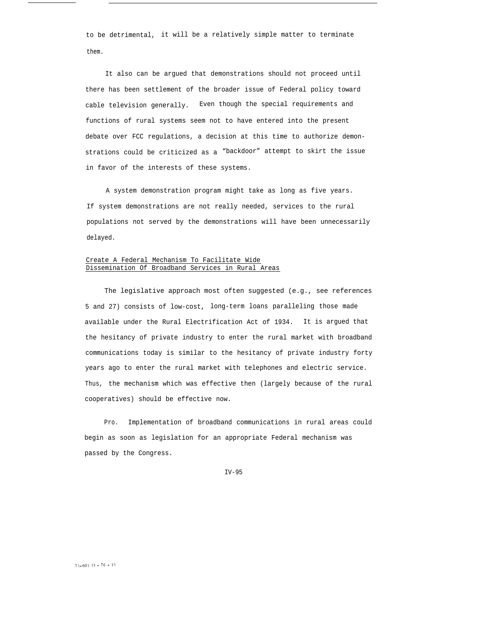to be detrimental, it will be a relatively simple matter to terminate them.

It also can be argued that demonstrations should not proceed until there has been settlement of the broader issue of Federal policy toward cable television generally. Even though the special requirements and functions of rural systems seem not to have entered into the present debate over FCC regulations, a decision at this time to authorize demonstrations could be criticized as a "backdoor" attempt to skirt the issue in favor of the interests of these systems.

A system demonstration program might take as long as five years. If system demonstrations are not really needed, services to the rural populations not served by the demonstrations will have been unnecessarily delayed.

# Create A Federal Mechanism To Facilitate Wide Dissemination Of Broadband Services in Rural Areas

The legislative approach most often suggested (e.g., see references 5 and 27) consists of low-cost, long-term loans paralleling those made available under the Rural Electrification Act of 1934. It is argued that the hesitancy of private industry to enter the rural market with broadband communications today is similar to the hesitancy of private industry forty years ago to enter the rural market with telephones and electric service. Thus, the mechanism which was effective then (largely because of the rural cooperatives) should be effective now.

Pro. Implementation of broadband communications in rural areas could begin as soon as legislation for an appropriate Federal mechanism was passed by the Congress.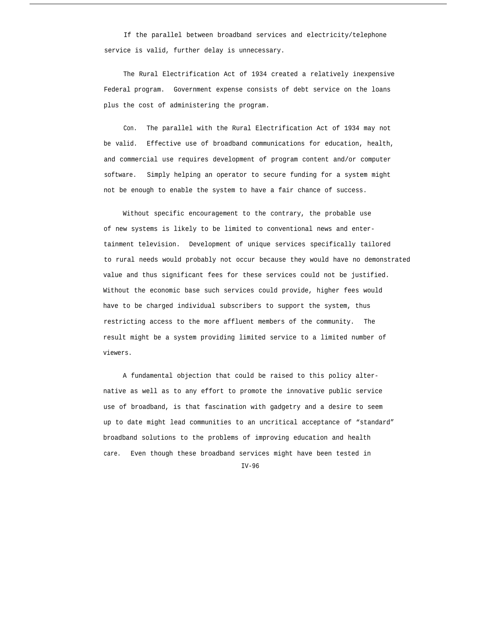If the parallel between broadband services and electricity/telephone service is valid, further delay is unnecessary.

The Rural Electrification Act of 1934 created a relatively inexpensive Federal program. Government expense consists of debt service on the loans plus the cost of administering the program.

Con. The parallel with the Rural Electrification Act of 1934 may not be valid. Effective use of broadband communications for education, health, and commercial use requires development of program content and/or computer software. Simply helping an operator to secure funding for a system might not be enough to enable the system to have a fair chance of success.

Without specific encouragement to the contrary, the probable use of new systems is likely to be limited to conventional news and entertainment television. Development of unique services specifically tailored to rural needs would probably not occur because they would have no demonstrated value and thus significant fees for these services could not be justified. Without the economic base such services could provide, higher fees would have to be charged individual subscribers to support the system, thus restricting access to the more affluent members of the community. The result might be a system providing limited service to a limited number of viewers.

A fundamental objection that could be raised to this policy alternative as well as to any effort to promote the innovative public service use of broadband, is that fascination with gadgetry and a desire to seem up to date might lead communities to an uncritical acceptance of "standard" broadband solutions to the problems of improving education and health care. Even though these broadband services might have been tested in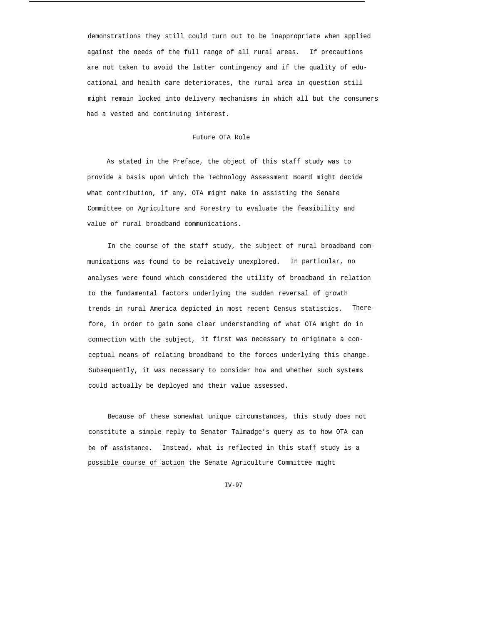demonstrations they still could turn out to be inappropriate when applied against the needs of the full range of all rural areas. If precautions are not taken to avoid the latter contingency and if the quality of educational and health care deteriorates, the rural area in question still might remain locked into delivery mechanisms in which all but the consumers had a vested and continuing interest.

## Future OTA Role

As stated in the Preface, the object of this staff study was to provide a basis upon which the Technology Assessment Board might decide what contribution, if any, OTA might make in assisting the Senate Committee on Agriculture and Forestry to evaluate the feasibility and value of rural broadband communications.

In the course of the staff study, the subject of rural broadband communications was found to be relatively unexplored. In particular, no analyses were found which considered the utility of broadband in relation to the fundamental factors underlying the sudden reversal of growth trends in rural America depicted in most recent Census statistics. Therefore, in order to gain some clear understanding of what OTA might do in connection with the subject, it first was necessary to originate a conceptual means of relating broadband to the forces underlying this change. Subsequently, it was necessary to consider how and whether such systems could actually be deployed and their value assessed.

Because of these somewhat unique circumstances, this study does not constitute a simple reply to Senator Talmadge's query as to how OTA can be of assistance. Instead, what is reflected in this staff study is a possible course of action the Senate Agriculture Committee might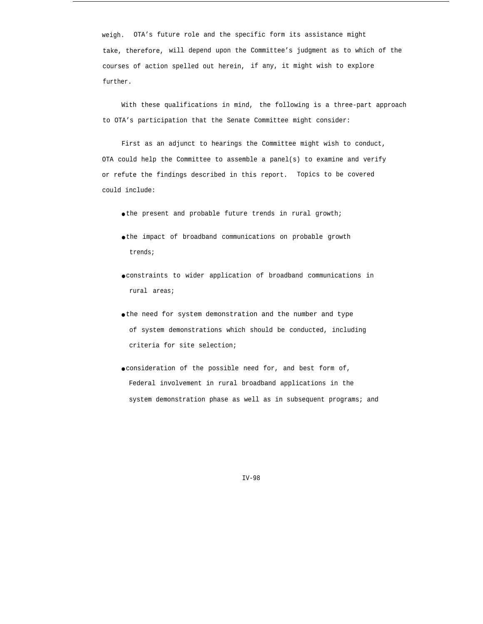weigh. OTA's future role and the specific form its assistance might take, therefore, will depend upon the Committee's judgment as to which of the courses of action spelled out herein, if any, it might wish to explore further.

With these qualifications in mind, the following is a three-part approach to OTA's participation that the Senate Committee might consider:

First as an adjunct to hearings the Committee might wish to conduct, OTA could help the Committee to assemble a panel(s) to examine and verify or refute the findings described in this report. Topics to be covered could include:

● the present and probable future trends in rural growth;

- the impact of broadband communications on probable growth trends;
- constraints to wider application of broadband communications in rural areas;
- the need for system demonstration and the number and type of system demonstrations which should be conducted, including criteria for site selection;
- consideration of the possible need for, and best form of, Federal involvement in rural broadband applications in the system demonstration phase as well as in subsequent programs; and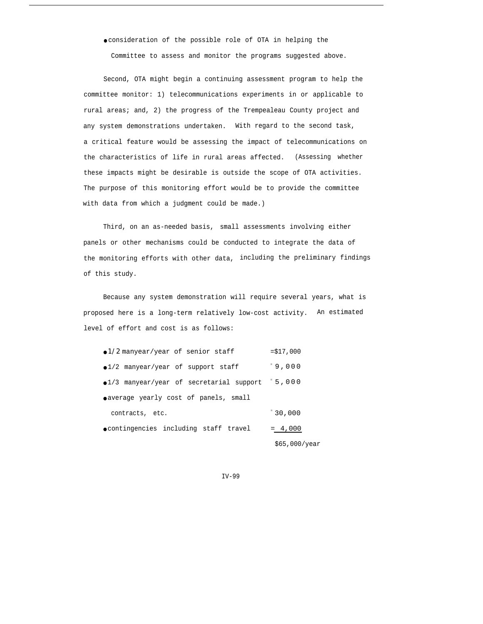● consideration of the possible role of OTA in helping the

Committee to assess and monitor the programs suggested above.

Second, OTA might begin a continuing assessment program to help the committee monitor: 1) telecommunications experiments in or applicable to rural areas; and, 2) the progress of the Trempealeau County project and any system demonstrations undertaken. With regard to the second task, a critical feature would be assessing the impact of telecommunications on the characteristics of life in rural areas affected. (Assessing whether these impacts might be desirable is outside the scope of OTA activities. The purpose of this monitoring effort would be to provide the committee with data from which a judgment could be made.)

Third, on an as-needed basis, small assessments involving either panels or other mechanisms could be conducted to integrate the data of the monitoring efforts with other data, including the preliminary findings of this study.

Because any system demonstration will require several years, what is proposed here is a long-term relatively low-cost activity. An estimated level of effort and cost is as follows:

| $\bullet$ 1/2 manyear/year of senior staff     | $= $17,000$   |
|------------------------------------------------|---------------|
| $\bullet$ 1/2 manyear/year of support staff    | 19,000        |
| ·1/3 manyear/year of secretarial support 5,000 |               |
| o average yearly cost of panels, small         |               |
| contracts, etc.                                | 130,000       |
| ocontingencies including staff travel          | $= 4,000$     |
|                                                | \$65.000/year |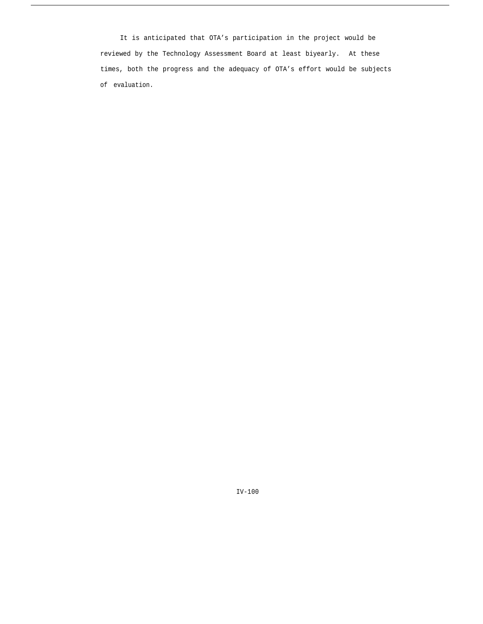It is anticipated that OTA's participation in the project would be reviewed by the Technology Assessment Board at least biyearly. At these times, both the progress and the adequacy of OTA's effort would be subjects of evaluation.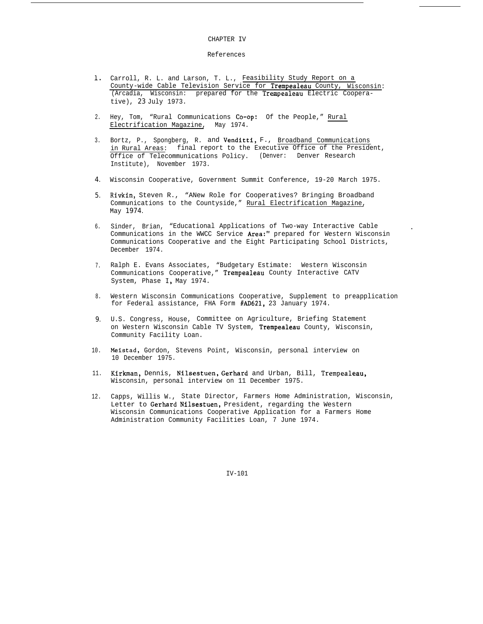#### CHAPTER IV

### References

- 1. Carroll, R. L. and Larson, T. L., Feasibility Study Report on a County-wide Cable Television Service for Trempealeau County, Wisconsin: (Arcadia, Wisconsin: prepared for the Trempealeau Electric Cooperative), *23* July 1973.
- 2. Hey, Tom, "Rural Communications Co-op: Of the People," Rural Electrification Magazine, May 1974.
- 3. Bortz, P., Spongberg, R. and Venditti, F., Broadband Communications in Rural Areas: final report to the Executive Office of the President, Office of Telecommunications Policy. (Denver: Denver Research Institute), November 1973.
- *4.* Wisconsin Cooperative, Government Summit Conference, 19-20 March 1975.
- *5.* Rivkin, Steven R., "ANew Role for Cooperatives? Bringing Broadband Communications to the Countyside," Rural Electrification Magazine, May *1974.*
- 6. Sinder, Brian, "Educational Applications of Two-way Interactive Cable Communications in the WWCC Service Area:" prepared for Western Wisconsin Communications Cooperative and the Eight Participating School Districts, December 1974.

.

- 7. Ralph E. Evans Associates, "Budgetary Estimate: Western Wisconsin Communications Cooperative," Trempealeau County Interactive CATV System, Phase 1, May 1974.
- 8. Western Wisconsin Communications Cooperative, Supplement to preapplication for Federal assistance, FHA Form #AD621, 23 January 1974.
- *9.* U.S. Congress, House, Committee on Agriculture, Briefing Statement on Western Wisconsin Cable TV System, Trempealeau County, Wisconsin, Community Facility Loan.
- 10. Meistad, Gordon, Stevens Point, Wisconsin, personal interview on 10 December 1975.
- 11. Kirkman, Dennis, Nilsestuen, Gerhard and Urban, Bill, Trempealeau, Wisconsin, personal interview on 11 December 1975.
- 12. Capps, Willis W., State Director, Farmers Home Administration, Wisconsin, Letter to Gerhard Nilsestuen, President, regarding the Western Wisconsin Communications Cooperative Application for a Farmers Home Administration Community Facilities Loan, 7 June 1974.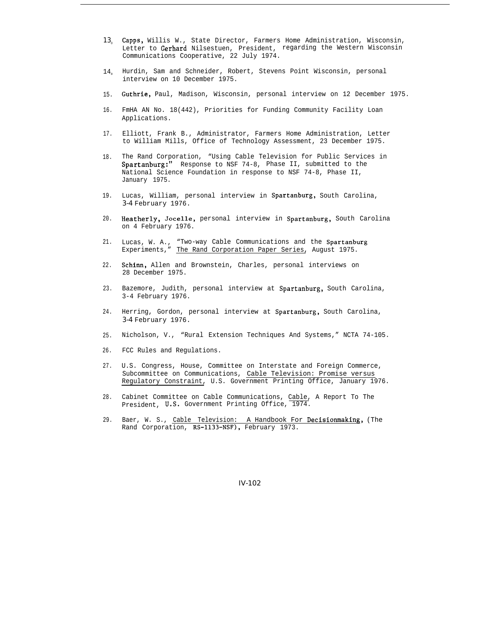- *13<sup>0</sup>* Capps, Willis W., State Director, Farmers Home Administration, Wisconsin, Letter to Gerhard Nilsestuen, President, regarding the Western Wisconsin Communications Cooperative, 22 July 1974.
- 14, Hurdin, Sam and Schneider, Robert, Stevens Point Wisconsin, personal interview on 10 December 1975.
- 15. Guthrie, Paul, Madison, Wisconsin, personal interview on 12 December 1975.
- 16. FmHA AN No. 18(442), Priorities for Funding Community Facility Loan Applications.
- 17. Elliott, Frank B., Administrator, Farmers Home Administration, Letter to William Mills, Office of Technology Assessment, 23 December 1975.
- 18. The Rand Corporation, "Using Cable Television for Public Services in Spartanburg:" Response to NSF 74-8, Phase II, submitted to the National Science Foundation in response to NSF 74-8, Phase II, January 1975.
- 19. Lucas, William, personal interview in Spartanburg, South Carolina, *3-4* February 1976.
- 20. Heatherly, Jocelle, personal interview in Spartanburg, South Carolina on 4 February 1976.
- 21. Lucas, W. A., "Two-way Cable Communications and the Spartanburg Experiments," The Rand Corporation Paper Series, August 1975.
- 22. Schinn, Allen and Brownstein, Charles, personal interviews on 28 December 1975.
- 23. Bazemore, Judith, personal interview at Spartanburg, South Carolina, 3-4 February 1976.
- 24. Herring, Gordon, personal interview at Spartanburg, South Carolina, *3-4* February 1976.
- 25. Nicholson, V., "Rural Extension Techniques And Systems," NCTA 74-105.
- 26. FCC Rules and Regulations.
- 27. U.S. Congress, House, Committee on Interstate and Foreign Commerce, Subcommittee on Communications, Cable Television: Promise versus Regulatory Constraint, U.S. Government Printing Office, January 1976.
- 28. Cabinet Committee on Cable Communications, Cable, A Report To The President, U.S. Government Printing Office, 1974.
- 29. Baer, W. S., Cable Television: A Handbook For Decisionmaking, (The Rand Corporation, RS-1133-NSF), February 1973.